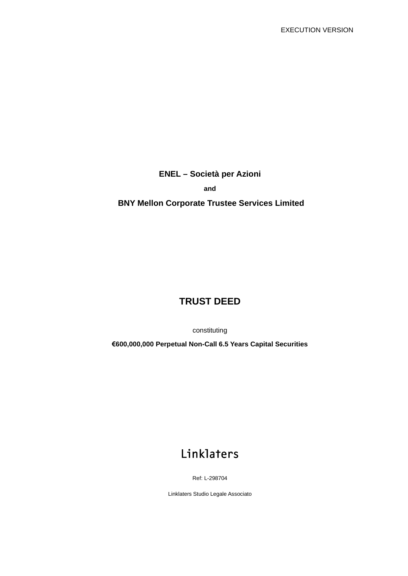**ENEL – Società per Azioni** 

**and** 

# **BNY Mellon Corporate Trustee Services Limited**

# **TRUST DEED**

constituting

**€600,000,000 Perpetual Non-Call 6.5 Years Capital Securities** 

# Linklaters

Ref: L-298704

Linklaters Studio Legale Associato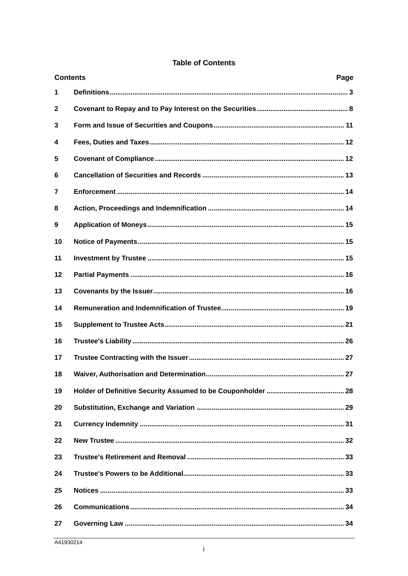|  | <b>Table of Contents</b> |
|--|--------------------------|
|  |                          |

| <b>Contents</b> | Page |
|-----------------|------|
| 1               |      |
| $\mathbf{2}$    |      |
| 3               |      |
| 4               |      |
| 5               |      |
| 6               |      |
| 7               |      |
| 8               |      |
| 9               |      |
| 10              |      |
| 11              |      |
| 12              |      |
| 13              |      |
| 14              |      |
| 15              |      |
| 16              |      |
| 17              |      |
| 18              |      |
| 19              |      |
| 20              |      |
| 21              |      |
| 22              |      |
| 23              |      |
| 24              |      |
| 25              |      |
| 26              |      |
| 27              |      |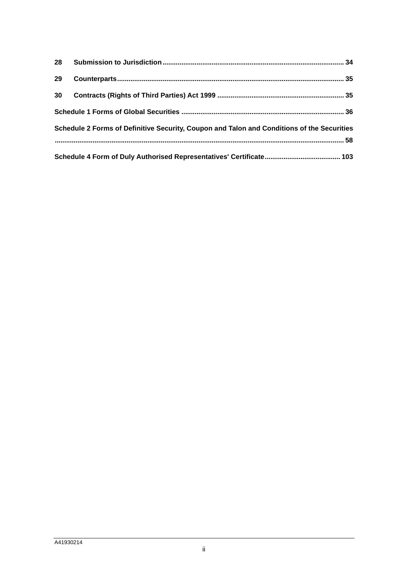| 29 |                                                                                            |  |
|----|--------------------------------------------------------------------------------------------|--|
| 30 |                                                                                            |  |
|    |                                                                                            |  |
|    | Schedule 2 Forms of Definitive Security, Coupon and Talon and Conditions of the Securities |  |
|    |                                                                                            |  |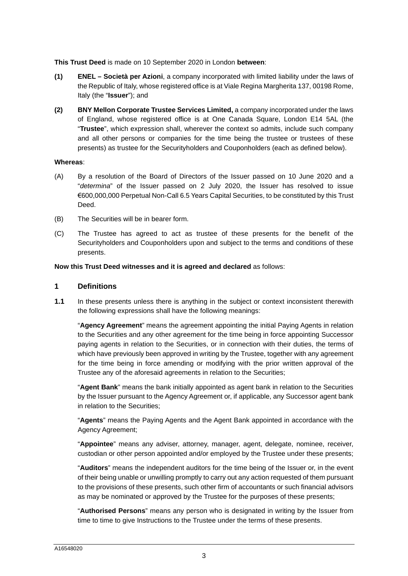**This Trust Deed** is made on 10 September 2020 in London **between**:

- **(1) ENEL Società per Azioni**, a company incorporated with limited liability under the laws of the Republic of Italy, whose registered office is at Viale Regina Margherita 137, 00198 Rome, Italy (the "**Issuer**"); and
- **(2) BNY Mellon Corporate Trustee Services Limited,** a company incorporated under the laws of England, whose registered office is at One Canada Square, London E14 5AL (the "**Trustee**", which expression shall, wherever the context so admits, include such company and all other persons or companies for the time being the trustee or trustees of these presents) as trustee for the Securityholders and Couponholders (each as defined below).

#### **Whereas**:

- (A) By a resolution of the Board of Directors of the Issuer passed on 10 June 2020 and a "*determina*" of the Issuer passed on 2 July 2020, the Issuer has resolved to issue €600,000,000 Perpetual Non-Call 6.5 Years Capital Securities, to be constituted by this Trust Deed.
- (B) The Securities will be in bearer form.
- (C) The Trustee has agreed to act as trustee of these presents for the benefit of the Securityholders and Couponholders upon and subject to the terms and conditions of these presents.

**Now this Trust Deed witnesses and it is agreed and declared** as follows:

# <span id="page-3-0"></span>**1 Definitions**

**1.1** In these presents unless there is anything in the subject or context inconsistent therewith the following expressions shall have the following meanings:

"**Agency Agreement**" means the agreement appointing the initial Paying Agents in relation to the Securities and any other agreement for the time being in force appointing Successor paying agents in relation to the Securities, or in connection with their duties, the terms of which have previously been approved in writing by the Trustee, together with any agreement for the time being in force amending or modifying with the prior written approval of the Trustee any of the aforesaid agreements in relation to the Securities;

"**Agent Bank**" means the bank initially appointed as agent bank in relation to the Securities by the Issuer pursuant to the Agency Agreement or, if applicable, any Successor agent bank in relation to the Securities;

"**Agents**" means the Paying Agents and the Agent Bank appointed in accordance with the Agency Agreement;

"**Appointee**" means any adviser, attorney, manager, agent, delegate, nominee, receiver, custodian or other person appointed and/or employed by the Trustee under these presents;

"**Auditors**" means the independent auditors for the time being of the Issuer or, in the event of their being unable or unwilling promptly to carry out any action requested of them pursuant to the provisions of these presents, such other firm of accountants or such financial advisors as may be nominated or approved by the Trustee for the purposes of these presents;

"**Authorised Persons**" means any person who is designated in writing by the Issuer from time to time to give Instructions to the Trustee under the terms of these presents.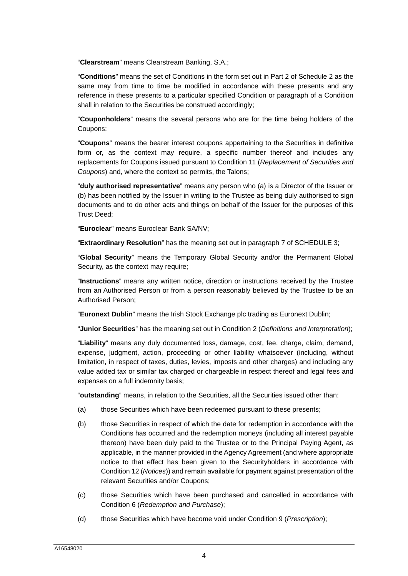"**Clearstream**" means Clearstream Banking, S.A.;

"**Conditions**" means the set of Conditions in the form set out in Part 2 of [Schedule 2](#page-58-0) as the same may from time to time be modified in accordance with these presents and any reference in these presents to a particular specified Condition or paragraph of a Condition shall in relation to the Securities be construed accordingly;

"**Couponholders**" means the several persons who are for the time being holders of the Coupons;

"**Coupons**" means the bearer interest coupons appertaining to the Securities in definitive form or, as the context may require, a specific number thereof and includes any replacements for Coupons issued pursuant to Condition 11 (*Replacement of Securities and Coupons*) and, where the context so permits, the Talons;

"**duly authorised representative**" means any person who (a) is a Director of the Issuer or (b) has been notified by the Issuer in writing to the Trustee as being duly authorised to sign documents and to do other acts and things on behalf of the Issuer for the purposes of this Trust Deed;

"**Euroclear**" means Euroclear Bank SA/NV;

"**Extraordinary Resolution**[" has the meaning set out in paragraph 7 of SCHEDULE 3;](#page-95-0)

"**Global Security**" means the Temporary Global Security and/or the Permanent Global Security, as the context may require;

"**Instructions**" means any written notice, direction or instructions received by the Trustee from an Authorised Person or from a person reasonably believed by the Trustee to be an Authorised Person;

"**Euronext Dublin**" means the Irish Stock Exchange plc trading as Euronext Dublin;

"**Junior Securities**" has the meaning set out in Condition 2 (*Definitions and Interpretation*);

"**Liability**" means any duly documented loss, damage, cost, fee, charge, claim, demand, expense, judgment, action, proceeding or other liability whatsoever (including, without limitation, in respect of taxes, duties, levies, imposts and other charges) and including any value added tax or similar tax charged or chargeable in respect thereof and legal fees and expenses on a full indemnity basis;

"**outstanding**" means, in relation to the Securities, all the Securities issued other than:

- (a) those Securities which have been redeemed pursuant to these presents;
- (b) those Securities in respect of which the date for redemption in accordance with the Conditions has occurred and the redemption moneys (including all interest payable thereon) have been duly paid to the Trustee or to the Principal Paying Agent, as applicable, in the manner provided in the Agency Agreement (and where appropriate notice to that effect has been given to the Securityholders in accordance with Condition 12 (*Notices*)) and remain available for payment against presentation of the relevant Securities and/or Coupons;
- (c) those Securities which have been purchased and cancelled in accordance with Condition 6 (*Redemption and Purchase*);
- (d) those Securities which have become void under Condition 9 (*Prescription*);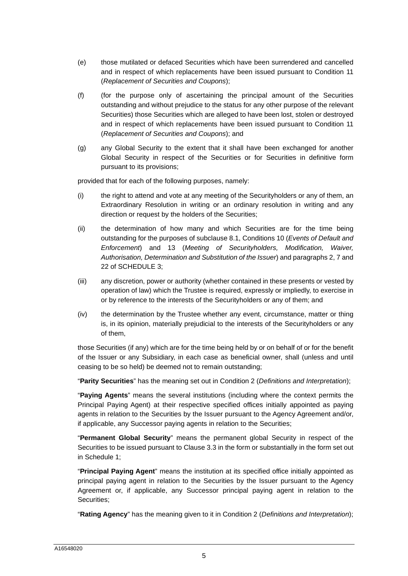- (e) those mutilated or defaced Securities which have been surrendered and cancelled and in respect of which replacements have been issued pursuant to Condition 11 (*Replacement of Securities and Coupons*);
- (f) (for the purpose only of ascertaining the principal amount of the Securities outstanding and without prejudice to the status for any other purpose of the relevant Securities) those Securities which are alleged to have been lost, stolen or destroyed and in respect of which replacements have been issued pursuant to Condition 11 (*Replacement of Securities and Coupons*); and
- (g) any Global Security to the extent that it shall have been exchanged for another Global Security in respect of the Securities or for Securities in definitive form pursuant to its provisions;

provided that for each of the following purposes, namely:

- (i) the right to attend and vote at any meeting of the Securityholders or any of them, an Extraordinary Resolution in writing or an ordinary resolution in writing and any direction or request by the holders of the Securities;
- (ii) the determination of how many and which Securities are for the time being outstanding for the purposes of subclause [8.1,](#page-14-2) Conditions 10 (*Events of Default and Enforcement*) and 13 (*Meeting of Securityholders, Modification, Waiver, Authorisation, Determination and Substitution of the Issuer*) and paragraphs [2](#page-96-0), [7](#page-98-0) and [22](#page-102-0) [of SCHEDULE 3](#page-95-0);
- (iii) any discretion, power or authority (whether contained in these presents or vested by operation of law) which the Trustee is required, expressly or impliedly, to exercise in or by reference to the interests of the Securityholders or any of them; and
- (iv) the determination by the Trustee whether any event, circumstance, matter or thing is, in its opinion, materially prejudicial to the interests of the Securityholders or any of them,

those Securities (if any) which are for the time being held by or on behalf of or for the benefit of the Issuer or any Subsidiary, in each case as beneficial owner, shall (unless and until ceasing to be so held) be deemed not to remain outstanding;

"**Parity Securities**" has the meaning set out in Condition 2 (*Definitions and Interpretation*);

"**Paying Agents**" means the several institutions (including where the context permits the Principal Paying Agent) at their respective specified offices initially appointed as paying agents in relation to the Securities by the Issuer pursuant to the Agency Agreement and/or, if applicable, any Successor paying agents in relation to the Securities;

"**Permanent Global Security**" means the permanent global Security in respect of the Securities to be issued pursuant to Clause [3.3](#page-11-1) in the form or substantially in the form set out in [Schedule 1;](#page-36-0)

"**Principal Paying Agent**" means the institution at its specified office initially appointed as principal paying agent in relation to the Securities by the Issuer pursuant to the Agency Agreement or, if applicable, any Successor principal paying agent in relation to the Securities;

"**Rating Agency**" has the meaning given to it in Condition 2 (*Definitions and Interpretation*);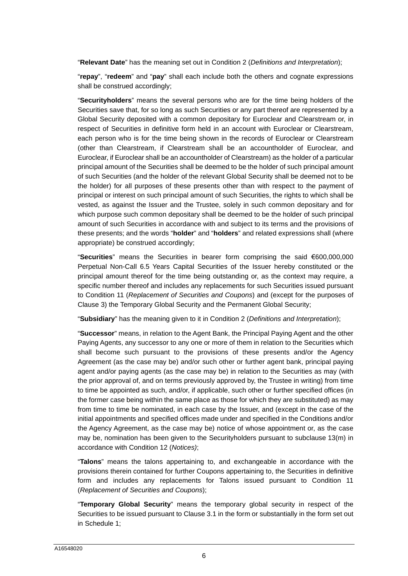"**Relevant Date**" has the meaning set out in Condition 2 (*Definitions and Interpretation*);

"**repay**", "**redeem**" and "**pay**" shall each include both the others and cognate expressions shall be construed accordingly;

"**Securityholders**" means the several persons who are for the time being holders of the Securities save that, for so long as such Securities or any part thereof are represented by a Global Security deposited with a common depositary for Euroclear and Clearstream or, in respect of Securities in definitive form held in an account with Euroclear or Clearstream, each person who is for the time being shown in the records of Euroclear or Clearstream (other than Clearstream, if Clearstream shall be an accountholder of Euroclear, and Euroclear, if Euroclear shall be an accountholder of Clearstream) as the holder of a particular principal amount of the Securities shall be deemed to be the holder of such principal amount of such Securities (and the holder of the relevant Global Security shall be deemed not to be the holder) for all purposes of these presents other than with respect to the payment of principal or interest on such principal amount of such Securities, the rights to which shall be vested, as against the Issuer and the Trustee, solely in such common depositary and for which purpose such common depositary shall be deemed to be the holder of such principal amount of such Securities in accordance with and subject to its terms and the provisions of these presents; and the words "**holder**" and "**holders**" and related expressions shall (where appropriate) be construed accordingly;

"**Securities**" means the Securities in bearer form comprising the said €600,000,000 Perpetual Non-Call 6.5 Years Capital Securities of the Issuer hereby constituted or the principal amount thereof for the time being outstanding or, as the context may require, a specific number thereof and includes any replacements for such Securities issued pursuant to Condition 11 (*Replacement of Securities and Coupons*) and (except for the purposes of Clause [3\)](#page-11-0) the Temporary Global Security and the Permanent Global Security;

"**Subsidiary**" has the meaning given to it in Condition 2 (*Definitions and Interpretation*);

"**Successor**" means, in relation to the Agent Bank, the Principal Paying Agent and the other Paying Agents, any successor to any one or more of them in relation to the Securities which shall become such pursuant to the provisions of these presents and/or the Agency Agreement (as the case may be) and/or such other or further agent bank, principal paying agent and/or paying agents (as the case may be) in relation to the Securities as may (with the prior approval of, and on terms previously approved by, the Trustee in writing) from time to time be appointed as such, and/or, if applicable, such other or further specified offices (in the former case being within the same place as those for which they are substituted) as may from time to time be nominated, in each case by the Issuer, and (except in the case of the initial appointments and specified offices made under and specified in the Conditions and/or the Agency Agreement, as the case may be) notice of whose appointment or, as the case may be, nomination has been given to the Securityholders pursuant to subclause [13](#page-16-1)[\(m\)](#page-18-0) in accordance with Condition 12 (*Notices)*;

"**Talons**" means the talons appertaining to, and exchangeable in accordance with the provisions therein contained for further Coupons appertaining to, the Securities in definitive form and includes any replacements for Talons issued pursuant to Condition 11 (*Replacement of Securities and Coupons*);

"**Temporary Global Security**" means the temporary global security in respect of the Securities to be issued pursuant to Clause [3.1](#page-11-2) in the form or substantially in the form set out in [Schedule 1;](#page-36-0)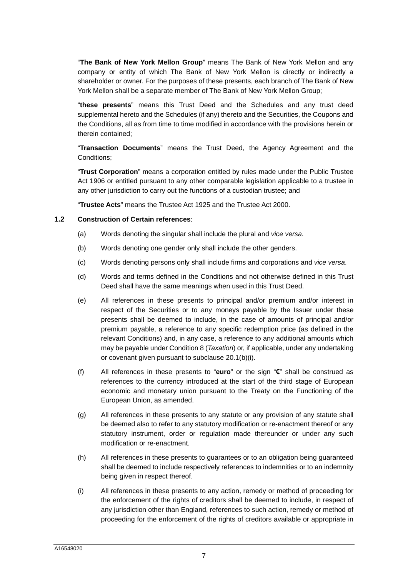"**The Bank of New York Mellon Group**" means The Bank of New York Mellon and any company or entity of which The Bank of New York Mellon is directly or indirectly a shareholder or owner. For the purposes of these presents, each branch of The Bank of New York Mellon shall be a separate member of The Bank of New York Mellon Group;

"**these presents**" means this Trust Deed and the Schedules and any trust deed supplemental hereto and the Schedules (if any) thereto and the Securities, the Coupons and the Conditions, all as from time to time modified in accordance with the provisions herein or therein contained;

"**Transaction Documents**" means the Trust Deed, the Agency Agreement and the Conditions;

"**Trust Corporation**" means a corporation entitled by rules made under the Public Trustee Act 1906 or entitled pursuant to any other comparable legislation applicable to a trustee in any other jurisdiction to carry out the functions of a custodian trustee; and

"**Trustee Acts**" means the Trustee Act 1925 and the Trustee Act 2000.

#### **1.2 Construction of Certain references**:

- (a) Words denoting the singular shall include the plural and *vice versa*.
- (b) Words denoting one gender only shall include the other genders.
- (c) Words denoting persons only shall include firms and corporations and *vice versa*.
- (d) Words and terms defined in the Conditions and not otherwise defined in this Trust Deed shall have the same meanings when used in this Trust Deed.
- (e) All references in these presents to principal and/or premium and/or interest in respect of the Securities or to any moneys payable by the Issuer under these presents shall be deemed to include, in the case of amounts of principal and/or premium payable, a reference to any specific redemption price (as defined in the relevant Conditions) and, in any case, a reference to any additional amounts which may be payable under Condition 8 (*Taxation*) or, if applicable, under any undertaking or covenant given pursuant to subclause [20.1](#page-29-1)[\(b\)](#page-29-2)[\(i\)](#page-29-3).
- (f) All references in these presents to "**euro**" or the sign "**€**" shall be construed as references to the currency introduced at the start of the third stage of European economic and monetary union pursuant to the Treaty on the Functioning of the European Union, as amended.
- (g) All references in these presents to any statute or any provision of any statute shall be deemed also to refer to any statutory modification or re-enactment thereof or any statutory instrument, order or regulation made thereunder or under any such modification or re-enactment.
- (h) All references in these presents to guarantees or to an obligation being guaranteed shall be deemed to include respectively references to indemnities or to an indemnity being given in respect thereof.
- (i) All references in these presents to any action, remedy or method of proceeding for the enforcement of the rights of creditors shall be deemed to include, in respect of any jurisdiction other than England, references to such action, remedy or method of proceeding for the enforcement of the rights of creditors available or appropriate in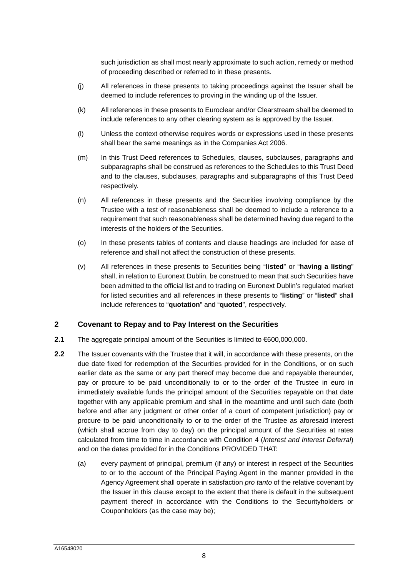such jurisdiction as shall most nearly approximate to such action, remedy or method of proceeding described or referred to in these presents.

- (j) All references in these presents to taking proceedings against the Issuer shall be deemed to include references to proving in the winding up of the Issuer.
- (k) All references in these presents to Euroclear and/or Clearstream shall be deemed to include references to any other clearing system as is approved by the Issuer.
- (l) Unless the context otherwise requires words or expressions used in these presents shall bear the same meanings as in the Companies Act 2006.
- (m) In this Trust Deed references to Schedules, clauses, subclauses, paragraphs and subparagraphs shall be construed as references to the Schedules to this Trust Deed and to the clauses, subclauses, paragraphs and subparagraphs of this Trust Deed respectively.
- (n) All references in these presents and the Securities involving compliance by the Trustee with a test of reasonableness shall be deemed to include a reference to a requirement that such reasonableness shall be determined having due regard to the interests of the holders of the Securities.
- (o) In these presents tables of contents and clause headings are included for ease of reference and shall not affect the construction of these presents.
- (v) All references in these presents to Securities being "**listed**" or "**having a listing**" shall, in relation to Euronext Dublin, be construed to mean that such Securities have been admitted to the official list and to trading on Euronext Dublin's regulated market for listed securities and all references in these presents to "**listing**" or "**listed**" shall include references to "**quotation**" and "**quoted**", respectively.

#### <span id="page-8-0"></span>**2 Covenant to Repay and to Pay Interest on the Securities**

- **2.1** The aggregate principal amount of the Securities is limited to €600,000,000.
- <span id="page-8-2"></span><span id="page-8-1"></span>**2.2** The Issuer covenants with the Trustee that it will, in accordance with these presents, on the due date fixed for redemption of the Securities provided for in the Conditions, or on such earlier date as the same or any part thereof may become due and repayable thereunder, pay or procure to be paid unconditionally to or to the order of the Trustee in euro in immediately available funds the principal amount of the Securities repayable on that date together with any applicable premium and shall in the meantime and until such date (both before and after any judgment or other order of a court of competent jurisdiction) pay or procure to be paid unconditionally to or to the order of the Trustee as aforesaid interest (which shall accrue from day to day) on the principal amount of the Securities at rates calculated from time to time in accordance with Condition 4 (*Interest and Interest Deferral*) and on the dates provided for in the Conditions PROVIDED THAT:
	- (a) every payment of principal, premium (if any) or interest in respect of the Securities to or to the account of the Principal Paying Agent in the manner provided in the Agency Agreement shall operate in satisfaction *pro tanto* of the relative covenant by the Issuer in this clause except to the extent that there is default in the subsequent payment thereof in accordance with the Conditions to the Securityholders or Couponholders (as the case may be);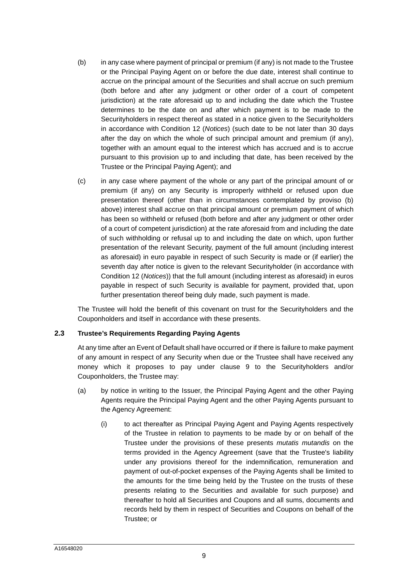- <span id="page-9-1"></span><span id="page-9-0"></span>(b) in any case where payment of principal or premium (if any) is not made to the Trustee or the Principal Paying Agent on or before the due date, interest shall continue to accrue on the principal amount of the Securities and shall accrue on such premium (both before and after any judgment or other order of a court of competent jurisdiction) at the rate aforesaid up to and including the date which the Trustee determines to be the date on and after which payment is to be made to the Securityholders in respect thereof as stated in a notice given to the Securityholders in accordance with Condition 12 (*Notices*) (such date to be not later than 30 days after the day on which the whole of such principal amount and premium (if any), together with an amount equal to the interest which has accrued and is to accrue pursuant to this provision up to and including that date, has been received by the Trustee or the Principal Paying Agent); and
- <span id="page-9-2"></span>(c) in any case where payment of the whole or any part of the principal amount of or premium (if any) on any Security is improperly withheld or refused upon due presentation thereof (other than in circumstances contemplated by proviso [\(b\)](#page-9-0)  above) interest shall accrue on that principal amount or premium payment of which has been so withheld or refused (both before and after any judgment or other order of a court of competent jurisdiction) at the rate aforesaid from and including the date of such withholding or refusal up to and including the date on which, upon further presentation of the relevant Security, payment of the full amount (including interest as aforesaid) in euro payable in respect of such Security is made or (if earlier) the seventh day after notice is given to the relevant Securityholder (in accordance with Condition 12 (*Notices*)) that the full amount (including interest as aforesaid) in euros payable in respect of such Security is available for payment, provided that, upon further presentation thereof being duly made, such payment is made.

The Trustee will hold the benefit of this covenant on trust for the Securityholders and the Couponholders and itself in accordance with these presents.

#### **2.3 Trustee's Requirements Regarding Paying Agents**

<span id="page-9-3"></span>At any time after an Event of Default shall have occurred or if there is failure to make payment of any amount in respect of any Security when due or the Trustee shall have received any money which it proposes to pay under clause [9](#page-15-0) to the Securityholders and/or Couponholders, the Trustee may:

- <span id="page-9-4"></span>(a) by notice in writing to the Issuer, the Principal Paying Agent and the other Paying Agents require the Principal Paying Agent and the other Paying Agents pursuant to the Agency Agreement:
	- (i) to act thereafter as Principal Paying Agent and Paying Agents respectively of the Trustee in relation to payments to be made by or on behalf of the Trustee under the provisions of these presents *mutatis mutandis* on the terms provided in the Agency Agreement (save that the Trustee's liability under any provisions thereof for the indemnification, remuneration and payment of out-of-pocket expenses of the Paying Agents shall be limited to the amounts for the time being held by the Trustee on the trusts of these presents relating to the Securities and available for such purpose) and thereafter to hold all Securities and Coupons and all sums, documents and records held by them in respect of Securities and Coupons on behalf of the Trustee; or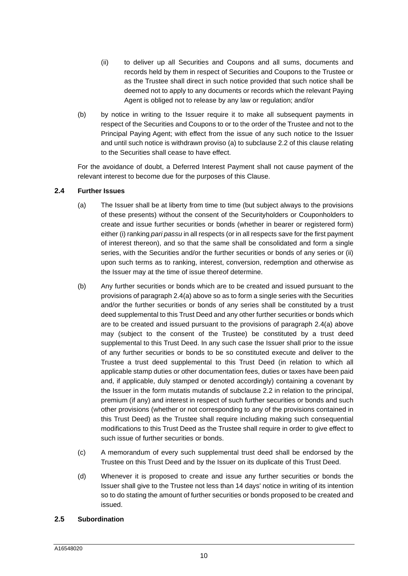- (ii) to deliver up all Securities and Coupons and all sums, documents and records held by them in respect of Securities and Coupons to the Trustee or as the Trustee shall direct in such notice provided that such notice shall be deemed not to apply to any documents or records which the relevant Paying Agent is obliged not to release by any law or regulation; and/or
- (b) by notice in writing to the Issuer require it to make all subsequent payments in respect of the Securities and Coupons to or to the order of the Trustee and not to the Principal Paying Agent; with effect from the issue of any such notice to the Issuer and until such notice is withdrawn proviso [\(a\)](#page-8-1) to subclause [2.2](#page-8-2) of this clause relating to the Securities shall cease to have effect.

<span id="page-10-0"></span>For the avoidance of doubt, a Deferred Interest Payment shall not cause payment of the relevant interest to become due for the purposes of this Clause.

#### **2.4 Further Issues**

- <span id="page-10-1"></span>(a) The Issuer shall be at liberty from time to time (but subject always to the provisions of these presents) without the consent of the Securityholders or Couponholders to create and issue further securities or bonds (whether in bearer or registered form) either (i) ranking *pari passu* in all respects (or in all respects save for the first payment of interest thereon), and so that the same shall be consolidated and form a single series, with the Securities and/or the further securities or bonds of any series or (ii) upon such terms as to ranking, interest, conversion, redemption and otherwise as the Issuer may at the time of issue thereof determine.
- (b) Any further securities or bonds which are to be created and issued pursuant to the provisions of paragraph [2.4](#page-10-0)[\(a\)](#page-10-1) above so as to form a single series with the Securities and/or the further securities or bonds of any series shall be constituted by a trust deed supplemental to this Trust Deed and any other further securities or bonds which are to be created and issued pursuant to the provisions of paragraph [2.4](#page-10-0)[\(a\)](#page-10-1) above may (subject to the consent of the Trustee) be constituted by a trust deed supplemental to this Trust Deed. In any such case the Issuer shall prior to the issue of any further securities or bonds to be so constituted execute and deliver to the Trustee a trust deed supplemental to this Trust Deed (in relation to which all applicable stamp duties or other documentation fees, duties or taxes have been paid and, if applicable, duly stamped or denoted accordingly) containing a covenant by the Issuer in the form mutatis mutandis of subclause [2.2](#page-8-2) in relation to the principal, premium (if any) and interest in respect of such further securities or bonds and such other provisions (whether or not corresponding to any of the provisions contained in this Trust Deed) as the Trustee shall require including making such consequential modifications to this Trust Deed as the Trustee shall require in order to give effect to such issue of further securities or bonds.
- (c) A memorandum of every such supplemental trust deed shall be endorsed by the Trustee on this Trust Deed and by the Issuer on its duplicate of this Trust Deed.
- (d) Whenever it is proposed to create and issue any further securities or bonds the Issuer shall give to the Trustee not less than 14 days' notice in writing of its intention so to do stating the amount of further securities or bonds proposed to be created and issued.

#### **2.5 Subordination**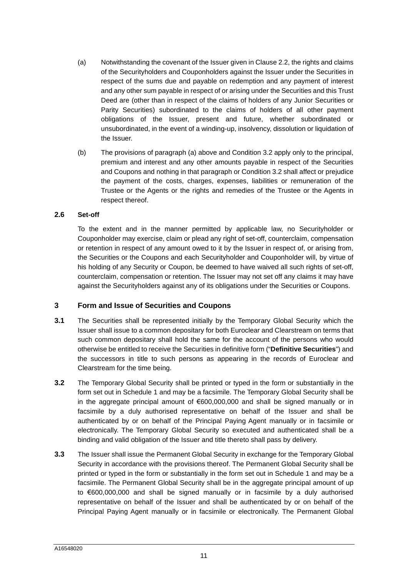- <span id="page-11-3"></span>(a) Notwithstanding the covenant of the Issuer given in Clause [2.2](#page-8-2), the rights and claims of the Securityholders and Couponholders against the Issuer under the Securities in respect of the sums due and payable on redemption and any payment of interest and any other sum payable in respect of or arising under the Securities and this Trust Deed are (other than in respect of the claims of holders of any Junior Securities or Parity Securities) subordinated to the claims of holders of all other payment obligations of the Issuer, present and future, whether subordinated or unsubordinated, in the event of a winding-up, insolvency, dissolution or liquidation of the Issuer.
- (b) The provisions of paragraph [\(a\)](#page-11-3) above and Condition 3.2 apply only to the principal, premium and interest and any other amounts payable in respect of the Securities and Coupons and nothing in that paragraph or Condition 3.2 shall affect or prejudice the payment of the costs, charges, expenses, liabilities or remuneration of the Trustee or the Agents or the rights and remedies of the Trustee or the Agents in respect thereof.

#### **2.6 Set-off**

To the extent and in the manner permitted by applicable law, no Securityholder or Couponholder may exercise, claim or plead any right of set-off, counterclaim, compensation or retention in respect of any amount owed to it by the Issuer in respect of, or arising from, the Securities or the Coupons and each Securityholder and Couponholder will, by virtue of his holding of any Security or Coupon, be deemed to have waived all such rights of set-off, counterclaim, compensation or retention. The Issuer may not set off any claims it may have against the Securityholders against any of its obligations under the Securities or Coupons.

# <span id="page-11-0"></span>**3 Form and Issue of Securities and Coupons**

- <span id="page-11-2"></span>**3.1** The Securities shall be represented initially by the Temporary Global Security which the Issuer shall issue to a common depositary for both Euroclear and Clearstream on terms that such common depositary shall hold the same for the account of the persons who would otherwise be entitled to receive the Securities in definitive form ("**Definitive Securities**") and the successors in title to such persons as appearing in the records of Euroclear and Clearstream for the time being.
- <span id="page-11-4"></span>**3.2** The Temporary Global Security shall be printed or typed in the form or substantially in the form set out in [Schedule 1](#page-36-0) and may be a facsimile. The Temporary Global Security shall be in the aggregate principal amount of €600,000,000 and shall be signed manually or in facsimile by a duly authorised representative on behalf of the Issuer and shall be authenticated by or on behalf of the Principal Paying Agent manually or in facsimile or electronically. The Temporary Global Security so executed and authenticated shall be a binding and valid obligation of the Issuer and title thereto shall pass by delivery.
- <span id="page-11-1"></span>**3.3** The Issuer shall issue the Permanent Global Security in exchange for the Temporary Global Security in accordance with the provisions thereof. The Permanent Global Security shall be printed or typed in the form or substantially in the form set out in [Schedule 1](#page-36-0) and may be a facsimile. The Permanent Global Security shall be in the aggregate principal amount of up to €600,000,000 and shall be signed manually or in facsimile by a duly authorised representative on behalf of the Issuer and shall be authenticated by or on behalf of the Principal Paying Agent manually or in facsimile or electronically. The Permanent Global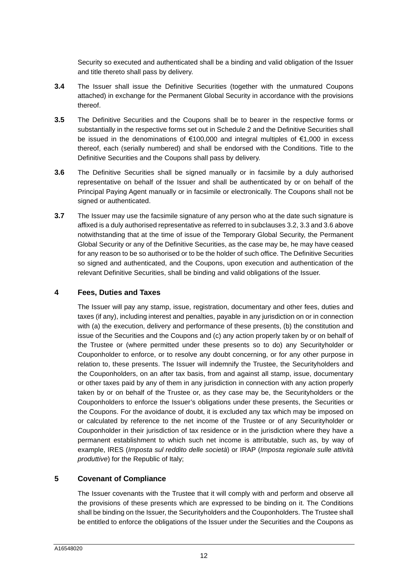Security so executed and authenticated shall be a binding and valid obligation of the Issuer and title thereto shall pass by delivery.

- **3.4** The Issuer shall issue the Definitive Securities (together with the unmatured Coupons attached) in exchange for the Permanent Global Security in accordance with the provisions thereof.
- **3.5** The Definitive Securities and the Coupons shall be to bearer in the respective forms or substantially in the respective forms set out in [Schedule 2](#page-58-0) and the Definitive Securities shall be issued in the denominations of €100,000 and integral multiples of €1,000 in excess thereof, each (serially numbered) and shall be endorsed with the Conditions. Title to the Definitive Securities and the Coupons shall pass by delivery.
- <span id="page-12-2"></span>**3.6** The Definitive Securities shall be signed manually or in facsimile by a duly authorised representative on behalf of the Issuer and shall be authenticated by or on behalf of the Principal Paying Agent manually or in facsimile or electronically. The Coupons shall not be signed or authenticated.
- **3.7** The Issuer may use the facsimile signature of any person who at the date such signature is affixed is a duly authorised representative as referred to in subclauses [3.2,](#page-11-4) [3.3](#page-11-1) and [3.6](#page-12-2) above notwithstanding that at the time of issue of the Temporary Global Security, the Permanent Global Security or any of the Definitive Securities, as the case may be, he may have ceased for any reason to be so authorised or to be the holder of such office. The Definitive Securities so signed and authenticated, and the Coupons, upon execution and authentication of the relevant Definitive Securities, shall be binding and valid obligations of the Issuer.

# **4 Fees, Duties and Taxes**

<span id="page-12-0"></span>The Issuer will pay any stamp, issue, registration, documentary and other fees, duties and taxes (if any), including interest and penalties, payable in any jurisdiction on or in connection with (a) the execution, delivery and performance of these presents, (b) the constitution and issue of the Securities and the Coupons and (c) any action properly taken by or on behalf of the Trustee or (where permitted under these presents so to do) any Securityholder or Couponholder to enforce, or to resolve any doubt concerning, or for any other purpose in relation to, these presents. The Issuer will indemnify the Trustee, the Securityholders and the Couponholders, on an after tax basis, from and against all stamp, issue, documentary or other taxes paid by any of them in any jurisdiction in connection with any action properly taken by or on behalf of the Trustee or, as they case may be, the Securityholders or the Couponholders to enforce the Issuer's obligations under these presents, the Securities or the Coupons. For the avoidance of doubt, it is excluded any tax which may be imposed on or calculated by reference to the net income of the Trustee or of any Securityholder or Couponholder in their jurisdiction of tax residence or in the jurisdiction where they have a permanent establishment to which such net income is attributable, such as, by way of example, IRES (*Imposta sul reddito delle società*) or IRAP (*Imposta regionale sulle attività produttive*) for the Republic of Italy;

# **5 Covenant of Compliance**

<span id="page-12-1"></span>The Issuer covenants with the Trustee that it will comply with and perform and observe all the provisions of these presents which are expressed to be binding on it. The Conditions shall be binding on the Issuer, the Securityholders and the Couponholders. The Trustee shall be entitled to enforce the obligations of the Issuer under the Securities and the Coupons as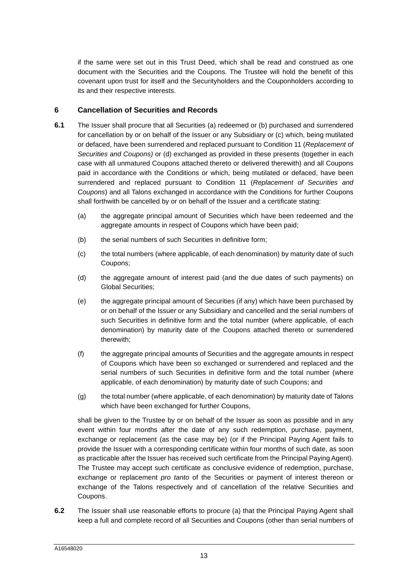if the same were set out in this Trust Deed, which shall be read and construed as one document with the Securities and the Coupons. The Trustee will hold the benefit of this covenant upon trust for itself and the Securityholders and the Couponholders according to its and their respective interests.

# <span id="page-13-0"></span>**6 Cancellation of Securities and Records**

- **6.1** The Issuer shall procure that all Securities (a) redeemed or (b) purchased and surrendered for cancellation by or on behalf of the Issuer or any Subsidiary or (c) which, being mutilated or defaced, have been surrendered and replaced pursuant to Condition 11 (*Replacement of Securities and Coupons)* or (d) exchanged as provided in these presents (together in each case with all unmatured Coupons attached thereto or delivered therewith) and all Coupons paid in accordance with the Conditions or which, being mutilated or defaced, have been surrendered and replaced pursuant to Condition 11 (*Replacement of Securities and Coupons*) and all Talons exchanged in accordance with the Conditions for further Coupons shall forthwith be cancelled by or on behalf of the Issuer and a certificate stating:
	- (a) the aggregate principal amount of Securities which have been redeemed and the aggregate amounts in respect of Coupons which have been paid;
	- (b) the serial numbers of such Securities in definitive form;
	- (c) the total numbers (where applicable, of each denomination) by maturity date of such Coupons;
	- (d) the aggregate amount of interest paid (and the due dates of such payments) on Global Securities;
	- (e) the aggregate principal amount of Securities (if any) which have been purchased by or on behalf of the Issuer or any Subsidiary and cancelled and the serial numbers of such Securities in definitive form and the total number (where applicable, of each denomination) by maturity date of the Coupons attached thereto or surrendered therewith;
	- (f) the aggregate principal amounts of Securities and the aggregate amounts in respect of Coupons which have been so exchanged or surrendered and replaced and the serial numbers of such Securities in definitive form and the total number (where applicable, of each denomination) by maturity date of such Coupons; and
	- (g) the total number (where applicable, of each denomination) by maturity date of Talons which have been exchanged for further Coupons,

shall be given to the Trustee by or on behalf of the Issuer as soon as possible and in any event within four months after the date of any such redemption, purchase, payment, exchange or replacement (as the case may be) (or if the Principal Paying Agent fails to provide the Issuer with a corresponding certificate within four months of such date, as soon as practicable after the Issuer has received such certificate from the Principal Paying Agent). The Trustee may accept such certificate as conclusive evidence of redemption, purchase, exchange or replacement *pro tanto* of the Securities or payment of interest thereon or exchange of the Talons respectively and of cancellation of the relative Securities and Coupons.

**6.2** The Issuer shall use reasonable efforts to procure (a) that the Principal Paying Agent shall keep a full and complete record of all Securities and Coupons (other than serial numbers of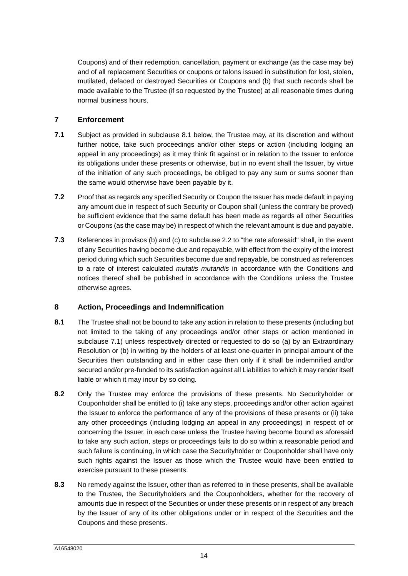Coupons) and of their redemption, cancellation, payment or exchange (as the case may be) and of all replacement Securities or coupons or talons issued in substitution for lost, stolen, mutilated, defaced or destroyed Securities or Coupons and (b) that such records shall be made available to the Trustee (if so requested by the Trustee) at all reasonable times during normal business hours.

# <span id="page-14-0"></span>**7 Enforcement**

- <span id="page-14-3"></span>**7.1** Subject as provided in subclause [8.1](#page-14-2) below, the Trustee may, at its discretion and without further notice, take such proceedings and/or other steps or action (including lodging an appeal in any proceedings) as it may think fit against or in relation to the Issuer to enforce its obligations under these presents or otherwise, but in no event shall the Issuer, by virtue of the initiation of any such proceedings, be obliged to pay any sum or sums sooner than the same would otherwise have been payable by it.
- **7.2** Proof that as regards any specified Security or Coupon the Issuer has made default in paying any amount due in respect of such Security or Coupon shall (unless the contrary be proved) be sufficient evidence that the same default has been made as regards all other Securities or Coupons (as the case may be) in respect of which the relevant amount is due and payable.
- **7.3** References in provisos [\(b\)](#page-9-1) and [\(c\)](#page-9-2) to subclause [2.2](#page-8-2) to "the rate aforesaid" shall, in the event of any Securities having become due and repayable, with effect from the expiry of the interest period during which such Securities become due and repayable, be construed as references to a rate of interest calculated *mutatis mutandis* in accordance with the Conditions and notices thereof shall be published in accordance with the Conditions unless the Trustee otherwise agrees.

# <span id="page-14-1"></span>**8 Action, Proceedings and Indemnification**

- <span id="page-14-2"></span>**8.1** The Trustee shall not be bound to take any action in relation to these presents (including but not limited to the taking of any proceedings and/or other steps or action mentioned in subclause [7.1\)](#page-14-3) unless respectively directed or requested to do so (a) by an Extraordinary Resolution or (b) in writing by the holders of at least one-quarter in principal amount of the Securities then outstanding and in either case then only if it shall be indemnified and/or secured and/or pre-funded to its satisfaction against all Liabilities to which it may render itself liable or which it may incur by so doing.
- **8.2** Only the Trustee may enforce the provisions of these presents. No Securityholder or Couponholder shall be entitled to (i) take any steps, proceedings and/or other action against the Issuer to enforce the performance of any of the provisions of these presents or (ii) take any other proceedings (including lodging an appeal in any proceedings) in respect of or concerning the Issuer, in each case unless the Trustee having become bound as aforesaid to take any such action, steps or proceedings fails to do so within a reasonable period and such failure is continuing, in which case the Securityholder or Couponholder shall have only such rights against the Issuer as those which the Trustee would have been entitled to exercise pursuant to these presents.
- **8.3** No remedy against the Issuer, other than as referred to in these presents, shall be available to the Trustee, the Securityholders and the Couponholders, whether for the recovery of amounts due in respect of the Securities or under these presents or in respect of any breach by the Issuer of any of its other obligations under or in respect of the Securities and the Coupons and these presents.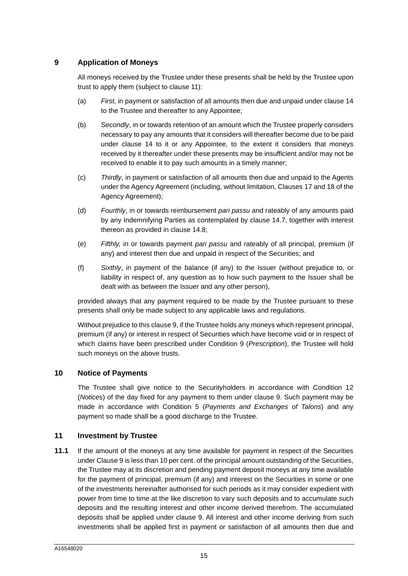# **9 Application of Moneys**

<span id="page-15-0"></span>All moneys received by the Trustee under these presents shall be held by the Trustee upon trust to apply them (subject to clause [11](#page-15-2)):

- (a) *First,* in payment or satisfaction of all amounts then due and unpaid under clause [14](#page-19-0)  to the Trustee and thereafter to any Appointee;
- (b) *Secondly*, in or towards retention of an amount which the Trustee properly considers necessary to pay any amounts that it considers will thereafter become due to be paid under clause [14](#page-19-0) to it or any Appointee, to the extent it considers that moneys received by it thereafter under these presents may be insufficient and/or may not be received to enable it to pay such amounts in a timely manner;
- (c) *Thirdly*, in payment or satisfaction of all amounts then due and unpaid to the Agents under the Agency Agreement (including, without limitation, Clauses 17 and 18 of the Agency Agreement);
- (d) *Fourthly*, in or towards reimbursement *pari passu* and rateably of any amounts paid by any Indemnifying Parties as contemplated by clause [14.7,](#page-20-0) together with interest thereon as provided in clause [14.8](#page-20-1);
- (e) *Fifthly,* in or towards payment *pari passu* and rateably of all principal, premium (if any) and interest then due and unpaid in respect of the Securities; and
- (f) *Sixthly*, in payment of the balance (if any) to the Issuer (without prejudice to, or liability in respect of, any question as to how such payment to the Issuer shall be dealt with as between the Issuer and any other person),

provided always that any payment required to be made by the Trustee pursuant to these presents shall only be made subject to any applicable laws and regulations.

Without prejudice to this clause [9,](#page-15-0) if the Trustee holds any moneys which represent principal, premium (if any) or interest in respect of Securities which have become void or in respect of which claims have been prescribed under Condition 9 (*Prescription*), the Trustee will hold such moneys on the above trusts.

#### **10 Notice of Payments**

<span id="page-15-1"></span>The Trustee shall give notice to the Securityholders in accordance with Condition 12 (*Notices*) of the day fixed for any payment to them under clause [9.](#page-15-0) Such payment may be made in accordance with Condition 5 (*Payments and Exchanges of Talons*) and any payment so made shall be a good discharge to the Trustee.

#### <span id="page-15-2"></span>**11 Investment by Trustee**

**11.1** If the amount of the moneys at any time available for payment in respect of the Securities under Clause [9](#page-15-0) is less than 10 per cent. of the principal amount outstanding of the Securities, the Trustee may at its discretion and pending payment deposit moneys at any time available for the payment of principal, premium (if any) and interest on the Securities in some or one of the investments hereinafter authorised for such periods as it may consider expedient with power from time to time at the like discretion to vary such deposits and to accumulate such deposits and the resulting interest and other income derived therefrom. The accumulated deposits shall be applied under clause [9.](#page-15-0) All interest and other income deriving from such investments shall be applied first in payment or satisfaction of all amounts then due and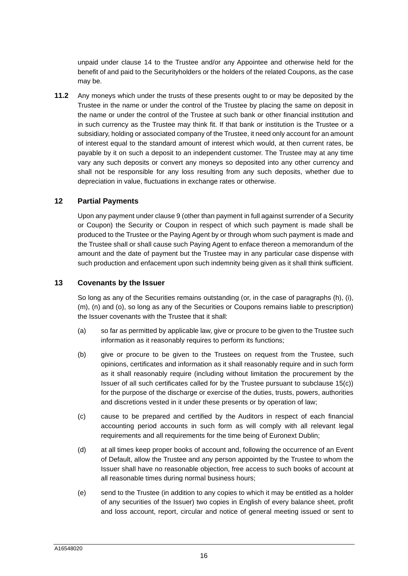unpaid under clause [14](#page-19-0) to the Trustee and/or any Appointee and otherwise held for the benefit of and paid to the Securityholders or the holders of the related Coupons, as the case may be.

**11.2** Any moneys which under the trusts of these presents ought to or may be deposited by the Trustee in the name or under the control of the Trustee by placing the same on deposit in the name or under the control of the Trustee at such bank or other financial institution and in such currency as the Trustee may think fit. If that bank or institution is the Trustee or a subsidiary, holding or associated company of the Trustee, it need only account for an amount of interest equal to the standard amount of interest which would, at then current rates, be payable by it on such a deposit to an independent customer. The Trustee may at any time vary any such deposits or convert any moneys so deposited into any other currency and shall not be responsible for any loss resulting from any such deposits, whether due to depreciation in value, fluctuations in exchange rates or otherwise.

# **12 Partial Payments**

<span id="page-16-0"></span>Upon any payment under clause [9](#page-15-0) (other than payment in full against surrender of a Security or Coupon) the Security or Coupon in respect of which such payment is made shall be produced to the Trustee or the Paying Agent by or through whom such payment is made and the Trustee shall or shall cause such Paying Agent to enface thereon a memorandum of the amount and the date of payment but the Trustee may in any particular case dispense with such production and enfacement upon such indemnity being given as it shall think sufficient.

#### **13 Covenants by the Issuer**

<span id="page-16-1"></span>So long as any of the Securities remains outstanding (or, in the case of paragraphs [\(h\),](#page-17-0) [\(i\)](#page-17-1), [\(m\)](#page-18-1), [\(n\)](#page-18-2) and [\(o\)](#page-18-3), so long as any of the Securities or Coupons remains liable to prescription) the Issuer covenants with the Trustee that it shall:

- (a) so far as permitted by applicable law, give or procure to be given to the Trustee such information as it reasonably requires to perform its functions;
- (b) give or procure to be given to the Trustees on request from the Trustee, such opinions, certificates and information as it shall reasonably require and in such form as it shall reasonably require (including without limitation the procurement by the Issuer of all such certificates called for by the Trustee pursuant to subclause [15](#page-21-0)[\(c\)\)](#page-21-1) for the purpose of the discharge or exercise of the duties, trusts, powers, authorities and discretions vested in it under these presents or by operation of law;
- (c) cause to be prepared and certified by the Auditors in respect of each financial accounting period accounts in such form as will comply with all relevant legal requirements and all requirements for the time being of Euronext Dublin;
- (d) at all times keep proper books of account and, following the occurrence of an Event of Default, allow the Trustee and any person appointed by the Trustee to whom the Issuer shall have no reasonable objection, free access to such books of account at all reasonable times during normal business hours;
- (e) send to the Trustee (in addition to any copies to which it may be entitled as a holder of any securities of the Issuer) two copies in English of every balance sheet, profit and loss account, report, circular and notice of general meeting issued or sent to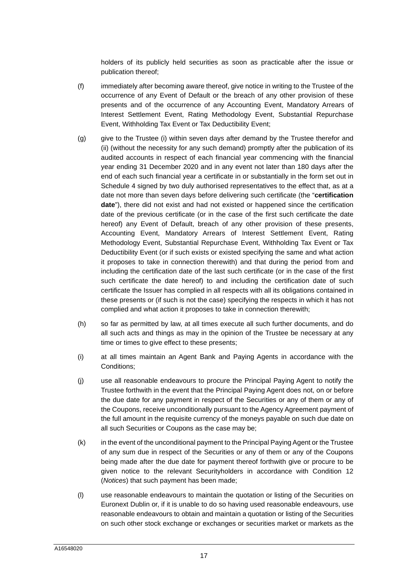holders of its publicly held securities as soon as practicable after the issue or publication thereof;

- (f) immediately after becoming aware thereof, give notice in writing to the Trustee of the occurrence of any Event of Default or the breach of any other provision of these presents and of the occurrence of any Accounting Event, Mandatory Arrears of Interest Settlement Event, Rating Methodology Event, Substantial Repurchase Event, Withholding Tax Event or Tax Deductibility Event;
- (g) give to the Trustee (i) within seven days after demand by the Trustee therefor and (ii) (without the necessity for any such demand) promptly after the publication of its audited accounts in respect of each financial year commencing with the financial year ending 31 December 2020 and in any event not later than 180 days after the end of each such financial year a certificate in or substantially in the form set out in [Schedule 4](#page-103-0) signed by two duly authorised representatives to the effect that, as at a date not more than seven days before delivering such certificate (the "**certification date**"), there did not exist and had not existed or happened since the certification date of the previous certificate (or in the case of the first such certificate the date hereof) any Event of Default, breach of any other provision of these presents, Accounting Event, Mandatory Arrears of Interest Settlement Event, Rating Methodology Event, Substantial Repurchase Event, Withholding Tax Event or Tax Deductibility Event (or if such exists or existed specifying the same and what action it proposes to take in connection therewith) and that during the period from and including the certification date of the last such certificate (or in the case of the first such certificate the date hereof) to and including the certification date of such certificate the Issuer has complied in all respects with all its obligations contained in these presents or (if such is not the case) specifying the respects in which it has not complied and what action it proposes to take in connection therewith;
- <span id="page-17-0"></span>(h) so far as permitted by law, at all times execute all such further documents, and do all such acts and things as may in the opinion of the Trustee be necessary at any time or times to give effect to these presents;
- <span id="page-17-1"></span>(i) at all times maintain an Agent Bank and Paying Agents in accordance with the Conditions;
- (j) use all reasonable endeavours to procure the Principal Paying Agent to notify the Trustee forthwith in the event that the Principal Paying Agent does not, on or before the due date for any payment in respect of the Securities or any of them or any of the Coupons, receive unconditionally pursuant to the Agency Agreement payment of the full amount in the requisite currency of the moneys payable on such due date on all such Securities or Coupons as the case may be;
- (k) in the event of the unconditional payment to the Principal Paying Agent or the Trustee of any sum due in respect of the Securities or any of them or any of the Coupons being made after the due date for payment thereof forthwith give or procure to be given notice to the relevant Securityholders in accordance with Condition 12 (*Notices*) that such payment has been made;
- (l) use reasonable endeavours to maintain the quotation or listing of the Securities on Euronext Dublin or, if it is unable to do so having used reasonable endeavours, use reasonable endeavours to obtain and maintain a quotation or listing of the Securities on such other stock exchange or exchanges or securities market or markets as the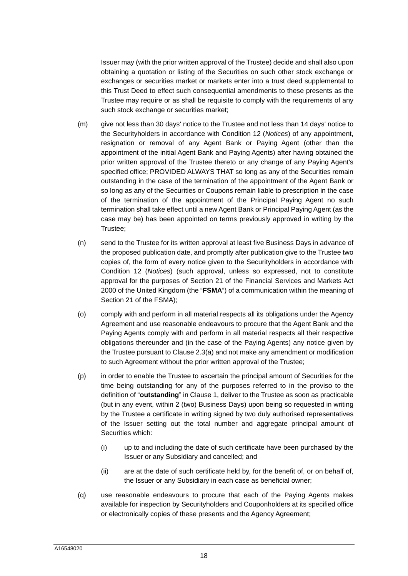Issuer may (with the prior written approval of the Trustee) decide and shall also upon obtaining a quotation or listing of the Securities on such other stock exchange or exchanges or securities market or markets enter into a trust deed supplemental to this Trust Deed to effect such consequential amendments to these presents as the Trustee may require or as shall be requisite to comply with the requirements of any such stock exchange or securities market;

- <span id="page-18-1"></span><span id="page-18-0"></span>(m) give not less than 30 days' notice to the Trustee and not less than 14 days' notice to the Securityholders in accordance with Condition 12 (*Notices*) of any appointment, resignation or removal of any Agent Bank or Paying Agent (other than the appointment of the initial Agent Bank and Paying Agents) after having obtained the prior written approval of the Trustee thereto or any change of any Paying Agent's specified office; PROVIDED ALWAYS THAT so long as any of the Securities remain outstanding in the case of the termination of the appointment of the Agent Bank or so long as any of the Securities or Coupons remain liable to prescription in the case of the termination of the appointment of the Principal Paying Agent no such termination shall take effect until a new Agent Bank or Principal Paying Agent (as the case may be) has been appointed on terms previously approved in writing by the Trustee;
- <span id="page-18-2"></span>(n) send to the Trustee for its written approval at least five Business Days in advance of the proposed publication date, and promptly after publication give to the Trustee two copies of, the form of every notice given to the Securityholders in accordance with Condition 12 (*Notices*) (such approval, unless so expressed, not to constitute approval for the purposes of Section 21 of the Financial Services and Markets Act 2000 of the United Kingdom (the "**FSMA**") of a communication within the meaning of Section 21 of the FSMA);
- <span id="page-18-3"></span>(o) comply with and perform in all material respects all its obligations under the Agency Agreement and use reasonable endeavours to procure that the Agent Bank and the Paying Agents comply with and perform in all material respects all their respective obligations thereunder and (in the case of the Paying Agents) any notice given by the Trustee pursuant to Clause [2.3](#page-9-3)[\(a\)](#page-9-4) and not make any amendment or modification to such Agreement without the prior written approval of the Trustee;
- <span id="page-18-4"></span>(p) in order to enable the Trustee to ascertain the principal amount of Securities for the time being outstanding for any of the purposes referred to in the proviso to the definition of "**outstanding**" in Clause [1,](#page-3-0) deliver to the Trustee as soon as practicable (but in any event, within 2 (two) Business Days) upon being so requested in writing by the Trustee a certificate in writing signed by two duly authorised representatives of the Issuer setting out the total number and aggregate principal amount of Securities which:
	- (i) up to and including the date of such certificate have been purchased by the Issuer or any Subsidiary and cancelled; and
	- (ii) are at the date of such certificate held by, for the benefit of, or on behalf of, the Issuer or any Subsidiary in each case as beneficial owner;
- (q) use reasonable endeavours to procure that each of the Paying Agents makes available for inspection by Securityholders and Couponholders at its specified office or electronically copies of these presents and the Agency Agreement;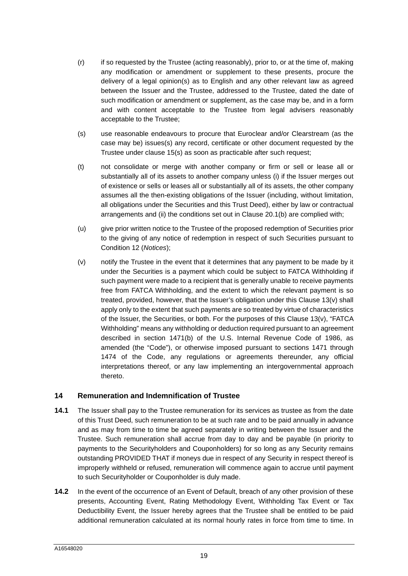- (r) if so requested by the Trustee (acting reasonably), prior to, or at the time of, making any modification or amendment or supplement to these presents, procure the delivery of a legal opinion(s) as to English and any other relevant law as agreed between the Issuer and the Trustee, addressed to the Trustee, dated the date of such modification or amendment or supplement, as the case may be, and in a form and with content acceptable to the Trustee from legal advisers reasonably acceptable to the Trustee;
- (s) use reasonable endeavours to procure that Euroclear and/or Clearstream (as the case may be) issues(s) any record, certificate or other document requested by the Trustee under clause [15](#page-21-0)[\(s\)](#page-24-0) as soon as practicable after such request;
- (t) not consolidate or merge with another company or firm or sell or lease all or substantially all of its assets to another company unless (i) if the Issuer merges out of existence or sells or leases all or substantially all of its assets, the other company assumes all the then-existing obligations of the Issuer (including, without limitation, all obligations under the Securities and this Trust Deed), either by law or contractual arrangements and (ii) the conditions set out in Clause [20.1](#page-29-1)[\(b\)](#page-29-2) are complied with;
- (u) give prior written notice to the Trustee of the proposed redemption of Securities prior to the giving of any notice of redemption in respect of such Securities pursuant to Condition 12 (*Notices*);
- (v) notify the Trustee in the event that it determines that any payment to be made by it under the Securities is a payment which could be subject to FATCA Withholding if such payment were made to a recipient that is generally unable to receive payments free from FATCA Withholding, and the extent to which the relevant payment is so treated, provided, however, that the Issuer's obligation under this Clause 13(v) shall apply only to the extent that such payments are so treated by virtue of characteristics of the Issuer, the Securities, or both. For the purposes of this Clause 13(v), "FATCA Withholding" means any withholding or deduction required pursuant to an agreement described in section 1471(b) of the U.S. Internal Revenue Code of 1986, as amended (the "Code"), or otherwise imposed pursuant to sections 1471 through 1474 of the Code, any regulations or agreements thereunder, any official interpretations thereof, or any law implementing an intergovernmental approach thereto.

# <span id="page-19-0"></span>**14 Remuneration and Indemnification of Trustee**

- <span id="page-19-1"></span>**14.1** The Issuer shall pay to the Trustee remuneration for its services as trustee as from the date of this Trust Deed, such remuneration to be at such rate and to be paid annually in advance and as may from time to time be agreed separately in writing between the Issuer and the Trustee. Such remuneration shall accrue from day to day and be payable (in priority to payments to the Securityholders and Couponholders) for so long as any Security remains outstanding PROVIDED THAT if moneys due in respect of any Security in respect thereof is improperly withheld or refused, remuneration will commence again to accrue until payment to such Securityholder or Couponholder is duly made.
- <span id="page-19-2"></span>**14.2** In the event of the occurrence of an Event of Default, breach of any other provision of these presents, Accounting Event, Rating Methodology Event, Withholding Tax Event or Tax Deductibility Event, the Issuer hereby agrees that the Trustee shall be entitled to be paid additional remuneration calculated at its normal hourly rates in force from time to time. In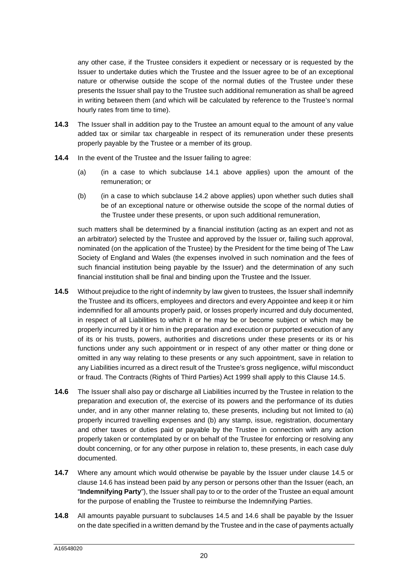any other case, if the Trustee considers it expedient or necessary or is requested by the Issuer to undertake duties which the Trustee and the Issuer agree to be of an exceptional nature or otherwise outside the scope of the normal duties of the Trustee under these presents the Issuer shall pay to the Trustee such additional remuneration as shall be agreed in writing between them (and which will be calculated by reference to the Trustee's normal hourly rates from time to time).

- **14.3** The Issuer shall in addition pay to the Trustee an amount equal to the amount of any value added tax or similar tax chargeable in respect of its remuneration under these presents properly payable by the Trustee or a member of its group.
- **14.4** In the event of the Trustee and the Issuer failing to agree:
	- (a) (in a case to which subclause [14.1](#page-19-1) above applies) upon the amount of the remuneration; or
	- (b) (in a case to which subclause [14.2](#page-19-2) above applies) upon whether such duties shall be of an exceptional nature or otherwise outside the scope of the normal duties of the Trustee under these presents, or upon such additional remuneration,

such matters shall be determined by a financial institution (acting as an expert and not as an arbitrator) selected by the Trustee and approved by the Issuer or, failing such approval, nominated (on the application of the Trustee) by the President for the time being of The Law Society of England and Wales (the expenses involved in such nomination and the fees of such financial institution being payable by the Issuer) and the determination of any such financial institution shall be final and binding upon the Trustee and the Issuer.

- <span id="page-20-2"></span>**14.5** Without prejudice to the right of indemnity by law given to trustees, the Issuer shall indemnify the Trustee and its officers, employees and directors and every Appointee and keep it or him indemnified for all amounts properly paid, or losses properly incurred and duly documented, in respect of all Liabilities to which it or he may be or become subject or which may be properly incurred by it or him in the preparation and execution or purported execution of any of its or his trusts, powers, authorities and discretions under these presents or its or his functions under any such appointment or in respect of any other matter or thing done or omitted in any way relating to these presents or any such appointment, save in relation to any Liabilities incurred as a direct result of the Trustee's gross negligence, wilful misconduct or fraud. The Contracts (Rights of Third Parties) Act 1999 shall apply to this Clause [14.5](#page-20-2).
- <span id="page-20-3"></span>**14.6** The Issuer shall also pay or discharge all Liabilities incurred by the Trustee in relation to the preparation and execution of, the exercise of its powers and the performance of its duties under, and in any other manner relating to, these presents, including but not limited to (a) properly incurred travelling expenses and (b) any stamp, issue, registration, documentary and other taxes or duties paid or payable by the Trustee in connection with any action properly taken or contemplated by or on behalf of the Trustee for enforcing or resolving any doubt concerning, or for any other purpose in relation to, these presents, in each case duly documented.
- <span id="page-20-0"></span>**14.7** Where any amount which would otherwise be payable by the Issuer under clause [14.5](#page-20-2) or clause [14.6](#page-20-3) has instead been paid by any person or persons other than the Issuer (each, an "**Indemnifying Party**"), the Issuer shall pay to or to the order of the Trustee an equal amount for the purpose of enabling the Trustee to reimburse the Indemnifying Parties.
- <span id="page-20-1"></span>**14.8** All amounts payable pursuant to subclauses [14.5](#page-20-2) and [14.6](#page-20-3) shall be payable by the Issuer on the date specified in a written demand by the Trustee and in the case of payments actually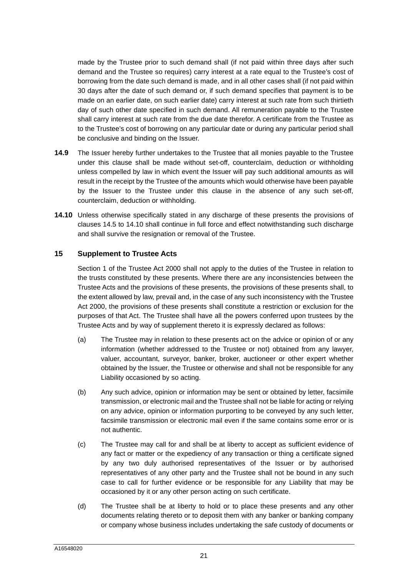made by the Trustee prior to such demand shall (if not paid within three days after such demand and the Trustee so requires) carry interest at a rate equal to the Trustee's cost of borrowing from the date such demand is made, and in all other cases shall (if not paid within 30 days after the date of such demand or, if such demand specifies that payment is to be made on an earlier date, on such earlier date) carry interest at such rate from such thirtieth day of such other date specified in such demand. All remuneration payable to the Trustee shall carry interest at such rate from the due date therefor. A certificate from the Trustee as to the Trustee's cost of borrowing on any particular date or during any particular period shall be conclusive and binding on the Issuer.

- **14.9** The Issuer hereby further undertakes to the Trustee that all monies payable to the Trustee under this clause shall be made without set-off, counterclaim, deduction or withholding unless compelled by law in which event the Issuer will pay such additional amounts as will result in the receipt by the Trustee of the amounts which would otherwise have been payable by the Issuer to the Trustee under this clause in the absence of any such set-off, counterclaim, deduction or withholding.
- <span id="page-21-2"></span>**14.10** Unless otherwise specifically stated in any discharge of these presents the provisions of clauses [14.5](#page-20-2) to [14.10](#page-21-2) shall continue in full force and effect notwithstanding such discharge and shall survive the resignation or removal of the Trustee.

# **15 Supplement to Trustee Acts**

<span id="page-21-0"></span>Section 1 of the Trustee Act 2000 shall not apply to the duties of the Trustee in relation to the trusts constituted by these presents. Where there are any inconsistencies between the Trustee Acts and the provisions of these presents, the provisions of these presents shall, to the extent allowed by law, prevail and, in the case of any such inconsistency with the Trustee Act 2000, the provisions of these presents shall constitute a restriction or exclusion for the purposes of that Act. The Trustee shall have all the powers conferred upon trustees by the Trustee Acts and by way of supplement thereto it is expressly declared as follows:

- (a) The Trustee may in relation to these presents act on the advice or opinion of or any information (whether addressed to the Trustee or not) obtained from any lawyer, valuer, accountant, surveyor, banker, broker, auctioneer or other expert whether obtained by the Issuer, the Trustee or otherwise and shall not be responsible for any Liability occasioned by so acting.
- (b) Any such advice, opinion or information may be sent or obtained by letter, facsimile transmission, or electronic mail and the Trustee shall not be liable for acting or relying on any advice, opinion or information purporting to be conveyed by any such letter, facsimile transmission or electronic mail even if the same contains some error or is not authentic.
- <span id="page-21-1"></span>(c) The Trustee may call for and shall be at liberty to accept as sufficient evidence of any fact or matter or the expediency of any transaction or thing a certificate signed by any two duly authorised representatives of the Issuer or by authorised representatives of any other party and the Trustee shall not be bound in any such case to call for further evidence or be responsible for any Liability that may be occasioned by it or any other person acting on such certificate.
- (d) The Trustee shall be at liberty to hold or to place these presents and any other documents relating thereto or to deposit them with any banker or banking company or company whose business includes undertaking the safe custody of documents or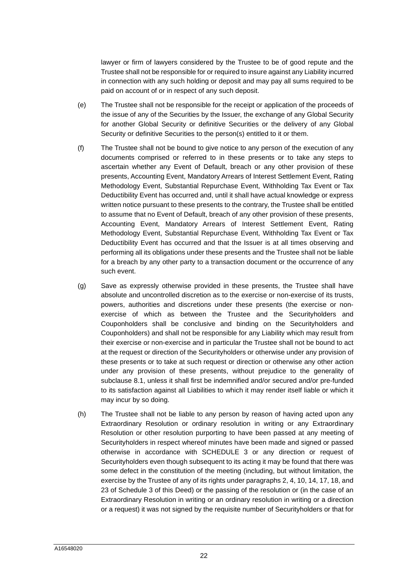lawyer or firm of lawyers considered by the Trustee to be of good repute and the Trustee shall not be responsible for or required to insure against any Liability incurred in connection with any such holding or deposit and may pay all sums required to be paid on account of or in respect of any such deposit.

- (e) The Trustee shall not be responsible for the receipt or application of the proceeds of the issue of any of the Securities by the Issuer, the exchange of any Global Security for another Global Security or definitive Securities or the delivery of any Global Security or definitive Securities to the person(s) entitled to it or them.
- (f) The Trustee shall not be bound to give notice to any person of the execution of any documents comprised or referred to in these presents or to take any steps to ascertain whether any Event of Default, breach or any other provision of these presents, Accounting Event, Mandatory Arrears of Interest Settlement Event, Rating Methodology Event, Substantial Repurchase Event, Withholding Tax Event or Tax Deductibility Event has occurred and, until it shall have actual knowledge or express written notice pursuant to these presents to the contrary, the Trustee shall be entitled to assume that no Event of Default, breach of any other provision of these presents, Accounting Event, Mandatory Arrears of Interest Settlement Event, Rating Methodology Event, Substantial Repurchase Event, Withholding Tax Event or Tax Deductibility Event has occurred and that the Issuer is at all times observing and performing all its obligations under these presents and the Trustee shall not be liable for a breach by any other party to a transaction document or the occurrence of any such event.
- (g) Save as expressly otherwise provided in these presents, the Trustee shall have absolute and uncontrolled discretion as to the exercise or non-exercise of its trusts, powers, authorities and discretions under these presents (the exercise or nonexercise of which as between the Trustee and the Securityholders and Couponholders shall be conclusive and binding on the Securityholders and Couponholders) and shall not be responsible for any Liability which may result from their exercise or non-exercise and in particular the Trustee shall not be bound to act at the request or direction of the Securityholders or otherwise under any provision of these presents or to take at such request or direction or otherwise any other action under any provision of these presents, without prejudice to the generality of subclause [8.1](#page-14-2), unless it shall first be indemnified and/or secured and/or pre-funded to its satisfaction against all Liabilities to which it may render itself liable or which it may incur by so doing.
- (h) The Trustee shall not be liable to any person by reason of having acted upon any Extraordinary Resolution or ordinary resolution in writing or any Extraordinary Resolution or other resolution purporting to have been passed at any meeting of Securityholders in respect whereof minutes have been made and signed or passed [otherwise in accordance with SCHEDULE 3 or any direction or request of](#page-95-0)  Securityholders even though subsequent to its acting it may be found that there was some defect in the constitution of the meeting (including, but without limitation, the exercise by the Trustee of any of its rights under paragraphs 2, 4, 10, 14, 17, 18, and 23 of Schedule 3 of this Deed) or the passing of the resolution or (in the case of an Extraordinary Resolution in writing or an ordinary resolution in writing or a direction or a request) it was not signed by the requisite number of Securityholders or that for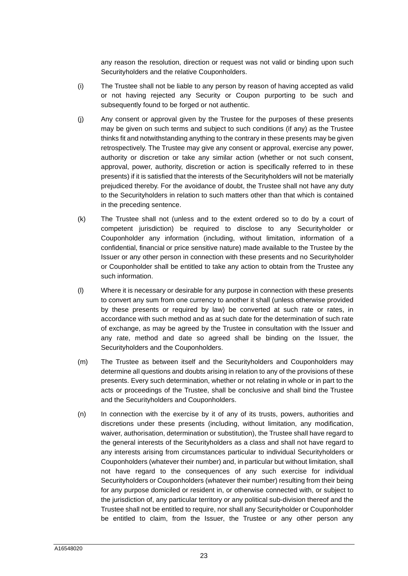any reason the resolution, direction or request was not valid or binding upon such Securityholders and the relative Couponholders.

- (i) The Trustee shall not be liable to any person by reason of having accepted as valid or not having rejected any Security or Coupon purporting to be such and subsequently found to be forged or not authentic.
- (j) Any consent or approval given by the Trustee for the purposes of these presents may be given on such terms and subject to such conditions (if any) as the Trustee thinks fit and notwithstanding anything to the contrary in these presents may be given retrospectively. The Trustee may give any consent or approval, exercise any power, authority or discretion or take any similar action (whether or not such consent, approval, power, authority, discretion or action is specifically referred to in these presents) if it is satisfied that the interests of the Securityholders will not be materially prejudiced thereby. For the avoidance of doubt, the Trustee shall not have any duty to the Securityholders in relation to such matters other than that which is contained in the preceding sentence.
- (k) The Trustee shall not (unless and to the extent ordered so to do by a court of competent jurisdiction) be required to disclose to any Securityholder or Couponholder any information (including, without limitation, information of a confidential, financial or price sensitive nature) made available to the Trustee by the Issuer or any other person in connection with these presents and no Securityholder or Couponholder shall be entitled to take any action to obtain from the Trustee any such information.
- (l) Where it is necessary or desirable for any purpose in connection with these presents to convert any sum from one currency to another it shall (unless otherwise provided by these presents or required by law) be converted at such rate or rates, in accordance with such method and as at such date for the determination of such rate of exchange, as may be agreed by the Trustee in consultation with the Issuer and any rate, method and date so agreed shall be binding on the Issuer, the Securityholders and the Couponholders.
- (m) The Trustee as between itself and the Securityholders and Couponholders may determine all questions and doubts arising in relation to any of the provisions of these presents. Every such determination, whether or not relating in whole or in part to the acts or proceedings of the Trustee, shall be conclusive and shall bind the Trustee and the Securityholders and Couponholders.
- (n) In connection with the exercise by it of any of its trusts, powers, authorities and discretions under these presents (including, without limitation, any modification, waiver, authorisation, determination or substitution), the Trustee shall have regard to the general interests of the Securityholders as a class and shall not have regard to any interests arising from circumstances particular to individual Securityholders or Couponholders (whatever their number) and, in particular but without limitation, shall not have regard to the consequences of any such exercise for individual Securityholders or Couponholders (whatever their number) resulting from their being for any purpose domiciled or resident in, or otherwise connected with, or subject to the jurisdiction of, any particular territory or any political sub-division thereof and the Trustee shall not be entitled to require, nor shall any Securityholder or Couponholder be entitled to claim, from the Issuer, the Trustee or any other person any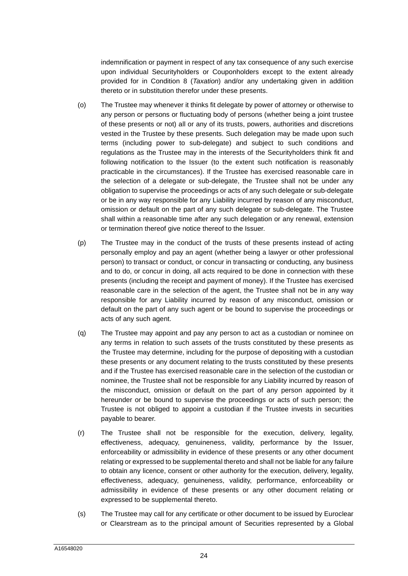indemnification or payment in respect of any tax consequence of any such exercise upon individual Securityholders or Couponholders except to the extent already provided for in Condition 8 (*Taxation*) and/or any undertaking given in addition thereto or in substitution therefor under these presents.

- (o) The Trustee may whenever it thinks fit delegate by power of attorney or otherwise to any person or persons or fluctuating body of persons (whether being a joint trustee of these presents or not) all or any of its trusts, powers, authorities and discretions vested in the Trustee by these presents. Such delegation may be made upon such terms (including power to sub-delegate) and subject to such conditions and regulations as the Trustee may in the interests of the Securityholders think fit and following notification to the Issuer (to the extent such notification is reasonably practicable in the circumstances). If the Trustee has exercised reasonable care in the selection of a delegate or sub-delegate, the Trustee shall not be under any obligation to supervise the proceedings or acts of any such delegate or sub-delegate or be in any way responsible for any Liability incurred by reason of any misconduct, omission or default on the part of any such delegate or sub-delegate. The Trustee shall within a reasonable time after any such delegation or any renewal, extension or termination thereof give notice thereof to the Issuer.
- (p) The Trustee may in the conduct of the trusts of these presents instead of acting personally employ and pay an agent (whether being a lawyer or other professional person) to transact or conduct, or concur in transacting or conducting, any business and to do, or concur in doing, all acts required to be done in connection with these presents (including the receipt and payment of money). If the Trustee has exercised reasonable care in the selection of the agent, the Trustee shall not be in any way responsible for any Liability incurred by reason of any misconduct, omission or default on the part of any such agent or be bound to supervise the proceedings or acts of any such agent.
- (q) The Trustee may appoint and pay any person to act as a custodian or nominee on any terms in relation to such assets of the trusts constituted by these presents as the Trustee may determine, including for the purpose of depositing with a custodian these presents or any document relating to the trusts constituted by these presents and if the Trustee has exercised reasonable care in the selection of the custodian or nominee, the Trustee shall not be responsible for any Liability incurred by reason of the misconduct, omission or default on the part of any person appointed by it hereunder or be bound to supervise the proceedings or acts of such person; the Trustee is not obliged to appoint a custodian if the Trustee invests in securities payable to bearer.
- (r) The Trustee shall not be responsible for the execution, delivery, legality, effectiveness, adequacy, genuineness, validity, performance by the Issuer, enforceability or admissibility in evidence of these presents or any other document relating or expressed to be supplemental thereto and shall not be liable for any failure to obtain any licence, consent or other authority for the execution, delivery, legality, effectiveness, adequacy, genuineness, validity, performance, enforceability or admissibility in evidence of these presents or any other document relating or expressed to be supplemental thereto.
- <span id="page-24-0"></span>(s) The Trustee may call for any certificate or other document to be issued by Euroclear or Clearstream as to the principal amount of Securities represented by a Global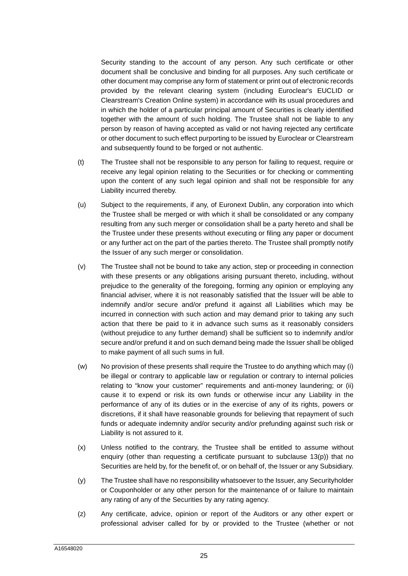Security standing to the account of any person. Any such certificate or other document shall be conclusive and binding for all purposes. Any such certificate or other document may comprise any form of statement or print out of electronic records provided by the relevant clearing system (including Euroclear's EUCLID or Clearstream's Creation Online system) in accordance with its usual procedures and in which the holder of a particular principal amount of Securities is clearly identified together with the amount of such holding. The Trustee shall not be liable to any person by reason of having accepted as valid or not having rejected any certificate or other document to such effect purporting to be issued by Euroclear or Clearstream and subsequently found to be forged or not authentic.

- (t) The Trustee shall not be responsible to any person for failing to request, require or receive any legal opinion relating to the Securities or for checking or commenting upon the content of any such legal opinion and shall not be responsible for any Liability incurred thereby.
- (u) Subject to the requirements, if any, of Euronext Dublin, any corporation into which the Trustee shall be merged or with which it shall be consolidated or any company resulting from any such merger or consolidation shall be a party hereto and shall be the Trustee under these presents without executing or filing any paper or document or any further act on the part of the parties thereto. The Trustee shall promptly notify the Issuer of any such merger or consolidation.
- (v) The Trustee shall not be bound to take any action, step or proceeding in connection with these presents or any obligations arising pursuant thereto, including, without prejudice to the generality of the foregoing, forming any opinion or employing any financial adviser, where it is not reasonably satisfied that the Issuer will be able to indemnify and/or secure and/or prefund it against all Liabilities which may be incurred in connection with such action and may demand prior to taking any such action that there be paid to it in advance such sums as it reasonably considers (without prejudice to any further demand) shall be sufficient so to indemnify and/or secure and/or prefund it and on such demand being made the Issuer shall be obliged to make payment of all such sums in full.
- (w) No provision of these presents shall require the Trustee to do anything which may (i) be illegal or contrary to applicable law or regulation or contrary to internal policies relating to "know your customer" requirements and anti-money laundering; or (ii) cause it to expend or risk its own funds or otherwise incur any Liability in the performance of any of its duties or in the exercise of any of its rights, powers or discretions, if it shall have reasonable grounds for believing that repayment of such funds or adequate indemnity and/or security and/or prefunding against such risk or Liability is not assured to it.
- (x) Unless notified to the contrary, the Trustee shall be entitled to assume without enquiry (other than requesting a certificate pursuant to subclause [13](#page-16-1)[\(p\)](#page-18-4)) that no Securities are held by, for the benefit of, or on behalf of, the Issuer or any Subsidiary.
- (y) The Trustee shall have no responsibility whatsoever to the Issuer, any Securityholder or Couponholder or any other person for the maintenance of or failure to maintain any rating of any of the Securities by any rating agency.
- (z) Any certificate, advice, opinion or report of the Auditors or any other expert or professional adviser called for by or provided to the Trustee (whether or not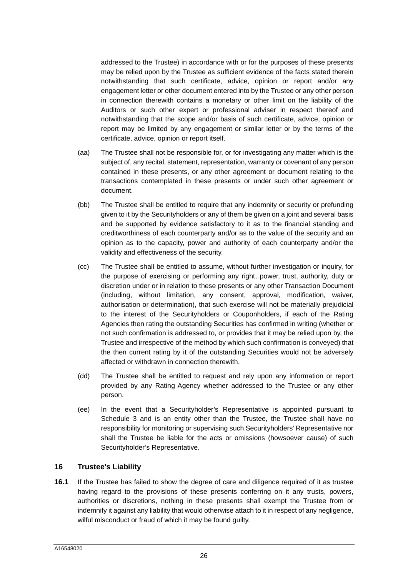addressed to the Trustee) in accordance with or for the purposes of these presents may be relied upon by the Trustee as sufficient evidence of the facts stated therein notwithstanding that such certificate, advice, opinion or report and/or any engagement letter or other document entered into by the Trustee or any other person in connection therewith contains a monetary or other limit on the liability of the Auditors or such other expert or professional adviser in respect thereof and notwithstanding that the scope and/or basis of such certificate, advice, opinion or report may be limited by any engagement or similar letter or by the terms of the certificate, advice, opinion or report itself.

- (aa) The Trustee shall not be responsible for, or for investigating any matter which is the subject of, any recital, statement, representation, warranty or covenant of any person contained in these presents, or any other agreement or document relating to the transactions contemplated in these presents or under such other agreement or document.
- (bb) The Trustee shall be entitled to require that any indemnity or security or prefunding given to it by the Securityholders or any of them be given on a joint and several basis and be supported by evidence satisfactory to it as to the financial standing and creditworthiness of each counterparty and/or as to the value of the security and an opinion as to the capacity, power and authority of each counterparty and/or the validity and effectiveness of the security.
- (cc) The Trustee shall be entitled to assume, without further investigation or inquiry, for the purpose of exercising or performing any right, power, trust, authority, duty or discretion under or in relation to these presents or any other Transaction Document (including, without limitation, any consent, approval, modification, waiver, authorisation or determination), that such exercise will not be materially prejudicial to the interest of the Securityholders or Couponholders, if each of the Rating Agencies then rating the outstanding Securities has confirmed in writing (whether or not such confirmation is addressed to, or provides that it may be relied upon by, the Trustee and irrespective of the method by which such confirmation is conveyed) that the then current rating by it of the outstanding Securities would not be adversely affected or withdrawn in connection therewith.
- (dd) The Trustee shall be entitled to request and rely upon any information or report provided by any Rating Agency whether addressed to the Trustee or any other person.
- (ee) In the event that a Securityholder's Representative is appointed pursuant to Schedule 3 and is an entity other than the Trustee, the Trustee shall have no responsibility for monitoring or supervising such Securityholders' Representative nor shall the Trustee be liable for the acts or omissions (howsoever cause) of such Securityholder's Representative.

# <span id="page-26-0"></span>**16 Trustee's Liability**

**16.1** If the Trustee has failed to show the degree of care and diligence required of it as trustee having regard to the provisions of these presents conferring on it any trusts, powers, authorities or discretions, nothing in these presents shall exempt the Trustee from or indemnify it against any liability that would otherwise attach to it in respect of any negligence, wilful misconduct or fraud of which it may be found guilty.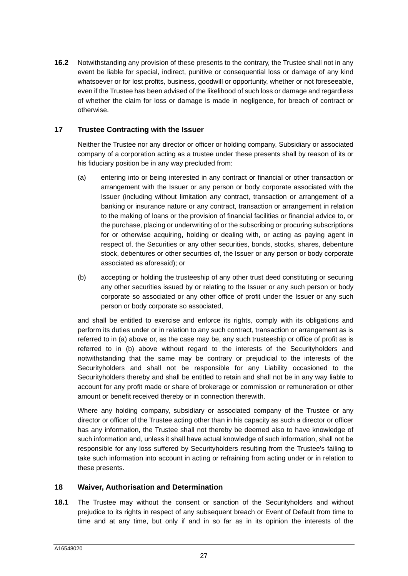**16.2** Notwithstanding any provision of these presents to the contrary, the Trustee shall not in any event be liable for special, indirect, punitive or consequential loss or damage of any kind whatsoever or for lost profits, business, goodwill or opportunity, whether or not foreseeable, even if the Trustee has been advised of the likelihood of such loss or damage and regardless of whether the claim for loss or damage is made in negligence, for breach of contract or otherwise.

# **17 Trustee Contracting with the Issuer**

<span id="page-27-0"></span>Neither the Trustee nor any director or officer or holding company, Subsidiary or associated company of a corporation acting as a trustee under these presents shall by reason of its or his fiduciary position be in any way precluded from:

- <span id="page-27-2"></span>(a) entering into or being interested in any contract or financial or other transaction or arrangement with the Issuer or any person or body corporate associated with the Issuer (including without limitation any contract, transaction or arrangement of a banking or insurance nature or any contract, transaction or arrangement in relation to the making of loans or the provision of financial facilities or financial advice to, or the purchase, placing or underwriting of or the subscribing or procuring subscriptions for or otherwise acquiring, holding or dealing with, or acting as paying agent in respect of, the Securities or any other securities, bonds, stocks, shares, debenture stock, debentures or other securities of, the Issuer or any person or body corporate associated as aforesaid); or
- <span id="page-27-3"></span>(b) accepting or holding the trusteeship of any other trust deed constituting or securing any other securities issued by or relating to the Issuer or any such person or body corporate so associated or any other office of profit under the Issuer or any such person or body corporate so associated,

and shall be entitled to exercise and enforce its rights, comply with its obligations and perform its duties under or in relation to any such contract, transaction or arrangement as is referred to in [\(a\)](#page-27-2) above or, as the case may be, any such trusteeship or office of profit as is referred to in [\(b\)](#page-27-3) above without regard to the interests of the Securityholders and notwithstanding that the same may be contrary or prejudicial to the interests of the Securityholders and shall not be responsible for any Liability occasioned to the Securityholders thereby and shall be entitled to retain and shall not be in any way liable to account for any profit made or share of brokerage or commission or remuneration or other amount or benefit received thereby or in connection therewith.

Where any holding company, subsidiary or associated company of the Trustee or any director or officer of the Trustee acting other than in his capacity as such a director or officer has any information, the Trustee shall not thereby be deemed also to have knowledge of such information and, unless it shall have actual knowledge of such information, shall not be responsible for any loss suffered by Securityholders resulting from the Trustee's failing to take such information into account in acting or refraining from acting under or in relation to these presents.

# <span id="page-27-1"></span>**18 Waiver, Authorisation and Determination**

<span id="page-27-4"></span>**18.1** The Trustee may without the consent or sanction of the Securityholders and without prejudice to its rights in respect of any subsequent breach or Event of Default from time to time and at any time, but only if and in so far as in its opinion the interests of the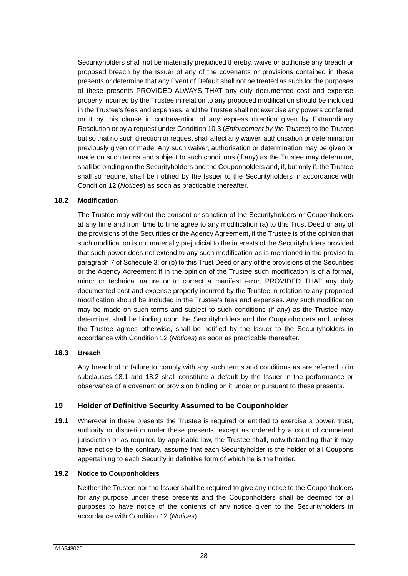Securityholders shall not be materially prejudiced thereby, waive or authorise any breach or proposed breach by the Issuer of any of the covenants or provisions contained in these presents or determine that any Event of Default shall not be treated as such for the purposes of these presents PROVIDED ALWAYS THAT any duly documented cost and expense properly incurred by the Trustee in relation to any proposed modification should be included in the Trustee's fees and expenses, and the Trustee shall not exercise any powers conferred on it by this clause in contravention of any express direction given by Extraordinary Resolution or by a request under Condition 10.3 (*Enforcement by the Trustee*) to the Trustee but so that no such direction or request shall affect any waiver, authorisation or determination previously given or made. Any such waiver, authorisation or determination may be given or made on such terms and subject to such conditions (if any) as the Trustee may determine, shall be binding on the Securityholders and the Couponholders and, if, but only if, the Trustee shall so require, shall be notified by the Issuer to the Securityholders in accordance with Condition 12 (*Notices*) as soon as practicable thereafter.

#### **18.2 Modification**

<span id="page-28-1"></span>The Trustee may without the consent or sanction of the Securityholders or Couponholders at any time and from time to time agree to any modification (a) to this Trust Deed or any of the provisions of the Securities or the Agency Agreement, if the Trustee is of the opinion that such modification is not materially prejudicial to the interests of the Securityholders provided that such power does not extend to any such modification as is mentioned in the proviso to paragraph 7 of Schedule 3; or (b) to this Trust Deed or any of the provisions of the Securities or the Agency Agreement if in the opinion of the Trustee such modification is of a formal, minor or technical nature or to correct a manifest error, PROVIDED THAT any duly documented cost and expense properly incurred by the Trustee in relation to any proposed modification should be included in the Trustee's fees and expenses. Any such modification may be made on such terms and subject to such conditions (if any) as the Trustee may determine, shall be binding upon the Securityholders and the Couponholders and, unless the Trustee agrees otherwise, shall be notified by the Issuer to the Securityholders in accordance with Condition 12 (*Notices*) as soon as practicable thereafter.

#### **18.3 Breach**

Any breach of or failure to comply with any such terms and conditions as are referred to in subclauses [18.1](#page-27-4) and [18.2](#page-28-1) shall constitute a default by the Issuer in the performance or observance of a covenant or provision binding on it under or pursuant to these presents.

# <span id="page-28-0"></span>**19 Holder of Definitive Security Assumed to be Couponholder**

**19.1** Wherever in these presents the Trustee is required or entitled to exercise a power, trust, authority or discretion under these presents, except as ordered by a court of competent jurisdiction or as required by applicable law, the Trustee shall, notwithstanding that it may have notice to the contrary, assume that each Securityholder is the holder of all Coupons appertaining to each Security in definitive form of which he is the holder.

#### **19.2 Notice to Couponholders**

Neither the Trustee nor the Issuer shall be required to give any notice to the Couponholders for any purpose under these presents and the Couponholders shall be deemed for all purposes to have notice of the contents of any notice given to the Securityholders in accordance with Condition 12 (*Notices*).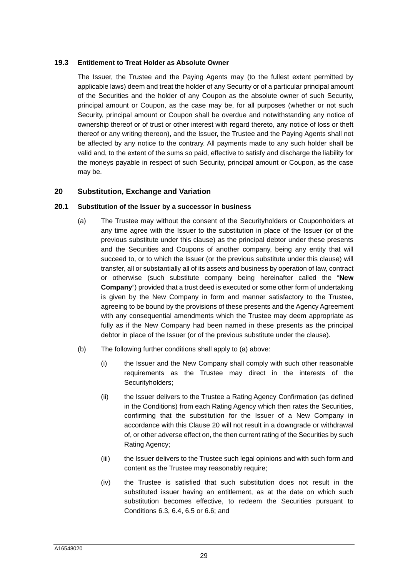#### **19.3 Entitlement to Treat Holder as Absolute Owner**

The Issuer, the Trustee and the Paying Agents may (to the fullest extent permitted by applicable laws) deem and treat the holder of any Security or of a particular principal amount of the Securities and the holder of any Coupon as the absolute owner of such Security, principal amount or Coupon, as the case may be, for all purposes (whether or not such Security, principal amount or Coupon shall be overdue and notwithstanding any notice of ownership thereof or of trust or other interest with regard thereto, any notice of loss or theft thereof or any writing thereon), and the Issuer, the Trustee and the Paying Agents shall not be affected by any notice to the contrary. All payments made to any such holder shall be valid and, to the extent of the sums so paid, effective to satisfy and discharge the liability for the moneys payable in respect of such Security, principal amount or Coupon, as the case may be.

# <span id="page-29-0"></span>**20 Substitution, Exchange and Variation**

#### **20.1 Substitution of the Issuer by a successor in business**

- <span id="page-29-4"></span><span id="page-29-1"></span>(a) The Trustee may without the consent of the Securityholders or Couponholders at any time agree with the Issuer to the substitution in place of the Issuer (or of the previous substitute under this clause) as the principal debtor under these presents and the Securities and Coupons of another company, being any entity that will succeed to, or to which the Issuer (or the previous substitute under this clause) will transfer, all or substantially all of its assets and business by operation of law, contract or otherwise (such substitute company being hereinafter called the "**New Company**") provided that a trust deed is executed or some other form of undertaking is given by the New Company in form and manner satisfactory to the Trustee, agreeing to be bound by the provisions of these presents and the Agency Agreement with any consequential amendments which the Trustee may deem appropriate as fully as if the New Company had been named in these presents as the principal debtor in place of the Issuer (or of the previous substitute under the clause).
- <span id="page-29-3"></span><span id="page-29-2"></span>(b) The following further conditions shall apply to [\(a\)](#page-29-4) above:
	- (i) the Issuer and the New Company shall comply with such other reasonable requirements as the Trustee may direct in the interests of the Securityholders;
	- (ii) the Issuer delivers to the Trustee a Rating Agency Confirmation (as defined in the Conditions) from each Rating Agency which then rates the Securities, confirming that the substitution for the Issuer of a New Company in accordance with this Clause [20](#page-29-0) will not result in a downgrade or withdrawal of, or other adverse effect on, the then current rating of the Securities by such Rating Agency;
	- (iii) the Issuer delivers to the Trustee such legal opinions and with such form and content as the Trustee may reasonably require;
	- (iv) the Trustee is satisfied that such substitution does not result in the substituted issuer having an entitlement, as at the date on which such substitution becomes effective, to redeem the Securities pursuant to Conditions 6.3, 6.4, 6.5 or 6.6; and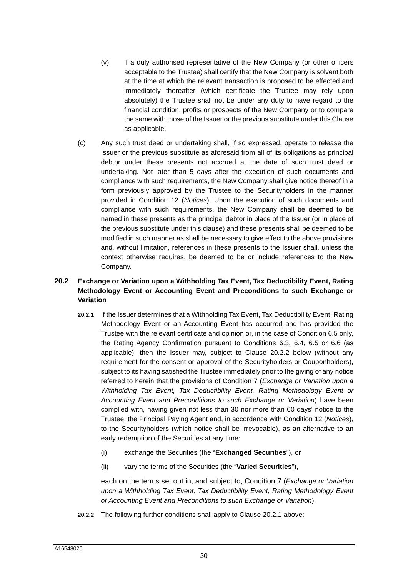- (v) if a duly authorised representative of the New Company (or other officers acceptable to the Trustee) shall certify that the New Company is solvent both at the time at which the relevant transaction is proposed to be effected and immediately thereafter (which certificate the Trustee may rely upon absolutely) the Trustee shall not be under any duty to have regard to the financial condition, profits or prospects of the New Company or to compare the same with those of the Issuer or the previous substitute under this Clause as applicable.
- (c) Any such trust deed or undertaking shall, if so expressed, operate to release the Issuer or the previous substitute as aforesaid from all of its obligations as principal debtor under these presents not accrued at the date of such trust deed or undertaking. Not later than 5 days after the execution of such documents and compliance with such requirements, the New Company shall give notice thereof in a form previously approved by the Trustee to the Securityholders in the manner provided in Condition 12 (*Notices*). Upon the execution of such documents and compliance with such requirements, the New Company shall be deemed to be named in these presents as the principal debtor in place of the Issuer (or in place of the previous substitute under this clause) and these presents shall be deemed to be modified in such manner as shall be necessary to give effect to the above provisions and, without limitation, references in these presents to the Issuer shall, unless the context otherwise requires, be deemed to be or include references to the New Company.

# **20.2 Exchange or Variation upon a Withholding Tax Event, Tax Deductibility Event, Rating Methodology Event or Accounting Event and Preconditions to such Exchange or Variation**

- **20.2.1** If the Issuer determines that a Withholding Tax Event, Tax Deductibility Event, Rating Methodology Event or an Accounting Event has occurred and has provided the Trustee with the relevant certificate and opinion or, in the case of Condition 6.5 only, the Rating Agency Confirmation pursuant to Conditions 6.3, 6.4, 6.5 or 6.6 (as applicable), then the Issuer may, subject to Clause 20.2.2 below (without any requirement for the consent or approval of the Securityholders or Couponholders), subject to its having satisfied the Trustee immediately prior to the giving of any notice referred to herein that the provisions of Condition 7 (*Exchange or Variation upon a*  Withholding Tax Event, Tax Deductibility Event, Rating Methodology Event or *Accounting Event and Preconditions to such Exchange or Variation*) have been complied with, having given not less than 30 nor more than 60 days' notice to the Trustee, the Principal Paying Agent and, in accordance with Condition 12 (*Notices*), to the Securityholders (which notice shall be irrevocable), as an alternative to an early redemption of the Securities at any time:
	- (i) exchange the Securities (the "**Exchanged Securities**"), or
	- (ii) vary the terms of the Securities (the "**Varied Securities**"),

each on the terms set out in, and subject to, Condition 7 (*Exchange or Variation upon a Withholding Tax Event, Tax Deductibility Event, Rating Methodology Event or Accounting Event and Preconditions to such Exchange or Variation*).

**20.2.2** The following further conditions shall apply to Clause 20.2.1 above: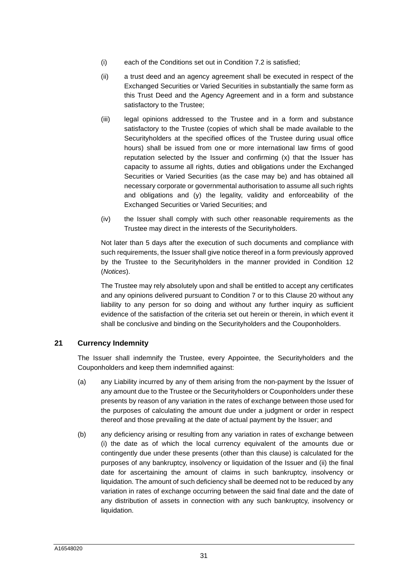- (i) each of the Conditions set out in Condition 7.2 is satisfied;
- (ii) a trust deed and an agency agreement shall be executed in respect of the Exchanged Securities or Varied Securities in substantially the same form as this Trust Deed and the Agency Agreement and in a form and substance satisfactory to the Trustee;
- (iii) legal opinions addressed to the Trustee and in a form and substance satisfactory to the Trustee (copies of which shall be made available to the Securityholders at the specified offices of the Trustee during usual office hours) shall be issued from one or more international law firms of good reputation selected by the Issuer and confirming  $(x)$  that the Issuer has capacity to assume all rights, duties and obligations under the Exchanged Securities or Varied Securities (as the case may be) and has obtained all necessary corporate or governmental authorisation to assume all such rights and obligations and (y) the legality, validity and enforceability of the Exchanged Securities or Varied Securities; and
- (iv) the Issuer shall comply with such other reasonable requirements as the Trustee may direct in the interests of the Securityholders.

Not later than 5 days after the execution of such documents and compliance with such requirements, the Issuer shall give notice thereof in a form previously approved by the Trustee to the Securityholders in the manner provided in Condition 12 (*Notices*).

The Trustee may rely absolutely upon and shall be entitled to accept any certificates and any opinions delivered pursuant to Condition 7 or to this Clause 20 without any liability to any person for so doing and without any further inquiry as sufficient evidence of the satisfaction of the criteria set out herein or therein, in which event it shall be conclusive and binding on the Securityholders and the Couponholders.

# **21 Currency Indemnity**

<span id="page-31-0"></span>The Issuer shall indemnify the Trustee, every Appointee, the Securityholders and the Couponholders and keep them indemnified against:

- (a) any Liability incurred by any of them arising from the non-payment by the Issuer of any amount due to the Trustee or the Securityholders or Couponholders under these presents by reason of any variation in the rates of exchange between those used for the purposes of calculating the amount due under a judgment or order in respect thereof and those prevailing at the date of actual payment by the Issuer; and
- (b) any deficiency arising or resulting from any variation in rates of exchange between (i) the date as of which the local currency equivalent of the amounts due or contingently due under these presents (other than this clause) is calculated for the purposes of any bankruptcy, insolvency or liquidation of the Issuer and (ii) the final date for ascertaining the amount of claims in such bankruptcy, insolvency or liquidation. The amount of such deficiency shall be deemed not to be reduced by any variation in rates of exchange occurring between the said final date and the date of any distribution of assets in connection with any such bankruptcy, insolvency or liquidation.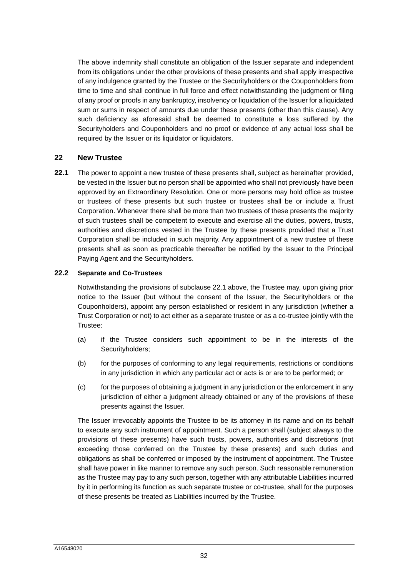The above indemnity shall constitute an obligation of the Issuer separate and independent from its obligations under the other provisions of these presents and shall apply irrespective of any indulgence granted by the Trustee or the Securityholders or the Couponholders from time to time and shall continue in full force and effect notwithstanding the judgment or filing of any proof or proofs in any bankruptcy, insolvency or liquidation of the Issuer for a liquidated sum or sums in respect of amounts due under these presents (other than this clause). Any such deficiency as aforesaid shall be deemed to constitute a loss suffered by the Securityholders and Couponholders and no proof or evidence of any actual loss shall be required by the Issuer or its liquidator or liquidators.

# <span id="page-32-0"></span>**22 New Trustee**

<span id="page-32-1"></span>**22.1** The power to appoint a new trustee of these presents shall, subject as hereinafter provided, be vested in the Issuer but no person shall be appointed who shall not previously have been approved by an Extraordinary Resolution. One or more persons may hold office as trustee or trustees of these presents but such trustee or trustees shall be or include a Trust Corporation. Whenever there shall be more than two trustees of these presents the majority of such trustees shall be competent to execute and exercise all the duties, powers, trusts, authorities and discretions vested in the Trustee by these presents provided that a Trust Corporation shall be included in such majority. Any appointment of a new trustee of these presents shall as soon as practicable thereafter be notified by the Issuer to the Principal Paying Agent and the Securityholders.

#### **22.2 Separate and Co-Trustees**

<span id="page-32-2"></span>Notwithstanding the provisions of subclause [22.1](#page-32-1) above, the Trustee may, upon giving prior notice to the Issuer (but without the consent of the Issuer, the Securityholders or the Couponholders), appoint any person established or resident in any jurisdiction (whether a Trust Corporation or not) to act either as a separate trustee or as a co-trustee jointly with the Trustee:

- (a) if the Trustee considers such appointment to be in the interests of the Securityholders;
- (b) for the purposes of conforming to any legal requirements, restrictions or conditions in any jurisdiction in which any particular act or acts is or are to be performed; or
- (c) for the purposes of obtaining a judgment in any jurisdiction or the enforcement in any jurisdiction of either a judgment already obtained or any of the provisions of these presents against the Issuer.

The Issuer irrevocably appoints the Trustee to be its attorney in its name and on its behalf to execute any such instrument of appointment. Such a person shall (subject always to the provisions of these presents) have such trusts, powers, authorities and discretions (not exceeding those conferred on the Trustee by these presents) and such duties and obligations as shall be conferred or imposed by the instrument of appointment. The Trustee shall have power in like manner to remove any such person. Such reasonable remuneration as the Trustee may pay to any such person, together with any attributable Liabilities incurred by it in performing its function as such separate trustee or co-trustee, shall for the purposes of these presents be treated as Liabilities incurred by the Trustee.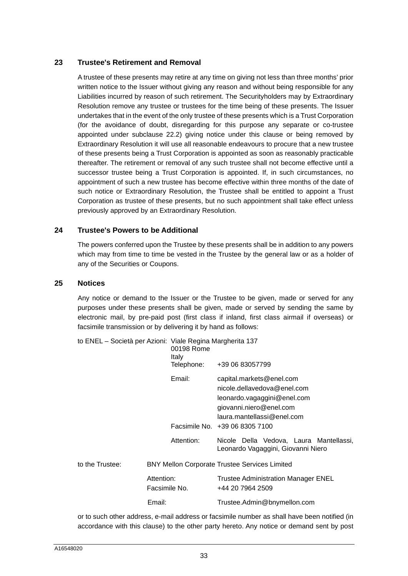# **23 Trustee's Retirement and Removal**

<span id="page-33-0"></span>A trustee of these presents may retire at any time on giving not less than three months' prior written notice to the Issuer without giving any reason and without being responsible for any Liabilities incurred by reason of such retirement. The Securityholders may by Extraordinary Resolution remove any trustee or trustees for the time being of these presents. The Issuer undertakes that in the event of the only trustee of these presents which is a Trust Corporation (for the avoidance of doubt, disregarding for this purpose any separate or co-trustee appointed under subclause [22.2](#page-32-2)) giving notice under this clause or being removed by Extraordinary Resolution it will use all reasonable endeavours to procure that a new trustee of these presents being a Trust Corporation is appointed as soon as reasonably practicable thereafter. The retirement or removal of any such trustee shall not become effective until a successor trustee being a Trust Corporation is appointed. If, in such circumstances, no appointment of such a new trustee has become effective within three months of the date of such notice or Extraordinary Resolution, the Trustee shall be entitled to appoint a Trust Corporation as trustee of these presents, but no such appointment shall take effect unless previously approved by an Extraordinary Resolution.

# **24 Trustee's Powers to be Additional**

<span id="page-33-1"></span>The powers conferred upon the Trustee by these presents shall be in addition to any powers which may from time to time be vested in the Trustee by the general law or as a holder of any of the Securities or Coupons.

#### **25 Notices**

<span id="page-33-2"></span>Any notice or demand to the Issuer or the Trustee to be given, made or served for any purposes under these presents shall be given, made or served by sending the same by electronic mail, by pre-paid post (first class if inland, first class airmail if overseas) or facsimile transmission or by delivering it by hand as follows:

| to ENEL – Società per Azioni: Viale Regina Margherita 137 |                             | 00198 Rome<br>Italy                                  |                                                                                                                                                 |
|-----------------------------------------------------------|-----------------------------|------------------------------------------------------|-------------------------------------------------------------------------------------------------------------------------------------------------|
|                                                           |                             | Telephone:                                           | +39 06 83057799                                                                                                                                 |
|                                                           |                             | Email:                                               | capital.markets@enel.com<br>nicole.dellavedova@enel.com<br>leonardo.vagaggini@enel.com<br>giovanni.niero@enel.com<br>laura.mantellassi@enel.com |
|                                                           |                             |                                                      | Facsimile No. +39 06 8305 7100                                                                                                                  |
|                                                           |                             | Attention:                                           | Nicole Della Vedova, Laura Mantellassi,<br>Leonardo Vagaggini, Giovanni Niero                                                                   |
| to the Trustee:                                           |                             | <b>BNY Mellon Corporate Trustee Services Limited</b> |                                                                                                                                                 |
|                                                           | Attention:<br>Facsimile No. |                                                      | Trustee Administration Manager ENEL<br>+44 20 7964 2509                                                                                         |
|                                                           | Email:                      |                                                      | Trustee.Admin@bnymellon.com                                                                                                                     |

or to such other address, e-mail address or facsimile number as shall have been notified (in accordance with this clause) to the other party hereto. Any notice or demand sent by post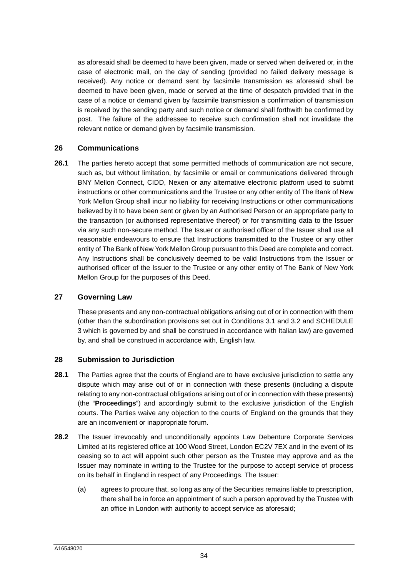as aforesaid shall be deemed to have been given, made or served when delivered or, in the case of electronic mail, on the day of sending (provided no failed delivery message is received). Any notice or demand sent by facsimile transmission as aforesaid shall be deemed to have been given, made or served at the time of despatch provided that in the case of a notice or demand given by facsimile transmission a confirmation of transmission is received by the sending party and such notice or demand shall forthwith be confirmed by post. The failure of the addressee to receive such confirmation shall not invalidate the relevant notice or demand given by facsimile transmission.

# <span id="page-34-0"></span>**26 Communications**

**26.1** The parties hereto accept that some permitted methods of communication are not secure, such as, but without limitation, by facsimile or email or communications delivered through BNY Mellon Connect, CIDD, Nexen or any alternative electronic platform used to submit instructions or other communications and the Trustee or any other entity of The Bank of New York Mellon Group shall incur no liability for receiving Instructions or other communications believed by it to have been sent or given by an Authorised Person or an appropriate party to the transaction (or authorised representative thereof) or for transmitting data to the Issuer via any such non-secure method. The Issuer or authorised officer of the Issuer shall use all reasonable endeavours to ensure that Instructions transmitted to the Trustee or any other entity of The Bank of New York Mellon Group pursuant to this Deed are complete and correct. Any Instructions shall be conclusively deemed to be valid Instructions from the Issuer or authorised officer of the Issuer to the Trustee or any other entity of The Bank of New York Mellon Group for the purposes of this Deed.

# **27 Governing Law**

<span id="page-34-1"></span>These presents and any non-contractual obligations arising out of or in connection with them [\(other than the subordination provisions set out in Conditions 3.1 and 3.2 and SCHEDULE](#page-95-0)  3 which is governed by and shall be construed in accordance with Italian law) are governed by, and shall be construed in accordance with, English law.

#### <span id="page-34-2"></span>**28 Submission to Jurisdiction**

- **28.1** The Parties agree that the courts of England are to have exclusive jurisdiction to settle any dispute which may arise out of or in connection with these presents (including a dispute relating to any non-contractual obligations arising out of or in connection with these presents) (the "**Proceedings**") and accordingly submit to the exclusive jurisdiction of the English courts. The Parties waive any objection to the courts of England on the grounds that they are an inconvenient or inappropriate forum.
- **28.2** The Issuer irrevocably and unconditionally appoints Law Debenture Corporate Services Limited at its registered office at 100 Wood Street, London EC2V 7EX and in the event of its ceasing so to act will appoint such other person as the Trustee may approve and as the Issuer may nominate in writing to the Trustee for the purpose to accept service of process on its behalf in England in respect of any Proceedings. The Issuer:
	- (a) agrees to procure that, so long as any of the Securities remains liable to prescription, there shall be in force an appointment of such a person approved by the Trustee with an office in London with authority to accept service as aforesaid;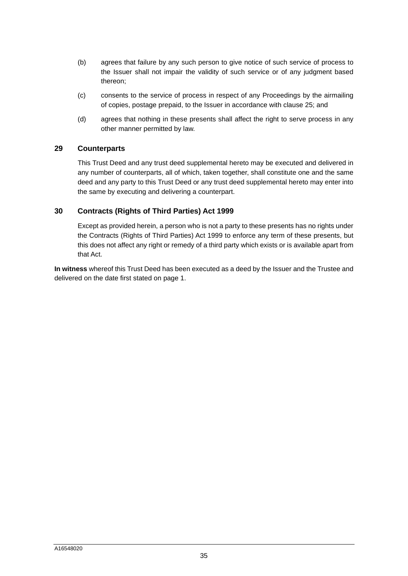- (b) agrees that failure by any such person to give notice of such service of process to the Issuer shall not impair the validity of such service or of any judgment based thereon;
- (c) consents to the service of process in respect of any Proceedings by the airmailing of copies, postage prepaid, to the Issuer in accordance with clause [25](#page-33-2); and
- (d) agrees that nothing in these presents shall affect the right to serve process in any other manner permitted by law.

#### **29 Counterparts**

<span id="page-35-0"></span>This Trust Deed and any trust deed supplemental hereto may be executed and delivered in any number of counterparts, all of which, taken together, shall constitute one and the same deed and any party to this Trust Deed or any trust deed supplemental hereto may enter into the same by executing and delivering a counterpart.

#### **30 Contracts (Rights of Third Parties) Act 1999**

<span id="page-35-1"></span>Except as provided herein, a person who is not a party to these presents has no rights under the Contracts (Rights of Third Parties) Act 1999 to enforce any term of these presents, but this does not affect any right or remedy of a third party which exists or is available apart from that Act.

**In witness** whereof this Trust Deed has been executed as a deed by the Issuer and the Trustee and delivered on the date first stated on page 1.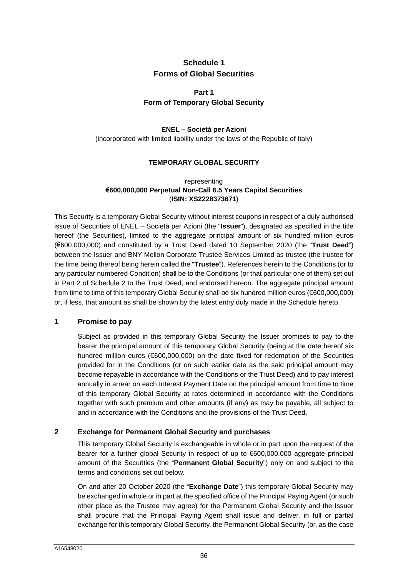## **Schedule 1 Forms of Global Securities**

## **Part 1 Form of Temporary Global Security**

### **ENEL – Società per Azioni**

(incorporated with limited liability under the laws of the Republic of Italy)

### **TEMPORARY GLOBAL SECURITY**

#### representing **€600,000,000 Perpetual Non-Call 6.5 Years Capital Securities**  (**ISIN: XS2228373671**)

This Security is a temporary Global Security without interest coupons in respect of a duly authorised issue of Securities of ENEL – Società per Azioni (the "**Issuer**"), designated as specified in the title hereof (the Securities), limited to the aggregate principal amount of six hundred million euros (€600,000,000) and constituted by a Trust Deed dated 10 September 2020 (the "**Trust Deed**") between the Issuer and BNY Mellon Corporate Trustee Services Limited as trustee (the trustee for the time being thereof being herein called the "**Trustee**"). References herein to the Conditions (or to [any particular numbered Condition\) shall be to the Conditions \(or that particular one of them\) set out](#page-67-0)  in Part 2 of Schedule 2 to the Trust Deed, and endorsed hereon. The aggregate principal amount from time to time of this temporary Global Security shall be six hundred million euros (€600,000,000) or, if less, that amount as shall be shown by the latest entry duly made in the Schedule hereto.

### **1 Promise to pay**

Subject as provided in this temporary Global Security the Issuer promises to pay to the bearer the principal amount of this temporary Global Security (being at the date hereof six hundred million euros (€600,000,000) on the date fixed for redemption of the Securities provided for in the Conditions (or on such earlier date as the said principal amount may become repayable in accordance with the Conditions or the Trust Deed) and to pay interest annually in arrear on each Interest Payment Date on the principal amount from time to time of this temporary Global Security at rates determined in accordance with the Conditions together with such premium and other amounts (if any) as may be payable, all subject to and in accordance with the Conditions and the provisions of the Trust Deed.

### **2 Exchange for Permanent Global Security and purchases**

This temporary Global Security is exchangeable in whole or in part upon the request of the bearer for a further global Security in respect of up to €600,000,000 aggregate principal amount of the Securities (the "**Permanent Global Security**") only on and subject to the terms and conditions set out below.

On and after 20 October 2020 (the "**Exchange Date**") this temporary Global Security may be exchanged in whole or in part at the specified office of the Principal Paying Agent (or such other place as the Trustee may agree) for the Permanent Global Security and the Issuer shall procure that the Principal Paying Agent shall issue and deliver, in full or partial exchange for this temporary Global Security, the Permanent Global Security (or, as the case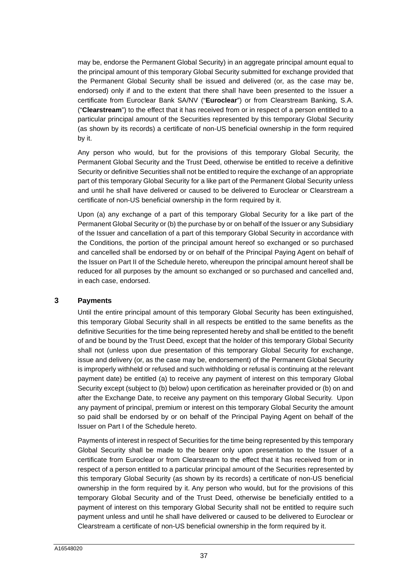may be, endorse the Permanent Global Security) in an aggregate principal amount equal to the principal amount of this temporary Global Security submitted for exchange provided that the Permanent Global Security shall be issued and delivered (or, as the case may be, endorsed) only if and to the extent that there shall have been presented to the Issuer a certificate from Euroclear Bank SA/NV ("**Euroclear**") or from Clearstream Banking, S.A. ("**Clearstream**") to the effect that it has received from or in respect of a person entitled to a particular principal amount of the Securities represented by this temporary Global Security (as shown by its records) a certificate of non-US beneficial ownership in the form required by it.

Any person who would, but for the provisions of this temporary Global Security, the Permanent Global Security and the Trust Deed, otherwise be entitled to receive a definitive Security or definitive Securities shall not be entitled to require the exchange of an appropriate part of this temporary Global Security for a like part of the Permanent Global Security unless and until he shall have delivered or caused to be delivered to Euroclear or Clearstream a certificate of non-US beneficial ownership in the form required by it.

Upon (a) any exchange of a part of this temporary Global Security for a like part of the Permanent Global Security or (b) the purchase by or on behalf of the Issuer or any Subsidiary of the Issuer and cancellation of a part of this temporary Global Security in accordance with the Conditions, the portion of the principal amount hereof so exchanged or so purchased and cancelled shall be endorsed by or on behalf of the Principal Paying Agent on behalf of the Issuer on [Part II](#page-43-0) of the Schedule hereto, whereupon the principal amount hereof shall be reduced for all purposes by the amount so exchanged or so purchased and cancelled and, in each case, endorsed.

#### **3 Payments**

Until the entire principal amount of this temporary Global Security has been extinguished, this temporary Global Security shall in all respects be entitled to the same benefits as the definitive Securities for the time being represented hereby and shall be entitled to the benefit of and be bound by the Trust Deed, except that the holder of this temporary Global Security shall not (unless upon due presentation of this temporary Global Security for exchange, issue and delivery (or, as the case may be, endorsement) of the Permanent Global Security is improperly withheld or refused and such withholding or refusal is continuing at the relevant payment date) be entitled (a) to receive any payment of interest on this temporary Global Security except (subject to (b) below) upon certification as hereinafter provided or (b) on and after the Exchange Date, to receive any payment on this temporary Global Security. Upon any payment of principal, premium or interest on this temporary Global Security the amount so paid shall be endorsed by or on behalf of the Principal Paying Agent on behalf of the Issuer on [Part I](#page-42-0) of the Schedule hereto.

Payments of interest in respect of Securities for the time being represented by this temporary Global Security shall be made to the bearer only upon presentation to the Issuer of a certificate from Euroclear or from Clearstream to the effect that it has received from or in respect of a person entitled to a particular principal amount of the Securities represented by this temporary Global Security (as shown by its records) a certificate of non-US beneficial ownership in the form required by it. Any person who would, but for the provisions of this temporary Global Security and of the Trust Deed, otherwise be beneficially entitled to a payment of interest on this temporary Global Security shall not be entitled to require such payment unless and until he shall have delivered or caused to be delivered to Euroclear or Clearstream a certificate of non-US beneficial ownership in the form required by it.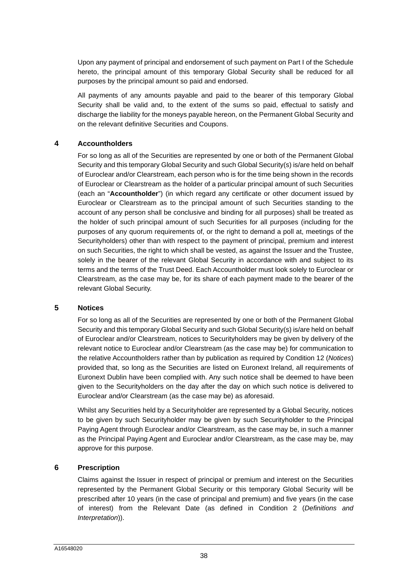Upon any payment of principal and endorsement of such payment on [Part I](#page-42-0) of the Schedule hereto, the principal amount of this temporary Global Security shall be reduced for all purposes by the principal amount so paid and endorsed.

All payments of any amounts payable and paid to the bearer of this temporary Global Security shall be valid and, to the extent of the sums so paid, effectual to satisfy and discharge the liability for the moneys payable hereon, on the Permanent Global Security and on the relevant definitive Securities and Coupons.

### **4 Accountholders**

For so long as all of the Securities are represented by one or both of the Permanent Global Security and this temporary Global Security and such Global Security(s) is/are held on behalf of Euroclear and/or Clearstream, each person who is for the time being shown in the records of Euroclear or Clearstream as the holder of a particular principal amount of such Securities (each an "**Accountholder**") (in which regard any certificate or other document issued by Euroclear or Clearstream as to the principal amount of such Securities standing to the account of any person shall be conclusive and binding for all purposes) shall be treated as the holder of such principal amount of such Securities for all purposes (including for the purposes of any quorum requirements of, or the right to demand a poll at, meetings of the Securityholders) other than with respect to the payment of principal, premium and interest on such Securities, the right to which shall be vested, as against the Issuer and the Trustee, solely in the bearer of the relevant Global Security in accordance with and subject to its terms and the terms of the Trust Deed. Each Accountholder must look solely to Euroclear or Clearstream, as the case may be, for its share of each payment made to the bearer of the relevant Global Security.

#### **5 Notices**

For so long as all of the Securities are represented by one or both of the Permanent Global Security and this temporary Global Security and such Global Security(s) is/are held on behalf of Euroclear and/or Clearstream, notices to Securityholders may be given by delivery of the relevant notice to Euroclear and/or Clearstream (as the case may be) for communication to the relative Accountholders rather than by publication as required by Condition 12 (*Notices*) provided that, so long as the Securities are listed on Euronext Ireland, all requirements of Euronext Dublin have been complied with. Any such notice shall be deemed to have been given to the Securityholders on the day after the day on which such notice is delivered to Euroclear and/or Clearstream (as the case may be) as aforesaid.

Whilst any Securities held by a Securityholder are represented by a Global Security, notices to be given by such Securityholder may be given by such Securityholder to the Principal Paying Agent through Euroclear and/or Clearstream, as the case may be, in such a manner as the Principal Paying Agent and Euroclear and/or Clearstream, as the case may be, may approve for this purpose.

### **6 Prescription**

Claims against the Issuer in respect of principal or premium and interest on the Securities represented by the Permanent Global Security or this temporary Global Security will be prescribed after 10 years (in the case of principal and premium) and five years (in the case of interest) from the Relevant Date (as defined in Condition 2 (*Definitions and Interpretation*)).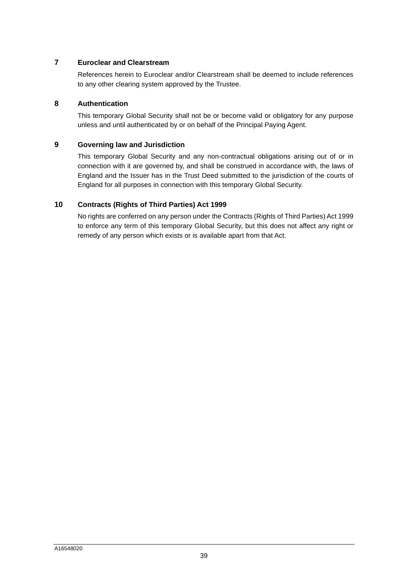### **7 Euroclear and Clearstream**

References herein to Euroclear and/or Clearstream shall be deemed to include references to any other clearing system approved by the Trustee.

### **8 Authentication**

This temporary Global Security shall not be or become valid or obligatory for any purpose unless and until authenticated by or on behalf of the Principal Paying Agent.

### **9 Governing law and Jurisdiction**

This temporary Global Security and any non-contractual obligations arising out of or in connection with it are governed by, and shall be construed in accordance with, the laws of England and the Issuer has in the Trust Deed submitted to the jurisdiction of the courts of England for all purposes in connection with this temporary Global Security.

### **10 Contracts (Rights of Third Parties) Act 1999**

No rights are conferred on any person under the Contracts (Rights of Third Parties) Act 1999 to enforce any term of this temporary Global Security, but this does not affect any right or remedy of any person which exists or is available apart from that Act.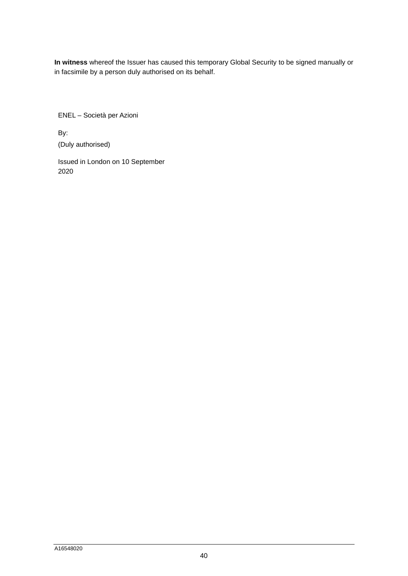**In witness** whereof the Issuer has caused this temporary Global Security to be signed manually or in facsimile by a person duly authorised on its behalf.

ENEL – Società per Azioni

By: (Duly authorised)

Issued in London on 10 September 2020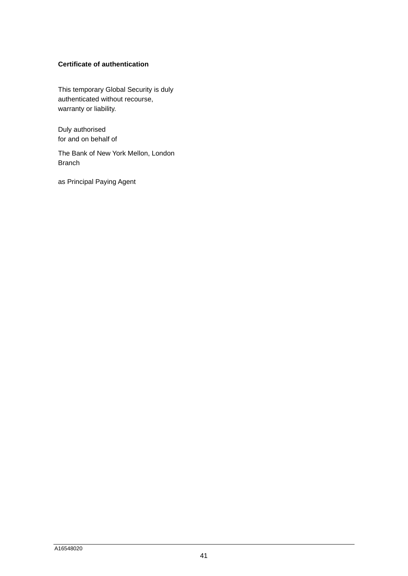### **Certificate of authentication**

This temporary Global Security is duly authenticated without recourse, warranty or liability.

Duly authorised for and on behalf of

The Bank of New York Mellon, London Branch

as Principal Paying Agent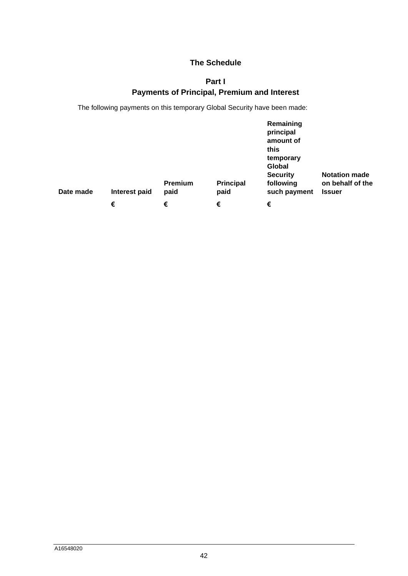## <span id="page-42-0"></span>**The Schedule**

# **Part I Payments of Principal, Premium and Interest**

The following payments on this temporary Global Security have been made:

| Date made | Interest paid | Premium<br>paid | <b>Principal</b><br>paid | Remaining<br>principal<br>amount of<br>this<br>temporary<br>Global<br><b>Security</b><br>following<br>such payment | <b>Notation made</b><br>on behalf of the<br><b>Issuer</b> |
|-----------|---------------|-----------------|--------------------------|--------------------------------------------------------------------------------------------------------------------|-----------------------------------------------------------|
|           | €             | €               | €                        | €                                                                                                                  |                                                           |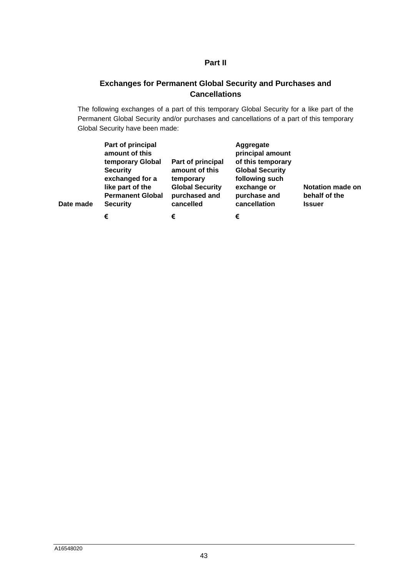## **Part II**

# <span id="page-43-0"></span>**Exchanges for Permanent Global Security and Purchases and Cancellations**

The following exchanges of a part of this temporary Global Security for a like part of the Permanent Global Security and/or purchases and cancellations of a part of this temporary Global Security have been made:

| Date made | Part of principal<br>amount of this<br>temporary Global<br><b>Security</b><br>exchanged for a<br>like part of the<br><b>Permanent Global</b><br><b>Security</b> | Part of principal<br>amount of this<br>temporary<br><b>Global Security</b><br>purchased and<br>cancelled | Aggregate<br>principal amount<br>of this temporary<br><b>Global Security</b><br>following such<br>exchange or<br>purchase and<br>cancellation | <b>Notation made on</b><br>behalf of the<br><b>Issuer</b> |
|-----------|-----------------------------------------------------------------------------------------------------------------------------------------------------------------|----------------------------------------------------------------------------------------------------------|-----------------------------------------------------------------------------------------------------------------------------------------------|-----------------------------------------------------------|
|           | €                                                                                                                                                               | €                                                                                                        | €                                                                                                                                             |                                                           |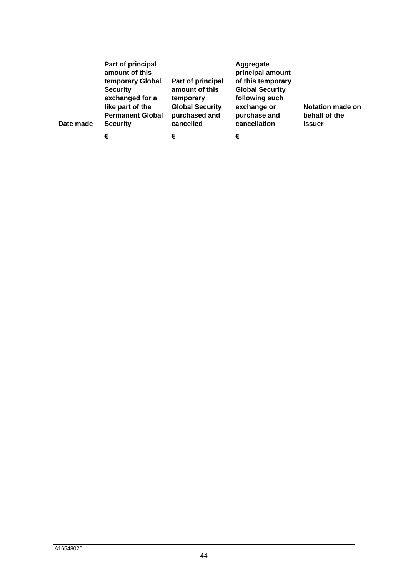| Date made | Part of principal<br>amount of this<br>temporary Global<br><b>Security</b><br>exchanged for a<br>like part of the<br><b>Permanent Global</b><br><b>Security</b> | Part of principal<br>amount of this<br>temporary<br><b>Global Security</b><br>purchased and<br>cancelled | Aggregate<br>principal amount<br>of this temporary<br><b>Global Security</b><br>following such<br>exchange or<br>purchase and<br>cancellation | <b>Notation made on</b><br>behalf of the<br><b>Issuer</b> |
|-----------|-----------------------------------------------------------------------------------------------------------------------------------------------------------------|----------------------------------------------------------------------------------------------------------|-----------------------------------------------------------------------------------------------------------------------------------------------|-----------------------------------------------------------|
|           | €                                                                                                                                                               | €                                                                                                        | €                                                                                                                                             |                                                           |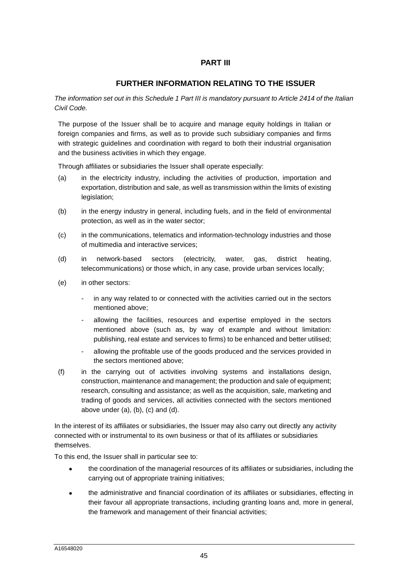### **PART III**

### **FURTHER INFORMATION RELATING TO THE ISSUER**

*The information set out in this Schedule 1 Part III is mandatory pursuant to Article 2414 of the Italian Civil Code.* 

The purpose of the Issuer shall be to acquire and manage equity holdings in Italian or foreign companies and firms, as well as to provide such subsidiary companies and firms with strategic guidelines and coordination with regard to both their industrial organisation and the business activities in which they engage.

Through affiliates or subsidiaries the Issuer shall operate especially:

- (a) in the electricity industry, including the activities of production, importation and exportation, distribution and sale, as well as transmission within the limits of existing legislation;
- (b) in the energy industry in general, including fuels, and in the field of environmental protection, as well as in the water sector;
- (c) in the communications, telematics and information-technology industries and those of multimedia and interactive services;
- (d) in network-based sectors (electricity, water, gas, district heating, telecommunications) or those which, in any case, provide urban services locally;
- (e) in other sectors:
	- in any way related to or connected with the activities carried out in the sectors mentioned above;
	- allowing the facilities, resources and expertise employed in the sectors mentioned above (such as, by way of example and without limitation: publishing, real estate and services to firms) to be enhanced and better utilised;
	- allowing the profitable use of the goods produced and the services provided in the sectors mentioned above;
- (f) in the carrying out of activities involving systems and installations design, construction, maintenance and management; the production and sale of equipment; research, consulting and assistance; as well as the acquisition, sale, marketing and trading of goods and services, all activities connected with the sectors mentioned above under  $(a)$ ,  $(b)$ ,  $(c)$  and  $(d)$ .

In the interest of its affiliates or subsidiaries, the Issuer may also carry out directly any activity connected with or instrumental to its own business or that of its affiliates or subsidiaries themselves.

To this end, the Issuer shall in particular see to:

- the coordination of the managerial resources of its affiliates or subsidiaries, including the carrying out of appropriate training initiatives;
- the administrative and financial coordination of its affiliates or subsidiaries, effecting in their favour all appropriate transactions, including granting loans and, more in general, the framework and management of their financial activities;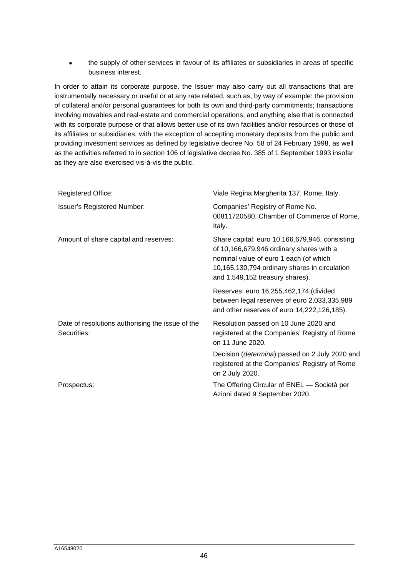the supply of other services in favour of its affiliates or subsidiaries in areas of specific business interest.

In order to attain its corporate purpose, the Issuer may also carry out all transactions that are instrumentally necessary or useful or at any rate related, such as, by way of example: the provision of collateral and/or personal guarantees for both its own and third-party commitments; transactions involving movables and real-estate and commercial operations; and anything else that is connected with its corporate purpose or that allows better use of its own facilities and/or resources or those of its affiliates or subsidiaries, with the exception of accepting monetary deposits from the public and providing investment services as defined by legislative decree No. 58 of 24 February 1998, as well as the activities referred to in section 106 of legislative decree No. 385 of 1 September 1993 insofar as they are also exercised vis-à-vis the public.

| <b>Registered Office:</b>                                       | Viale Regina Margherita 137, Rome, Italy.                                                                                                                                                                                |
|-----------------------------------------------------------------|--------------------------------------------------------------------------------------------------------------------------------------------------------------------------------------------------------------------------|
| <b>Issuer's Registered Number:</b>                              | Companies' Registry of Rome No.<br>00811720580, Chamber of Commerce of Rome,<br>Italy.                                                                                                                                   |
| Amount of share capital and reserves:                           | Share capital: euro 10,166,679,946, consisting<br>of 10,166,679,946 ordinary shares with a<br>nominal value of euro 1 each (of which<br>10,165,130,794 ordinary shares in circulation<br>and 1,549,152 treasury shares). |
|                                                                 | Reserves: euro 16,255,462,174 (divided<br>between legal reserves of euro 2,033,335,989<br>and other reserves of euro 14,222,126,185).                                                                                    |
| Date of resolutions authorising the issue of the<br>Securities: | Resolution passed on 10 June 2020 and<br>registered at the Companies' Registry of Rome<br>on 11 June 2020.                                                                                                               |
|                                                                 | Decision (determina) passed on 2 July 2020 and<br>registered at the Companies' Registry of Rome<br>on 2 July 2020.                                                                                                       |
| Prospectus:                                                     | The Offering Circular of ENEL — Società per<br>Azioni dated 9 September 2020.                                                                                                                                            |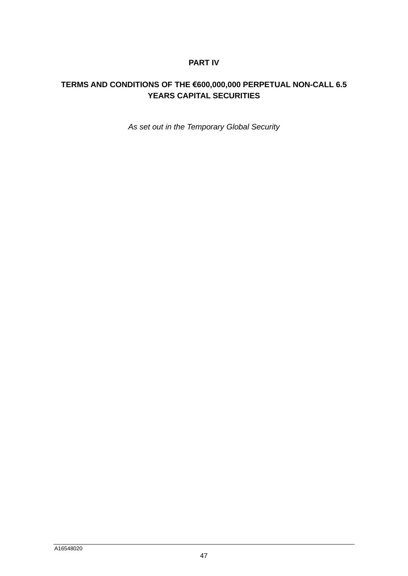## **PART IV**

# **TERMS AND CONDITIONS OF THE €600,000,000 PERPETUAL NON-CALL 6.5 YEARS CAPITAL SECURITIES**

*As set out in the Temporary Global Security*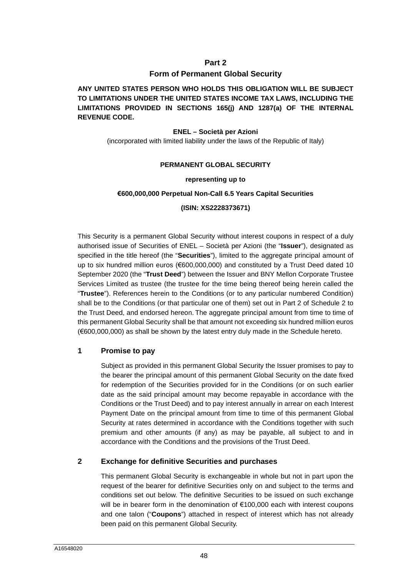### **Part 2**

### **Form of Permanent Global Security**

**ANY UNITED STATES PERSON WHO HOLDS THIS OBLIGATION WILL BE SUBJECT TO LIMITATIONS UNDER THE UNITED STATES INCOME TAX LAWS, INCLUDING THE LIMITATIONS PROVIDED IN SECTIONS 165(j) AND 1287(a) OF THE INTERNAL REVENUE CODE.** 

#### **ENEL – Società per Azioni**

(incorporated with limited liability under the laws of the Republic of Italy)

#### **PERMANENT GLOBAL SECURITY**

#### **representing up to**

#### **€600,000,000 Perpetual Non-Call 6.5 Years Capital Securities**

#### **(ISIN: XS2228373671)**

This Security is a permanent Global Security without interest coupons in respect of a duly authorised issue of Securities of ENEL – Società per Azioni (the "**Issuer**"), designated as specified in the title hereof (the "**Securities**"), limited to the aggregate principal amount of up to six hundred million euros (€600,000,000) and constituted by a Trust Deed dated 10 September 2020 (the "**Trust Deed**") between the Issuer and BNY Mellon Corporate Trustee Services Limited as trustee (the trustee for the time being thereof being herein called the "**Trustee**"). References herein to the Conditions (or to any particular numbered Condition) [shall be to the Conditions \(or that particular one of them\) set out in Part 2 of Schedule 2 to](#page-67-0)  the Trust Deed, and endorsed hereon. The aggregate principal amount from time to time of this permanent Global Security shall be that amount not exceeding six hundred million euros (€600,000,000) as shall be shown by the latest entry duly made in the Schedule hereto.

### **1 Promise to pay**

Subject as provided in this permanent Global Security the Issuer promises to pay to the bearer the principal amount of this permanent Global Security on the date fixed for redemption of the Securities provided for in the Conditions (or on such earlier date as the said principal amount may become repayable in accordance with the Conditions or the Trust Deed) and to pay interest annually in arrear on each Interest Payment Date on the principal amount from time to time of this permanent Global Security at rates determined in accordance with the Conditions together with such premium and other amounts (if any) as may be payable, all subject to and in accordance with the Conditions and the provisions of the Trust Deed.

### **2 Exchange for definitive Securities and purchases**

This permanent Global Security is exchangeable in whole but not in part upon the request of the bearer for definitive Securities only on and subject to the terms and conditions set out below. The definitive Securities to be issued on such exchange will be in bearer form in the denomination of €100,000 each with interest coupons and one talon ("**Coupons**") attached in respect of interest which has not already been paid on this permanent Global Security.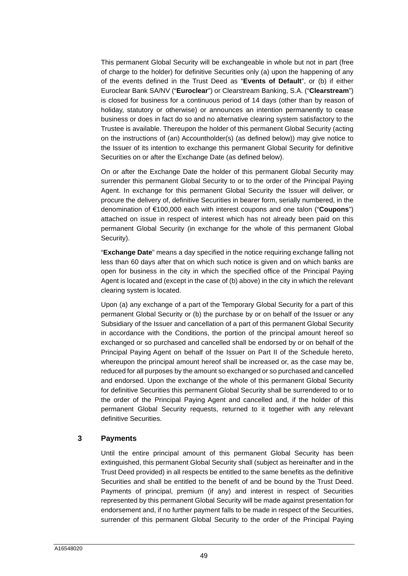This permanent Global Security will be exchangeable in whole but not in part (free of charge to the holder) for definitive Securities only (a) upon the happening of any of the events defined in the Trust Deed as "**Events of Default**", or (b) if either Euroclear Bank SA/NV ("**Euroclear**") or Clearstream Banking, S.A. ("**Clearstream**") is closed for business for a continuous period of 14 days (other than by reason of holiday, statutory or otherwise) or announces an intention permanently to cease business or does in fact do so and no alternative clearing system satisfactory to the Trustee is available. Thereupon the holder of this permanent Global Security (acting on the instructions of (an) Accountholder(s) (as defined below)) may give notice to the Issuer of its intention to exchange this permanent Global Security for definitive Securities on or after the Exchange Date (as defined below).

On or after the Exchange Date the holder of this permanent Global Security may surrender this permanent Global Security to or to the order of the Principal Paying Agent. In exchange for this permanent Global Security the Issuer will deliver, or procure the delivery of, definitive Securities in bearer form, serially numbered, in the denomination of €100,000 each with interest coupons and one talon ("**Coupons**") attached on issue in respect of interest which has not already been paid on this permanent Global Security (in exchange for the whole of this permanent Global Security).

"**Exchange Date**" means a day specified in the notice requiring exchange falling not less than 60 days after that on which such notice is given and on which banks are open for business in the city in which the specified office of the Principal Paying Agent is located and (except in the case of (b) above) in the city in which the relevant clearing system is located.

Upon (a) any exchange of a part of the Temporary Global Security for a part of this permanent Global Security or (b) the purchase by or on behalf of the Issuer or any Subsidiary of the Issuer and cancellation of a part of this permanent Global Security in accordance with the Conditions, the portion of the principal amount hereof so exchanged or so purchased and cancelled shall be endorsed by or on behalf of the Principal Paying Agent on behalf of the Issuer on [Part II](#page-54-0) of the Schedule hereto, whereupon the principal amount hereof shall be increased or, as the case may be, reduced for all purposes by the amount so exchanged or so purchased and cancelled and endorsed. Upon the exchange of the whole of this permanent Global Security for definitive Securities this permanent Global Security shall be surrendered to or to the order of the Principal Paying Agent and cancelled and, if the holder of this permanent Global Security requests, returned to it together with any relevant definitive Securities.

### **3 Payments**

Until the entire principal amount of this permanent Global Security has been extinguished, this permanent Global Security shall (subject as hereinafter and in the Trust Deed provided) in all respects be entitled to the same benefits as the definitive Securities and shall be entitled to the benefit of and be bound by the Trust Deed. Payments of principal, premium (if any) and interest in respect of Securities represented by this permanent Global Security will be made against presentation for endorsement and, if no further payment falls to be made in respect of the Securities, surrender of this permanent Global Security to the order of the Principal Paying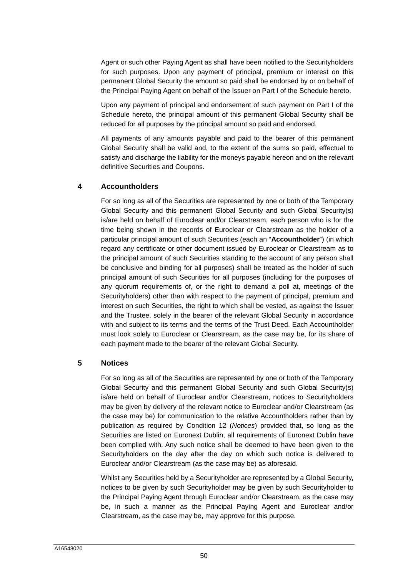Agent or such other Paying Agent as shall have been notified to the Securityholders for such purposes. Upon any payment of principal, premium or interest on this permanent Global Security the amount so paid shall be endorsed by or on behalf of the Principal Paying Agent on behalf of the Issuer on [Part I](#page-53-0) of the Schedule hereto.

Upon any payment of principal and endorsement of such payment on [Part I](#page-53-0) of the Schedule hereto, the principal amount of this permanent Global Security shall be reduced for all purposes by the principal amount so paid and endorsed.

All payments of any amounts payable and paid to the bearer of this permanent Global Security shall be valid and, to the extent of the sums so paid, effectual to satisfy and discharge the liability for the moneys payable hereon and on the relevant definitive Securities and Coupons.

### **4 Accountholders**

For so long as all of the Securities are represented by one or both of the Temporary Global Security and this permanent Global Security and such Global Security(s) is/are held on behalf of Euroclear and/or Clearstream, each person who is for the time being shown in the records of Euroclear or Clearstream as the holder of a particular principal amount of such Securities (each an "**Accountholder**") (in which regard any certificate or other document issued by Euroclear or Clearstream as to the principal amount of such Securities standing to the account of any person shall be conclusive and binding for all purposes) shall be treated as the holder of such principal amount of such Securities for all purposes (including for the purposes of any quorum requirements of, or the right to demand a poll at, meetings of the Securityholders) other than with respect to the payment of principal, premium and interest on such Securities, the right to which shall be vested, as against the Issuer and the Trustee, solely in the bearer of the relevant Global Security in accordance with and subject to its terms and the terms of the Trust Deed. Each Accountholder must look solely to Euroclear or Clearstream, as the case may be, for its share of each payment made to the bearer of the relevant Global Security.

### **5 Notices**

For so long as all of the Securities are represented by one or both of the Temporary Global Security and this permanent Global Security and such Global Security(s) is/are held on behalf of Euroclear and/or Clearstream, notices to Securityholders may be given by delivery of the relevant notice to Euroclear and/or Clearstream (as the case may be) for communication to the relative Accountholders rather than by publication as required by Condition 12 (*Notices*) provided that, so long as the Securities are listed on Euronext Dublin, all requirements of Euronext Dublin have been complied with. Any such notice shall be deemed to have been given to the Securityholders on the day after the day on which such notice is delivered to Euroclear and/or Clearstream (as the case may be) as aforesaid.

Whilst any Securities held by a Securityholder are represented by a Global Security, notices to be given by such Securityholder may be given by such Securityholder to the Principal Paying Agent through Euroclear and/or Clearstream, as the case may be, in such a manner as the Principal Paying Agent and Euroclear and/or Clearstream, as the case may be, may approve for this purpose.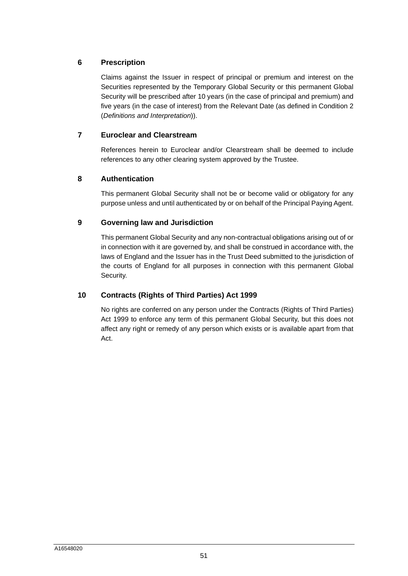## **6 Prescription**

Claims against the Issuer in respect of principal or premium and interest on the Securities represented by the Temporary Global Security or this permanent Global Security will be prescribed after 10 years (in the case of principal and premium) and five years (in the case of interest) from the Relevant Date (as defined in Condition 2 (*Definitions and Interpretation*)).

### **7 Euroclear and Clearstream**

References herein to Euroclear and/or Clearstream shall be deemed to include references to any other clearing system approved by the Trustee.

### **8 Authentication**

This permanent Global Security shall not be or become valid or obligatory for any purpose unless and until authenticated by or on behalf of the Principal Paying Agent.

### **9 Governing law and Jurisdiction**

This permanent Global Security and any non-contractual obligations arising out of or in connection with it are governed by, and shall be construed in accordance with, the laws of England and the Issuer has in the Trust Deed submitted to the jurisdiction of the courts of England for all purposes in connection with this permanent Global Security.

### **10 Contracts (Rights of Third Parties) Act 1999**

No rights are conferred on any person under the Contracts (Rights of Third Parties) Act 1999 to enforce any term of this permanent Global Security, but this does not affect any right or remedy of any person which exists or is available apart from that Act.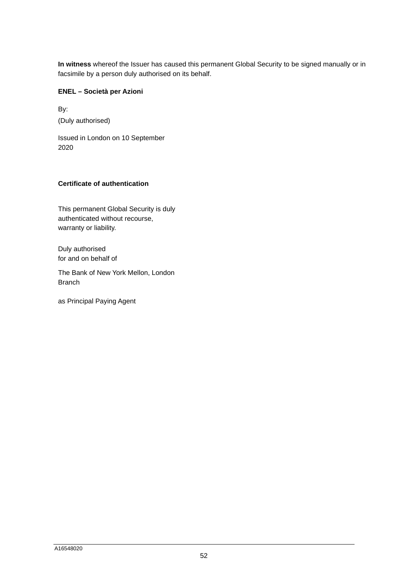**In witness** whereof the Issuer has caused this permanent Global Security to be signed manually or in facsimile by a person duly authorised on its behalf.

### **ENEL – Società per Azioni**

By: (Duly authorised)

Issued in London on 10 September 2020

### **Certificate of authentication**

This permanent Global Security is duly authenticated without recourse, warranty or liability.

Duly authorised for and on behalf of

The Bank of New York Mellon, London Branch

as Principal Paying Agent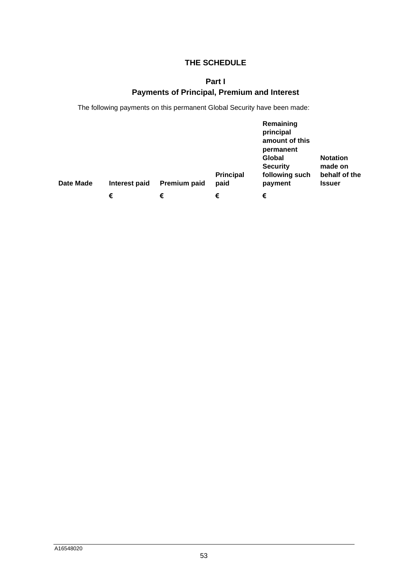## <span id="page-53-0"></span>**THE SCHEDULE**

# **Part I Payments of Principal, Premium and Interest**

The following payments on this permanent Global Security have been made:

| Date Made | Interest paid | Premium paid | <b>Principal</b><br>paid | Remaining<br>principal<br>amount of this<br>permanent<br>Global<br><b>Security</b><br>following such<br>payment | <b>Notation</b><br>made on<br>behalf of the<br><b>Issuer</b> |
|-----------|---------------|--------------|--------------------------|-----------------------------------------------------------------------------------------------------------------|--------------------------------------------------------------|
|           | €             | €            | €                        | €                                                                                                               |                                                              |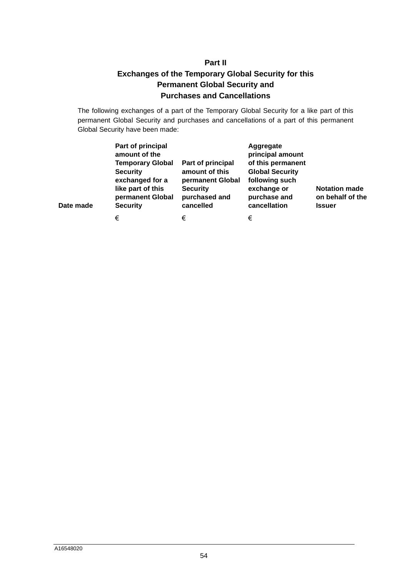# **Part II Exchanges of the Temporary Global Security for this Permanent Global Security and Purchases and Cancellations**

<span id="page-54-0"></span>The following exchanges of a part of the Temporary Global Security for a like part of this permanent Global Security and purchases and cancellations of a part of this permanent Global Security have been made:

| Date made | Part of principal<br>amount of the<br><b>Temporary Global</b><br><b>Security</b><br>exchanged for a<br>like part of this<br>permanent Global<br><b>Security</b> | Part of principal<br>amount of this<br>permanent Global<br><b>Security</b><br>purchased and<br>cancelled | Aggregate<br>principal amount<br>of this permanent<br><b>Global Security</b><br>following such<br>exchange or<br>purchase and<br>cancellation | <b>Notation made</b><br>on behalf of the<br><b>Issuer</b> |
|-----------|-----------------------------------------------------------------------------------------------------------------------------------------------------------------|----------------------------------------------------------------------------------------------------------|-----------------------------------------------------------------------------------------------------------------------------------------------|-----------------------------------------------------------|
|           | €                                                                                                                                                               | €                                                                                                        | €                                                                                                                                             |                                                           |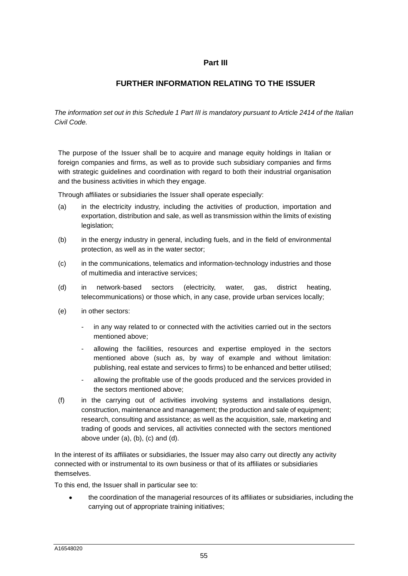### **Part III**

## **FURTHER INFORMATION RELATING TO THE ISSUER**

*The information set out in this Schedule 1 Part III is mandatory pursuant to Article 2414 of the Italian Civil Code.* 

The purpose of the Issuer shall be to acquire and manage equity holdings in Italian or foreign companies and firms, as well as to provide such subsidiary companies and firms with strategic guidelines and coordination with regard to both their industrial organisation and the business activities in which they engage.

Through affiliates or subsidiaries the Issuer shall operate especially:

- (a) in the electricity industry, including the activities of production, importation and exportation, distribution and sale, as well as transmission within the limits of existing legislation;
- (b) in the energy industry in general, including fuels, and in the field of environmental protection, as well as in the water sector;
- (c) in the communications, telematics and information-technology industries and those of multimedia and interactive services;
- (d) in network-based sectors (electricity, water, gas, district heating, telecommunications) or those which, in any case, provide urban services locally;
- (e) in other sectors:
	- in any way related to or connected with the activities carried out in the sectors mentioned above;
	- allowing the facilities, resources and expertise employed in the sectors mentioned above (such as, by way of example and without limitation: publishing, real estate and services to firms) to be enhanced and better utilised;
	- allowing the profitable use of the goods produced and the services provided in the sectors mentioned above;
- (f) in the carrying out of activities involving systems and installations design, construction, maintenance and management; the production and sale of equipment; research, consulting and assistance; as well as the acquisition, sale, marketing and trading of goods and services, all activities connected with the sectors mentioned above under (a), (b), (c) and (d).

In the interest of its affiliates or subsidiaries, the Issuer may also carry out directly any activity connected with or instrumental to its own business or that of its affiliates or subsidiaries themselves.

To this end, the Issuer shall in particular see to:

 the coordination of the managerial resources of its affiliates or subsidiaries, including the carrying out of appropriate training initiatives;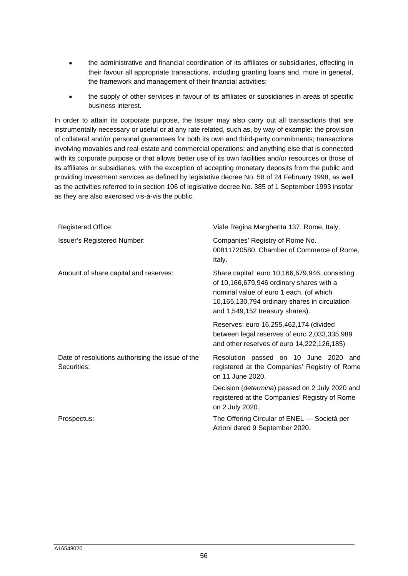- the administrative and financial coordination of its affiliates or subsidiaries, effecting in their favour all appropriate transactions, including granting loans and, more in general, the framework and management of their financial activities;
- the supply of other services in favour of its affiliates or subsidiaries in areas of specific business interest.

In order to attain its corporate purpose, the Issuer may also carry out all transactions that are instrumentally necessary or useful or at any rate related, such as, by way of example: the provision of collateral and/or personal guarantees for both its own and third-party commitments; transactions involving movables and real-estate and commercial operations; and anything else that is connected with its corporate purpose or that allows better use of its own facilities and/or resources or those of its affiliates or subsidiaries, with the exception of accepting monetary deposits from the public and providing investment services as defined by legislative decree No. 58 of 24 February 1998, as well as the activities referred to in section 106 of legislative decree No. 385 of 1 September 1993 insofar as they are also exercised vis-à-vis the public.

| <b>Registered Office:</b>                                       | Viale Regina Margherita 137, Rome, Italy.                                                                                                                                                                                 |
|-----------------------------------------------------------------|---------------------------------------------------------------------------------------------------------------------------------------------------------------------------------------------------------------------------|
| <b>Issuer's Registered Number:</b>                              | Companies' Registry of Rome No.<br>00811720580, Chamber of Commerce of Rome,<br>Italy.                                                                                                                                    |
| Amount of share capital and reserves:                           | Share capital: euro 10,166,679,946, consisting<br>of 10,166,679,946 ordinary shares with a<br>nominal value of euro 1 each, (of which<br>10,165,130,794 ordinary shares in circulation<br>and 1,549,152 treasury shares). |
|                                                                 | Reserves: euro 16,255,462,174 (divided<br>between legal reserves of euro 2,033,335,989<br>and other reserves of euro 14,222,126,185)                                                                                      |
| Date of resolutions authorising the issue of the<br>Securities: | Resolution passed on 10 June 2020 and<br>registered at the Companies' Registry of Rome<br>on 11 June 2020.                                                                                                                |
|                                                                 | Decision (determina) passed on 2 July 2020 and<br>registered at the Companies' Registry of Rome<br>on 2 July 2020.                                                                                                        |
| Prospectus:                                                     | The Offering Circular of ENEL - Società per<br>Azioni dated 9 September 2020.                                                                                                                                             |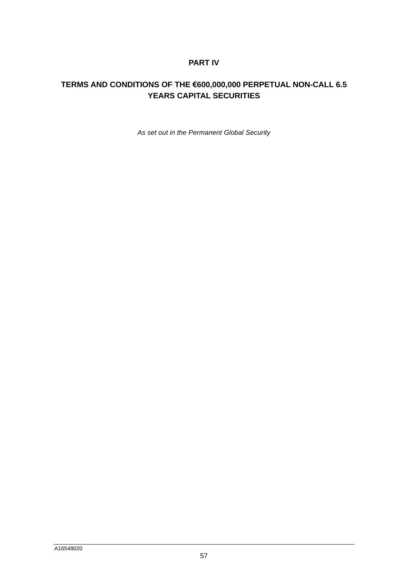## **PART IV**

# **TERMS AND CONDITIONS OF THE €600,000,000 PERPETUAL NON-CALL 6.5 YEARS CAPITAL SECURITIES**

*As set out in the Permanent Global Security*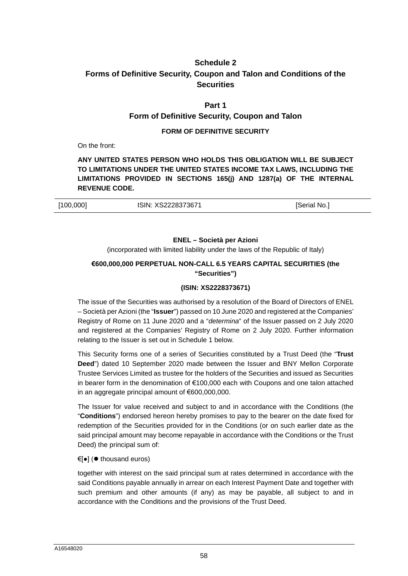## <span id="page-58-0"></span>**Schedule 2 Forms of Definitive Security, Coupon and Talon and Conditions of the Securities**

### **Part 1**

### **Form of Definitive Security, Coupon and Talon**

### **FORM OF DEFINITIVE SECURITY**

On the front:

**ANY UNITED STATES PERSON WHO HOLDS THIS OBLIGATION WILL BE SUBJECT TO LIMITATIONS UNDER THE UNITED STATES INCOME TAX LAWS, INCLUDING THE LIMITATIONS PROVIDED IN SECTIONS 165(j) AND 1287(a) OF THE INTERNAL REVENUE CODE.** 

| [100,000] | ISIN: XS2228373671 | [Serial No., |
|-----------|--------------------|--------------|
|           |                    |              |

#### **ENEL – Società per Azioni**

(incorporated with limited liability under the laws of the Republic of Italy)

### **€600,000,000 PERPETUAL NON-CALL 6.5 YEARS CAPITAL SECURITIES (the "Securities")**

### **(ISIN: XS2228373671)**

The issue of the Securities was authorised by a resolution of the Board of Directors of ENEL – Società per Azioni (the "**Issuer**") passed on 10 June 2020 and registered at the Companies' Registry of Rome on 11 June 2020 and a "*determina*" of the Issuer passed on 2 July 2020 and registered at the Companies' Registry of Rome on 2 July 2020. Further information relating to the Issuer is set out in Schedule 1 below.

This Security forms one of a series of Securities constituted by a Trust Deed (the "**Trust Deed**") dated 10 September 2020 made between the Issuer and BNY Mellon Corporate Trustee Services Limited as trustee for the holders of the Securities and issued as Securities in bearer form in the denomination of €100,000 each with Coupons and one talon attached in an aggregate principal amount of €600,000,000.

The Issuer for value received and subject to and in accordance with the Conditions (the "**Conditions**") endorsed hereon hereby promises to pay to the bearer on the date fixed for redemption of the Securities provided for in the Conditions (or on such earlier date as the said principal amount may become repayable in accordance with the Conditions or the Trust Deed) the principal sum of:

#### €[•] ( $\bullet$  thousand euros)

together with interest on the said principal sum at rates determined in accordance with the said Conditions payable annually in arrear on each Interest Payment Date and together with such premium and other amounts (if any) as may be payable, all subject to and in accordance with the Conditions and the provisions of the Trust Deed.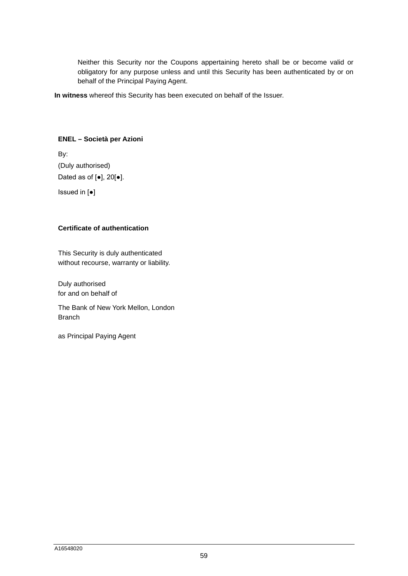Neither this Security nor the Coupons appertaining hereto shall be or become valid or obligatory for any purpose unless and until this Security has been authenticated by or on behalf of the Principal Paying Agent.

**In witness** whereof this Security has been executed on behalf of the Issuer.

### **ENEL – Società per Azioni**

By: (Duly authorised) Dated as of [●], 20[●]. Issued in [●]

### **Certificate of authentication**

This Security is duly authenticated without recourse, warranty or liability.

Duly authorised for and on behalf of

The Bank of New York Mellon, London Branch

as Principal Paying Agent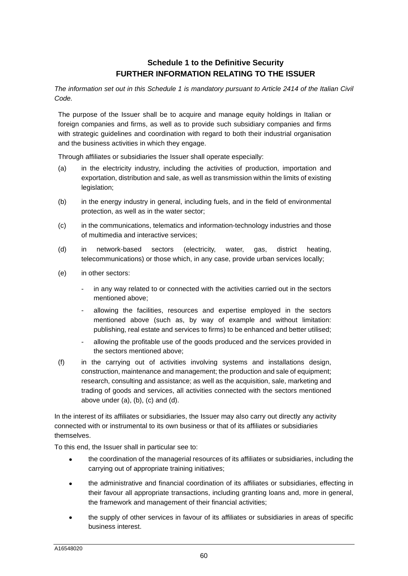## **Schedule 1 to the Definitive Security FURTHER INFORMATION RELATING TO THE ISSUER**

*The information set out in this Schedule 1 is mandatory pursuant to Article 2414 of the Italian Civil Code.* 

The purpose of the Issuer shall be to acquire and manage equity holdings in Italian or foreign companies and firms, as well as to provide such subsidiary companies and firms with strategic guidelines and coordination with regard to both their industrial organisation and the business activities in which they engage.

Through affiliates or subsidiaries the Issuer shall operate especially:

- (a) in the electricity industry, including the activities of production, importation and exportation, distribution and sale, as well as transmission within the limits of existing legislation;
- (b) in the energy industry in general, including fuels, and in the field of environmental protection, as well as in the water sector;
- (c) in the communications, telematics and information-technology industries and those of multimedia and interactive services;
- (d) in network-based sectors (electricity, water, gas, district heating, telecommunications) or those which, in any case, provide urban services locally;
- (e) in other sectors:
	- in any way related to or connected with the activities carried out in the sectors mentioned above;
	- allowing the facilities, resources and expertise employed in the sectors mentioned above (such as, by way of example and without limitation: publishing, real estate and services to firms) to be enhanced and better utilised;
	- allowing the profitable use of the goods produced and the services provided in the sectors mentioned above;
- (f) in the carrying out of activities involving systems and installations design, construction, maintenance and management; the production and sale of equipment; research, consulting and assistance; as well as the acquisition, sale, marketing and trading of goods and services, all activities connected with the sectors mentioned above under (a), (b), (c) and (d).

In the interest of its affiliates or subsidiaries, the Issuer may also carry out directly any activity connected with or instrumental to its own business or that of its affiliates or subsidiaries themselves.

To this end, the Issuer shall in particular see to:

- the coordination of the managerial resources of its affiliates or subsidiaries, including the carrying out of appropriate training initiatives;
- the administrative and financial coordination of its affiliates or subsidiaries, effecting in their favour all appropriate transactions, including granting loans and, more in general, the framework and management of their financial activities;
- the supply of other services in favour of its affiliates or subsidiaries in areas of specific business interest.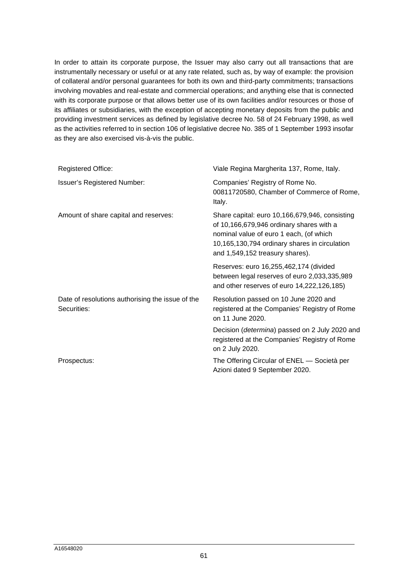In order to attain its corporate purpose, the Issuer may also carry out all transactions that are instrumentally necessary or useful or at any rate related, such as, by way of example: the provision of collateral and/or personal guarantees for both its own and third-party commitments; transactions involving movables and real-estate and commercial operations; and anything else that is connected with its corporate purpose or that allows better use of its own facilities and/or resources or those of its affiliates or subsidiaries, with the exception of accepting monetary deposits from the public and providing investment services as defined by legislative decree No. 58 of 24 February 1998, as well as the activities referred to in section 106 of legislative decree No. 385 of 1 September 1993 insofar as they are also exercised vis-à-vis the public.

| <b>Registered Office:</b>                                       | Viale Regina Margherita 137, Rome, Italy.                                                                                                                                                                                 |
|-----------------------------------------------------------------|---------------------------------------------------------------------------------------------------------------------------------------------------------------------------------------------------------------------------|
| <b>Issuer's Registered Number:</b>                              | Companies' Registry of Rome No.<br>00811720580, Chamber of Commerce of Rome,<br>Italy.                                                                                                                                    |
| Amount of share capital and reserves:                           | Share capital: euro 10,166,679,946, consisting<br>of 10,166,679,946 ordinary shares with a<br>nominal value of euro 1 each, (of which<br>10,165,130,794 ordinary shares in circulation<br>and 1,549,152 treasury shares). |
|                                                                 | Reserves: euro 16,255,462,174 (divided<br>between legal reserves of euro 2,033,335,989<br>and other reserves of euro 14,222,126,185)                                                                                      |
| Date of resolutions authorising the issue of the<br>Securities: | Resolution passed on 10 June 2020 and<br>registered at the Companies' Registry of Rome<br>on 11 June 2020.                                                                                                                |
|                                                                 | Decision ( <i>determina</i> ) passed on 2 July 2020 and<br>registered at the Companies' Registry of Rome<br>on 2 July 2020.                                                                                               |
| Prospectus:                                                     | The Offering Circular of ENEL - Società per<br>Azioni dated 9 September 2020.                                                                                                                                             |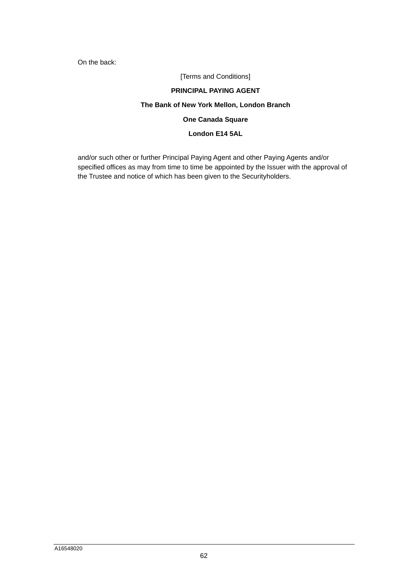On the back:

[Terms and Conditions]

### **PRINCIPAL PAYING AGENT**

### **The Bank of New York Mellon, London Branch**

### **One Canada Square**

### **London E14 5AL**

and/or such other or further Principal Paying Agent and other Paying Agents and/or specified offices as may from time to time be appointed by the Issuer with the approval of the Trustee and notice of which has been given to the Securityholders.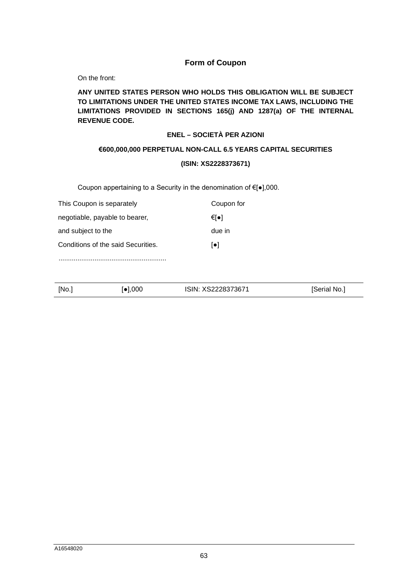### **Form of Coupon**

On the front:

### **ANY UNITED STATES PERSON WHO HOLDS THIS OBLIGATION WILL BE SUBJECT TO LIMITATIONS UNDER THE UNITED STATES INCOME TAX LAWS, INCLUDING THE LIMITATIONS PROVIDED IN SECTIONS 165(j) AND 1287(a) OF THE INTERNAL REVENUE CODE.**

### **ENEL – SOCIETÀ PER AZIONI**

#### **€600,000,000 PERPETUAL NON-CALL 6.5 YEARS CAPITAL SECURITIES**

### **(ISIN: XS2228373671)**

Coupon appertaining to a Security in the denomination of €[●],000.

| This Coupon is separately          | Coupon for              |
|------------------------------------|-------------------------|
| negotiable, payable to bearer,     | €[●]                    |
| and subject to the                 | due in                  |
| Conditions of the said Securities. | $\lceil \bullet \rceil$ |
|                                    |                         |

[No.] [ $\bullet$ ],000 ISIN: XS2228373671 [Serial No.]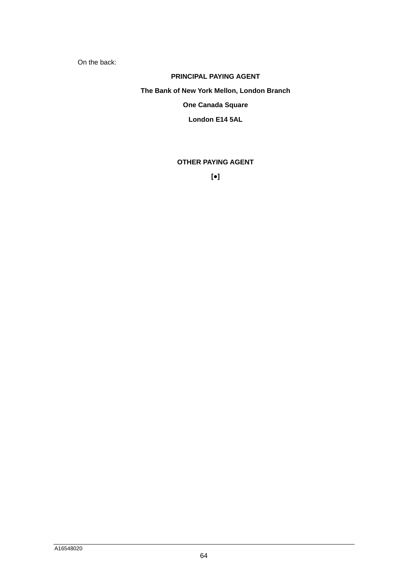On the back:

### **PRINCIPAL PAYING AGENT**

**The Bank of New York Mellon, London Branch** 

## **One Canada Square**

**London E14 5AL** 

# **OTHER PAYING AGENT**

**[●]**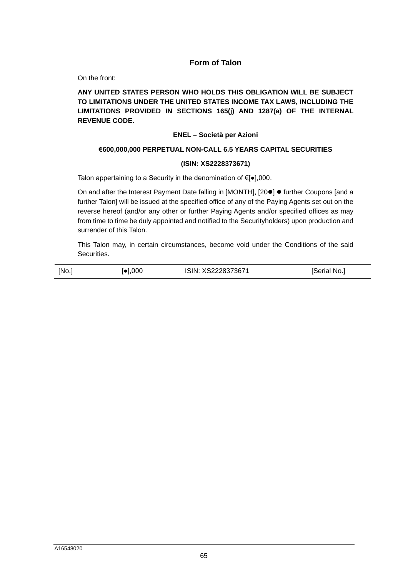### **Form of Talon**

On the front:

### **ANY UNITED STATES PERSON WHO HOLDS THIS OBLIGATION WILL BE SUBJECT TO LIMITATIONS UNDER THE UNITED STATES INCOME TAX LAWS, INCLUDING THE LIMITATIONS PROVIDED IN SECTIONS 165(j) AND 1287(a) OF THE INTERNAL REVENUE CODE.**

### **ENEL – Società per Azioni**

### **€600,000,000 PERPETUAL NON-CALL 6.5 YEARS CAPITAL SECURITIES**

#### **(ISIN: XS2228373671)**

Talon appertaining to a Security in the denomination of €[●],000.

On and after the Interest Payment Date falling in [MONTH], [20<sup>0</sup>]  $\bullet$  further Coupons [and a further Talon] will be issued at the specified office of any of the Paying Agents set out on the reverse hereof (and/or any other or further Paying Agents and/or specified offices as may from time to time be duly appointed and notified to the Securityholders) upon production and surrender of this Talon.

This Talon may, in certain circumstances, become void under the Conditions of the said Securities.

| [No.] | $\lceil \bullet \rceil,000$ | ISIN: XS2228373671 | [Serial No.] |
|-------|-----------------------------|--------------------|--------------|
|       |                             |                    |              |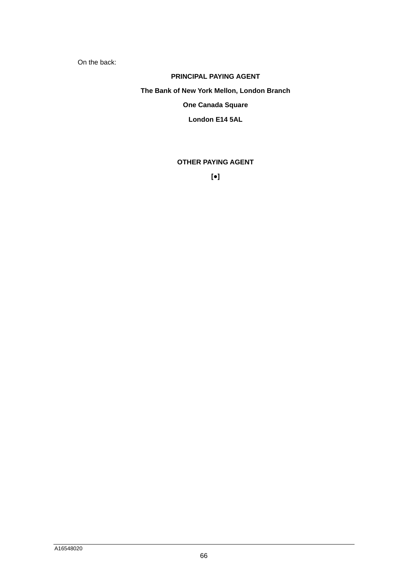On the back:

### **PRINCIPAL PAYING AGENT**

**The Bank of New York Mellon, London Branch** 

## **One Canada Square**

**London E14 5AL** 

### **OTHER PAYING AGENT**

**[●]**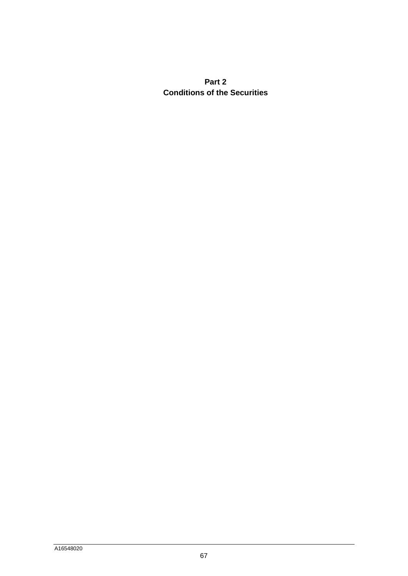# <span id="page-67-0"></span>**Part 2 Conditions of the Securities**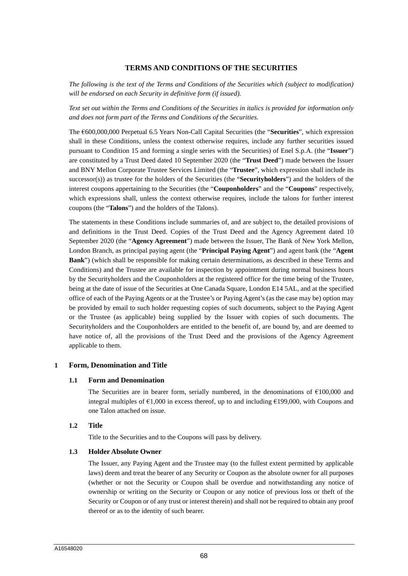### **TERMS AND CONDITIONS OF THE SECURITIES**

*The following is the text of the Terms and Conditions of the Securities which (subject to modification) will be endorsed on each Security in definitive form (if issued).* 

*Text set out within the Terms and Conditions of the Securities in italics is provided for information only and does not form part of the Terms and Conditions of the Securities.* 

The €600,000,000 Perpetual 6.5 Years Non-Call Capital Securities (the "**Securities**", which expression shall in these Conditions, unless the context otherwise requires, include any further securities issued pursuant to Condition 15 and forming a single series with the Securities) of Enel S.p.A. (the "**Issuer**") are constituted by a Trust Deed dated 10 September 2020 (the "**Trust Deed**") made between the Issuer and BNY Mellon Corporate Trustee Services Limited (the "**Trustee**", which expression shall include its successor(s)) as trustee for the holders of the Securities (the "**Securityholders**") and the holders of the interest coupons appertaining to the Securities (the "**Couponholders**" and the "**Coupons**" respectively, which expressions shall, unless the context otherwise requires, include the talons for further interest coupons (the "**Talons**") and the holders of the Talons).

The statements in these Conditions include summaries of, and are subject to, the detailed provisions of and definitions in the Trust Deed. Copies of the Trust Deed and the Agency Agreement dated 10 September 2020 (the "**Agency Agreement**") made between the Issuer, The Bank of New York Mellon, London Branch, as principal paying agent (the "**Principal Paying Agent**") and agent bank (the "**Agent Bank**") (which shall be responsible for making certain determinations, as described in these Terms and Conditions) and the Trustee are available for inspection by appointment during normal business hours by the Securityholders and the Couponholders at the registered office for the time being of the Trustee, being at the date of issue of the Securities at One Canada Square, London E14 5AL, and at the specified office of each of the Paying Agents or at the Trustee's or Paying Agent's (as the case may be) option may be provided by email to such holder requesting copies of such documents, subject to the Paying Agent or the Trustee (as applicable) being supplied by the Issuer with copies of such documents. The Securityholders and the Couponholders are entitled to the benefit of, are bound by, and are deemed to have notice of, all the provisions of the Trust Deed and the provisions of the Agency Agreement applicable to them.

#### **1 Form, Denomination and Title**

#### **1.1 Form and Denomination**

The Securities are in bearer form, serially numbered, in the denominations of  $\epsilon$ 100,000 and integral multiples of  $\epsilon$ 1,000 in excess thereof, up to and including  $\epsilon$ 199,000, with Coupons and one Talon attached on issue.

#### **1.2 Title**

Title to the Securities and to the Coupons will pass by delivery.

#### **1.3 Holder Absolute Owner**

The Issuer, any Paying Agent and the Trustee may (to the fullest extent permitted by applicable laws) deem and treat the bearer of any Security or Coupon as the absolute owner for all purposes (whether or not the Security or Coupon shall be overdue and notwithstanding any notice of ownership or writing on the Security or Coupon or any notice of previous loss or theft of the Security or Coupon or of any trust or interest therein) and shall not be required to obtain any proof thereof or as to the identity of such bearer.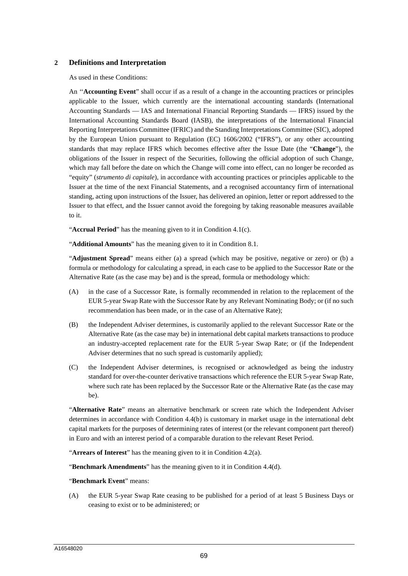#### **2 Definitions and Interpretation**

As used in these Conditions:

An ''**Accounting Event**" shall occur if as a result of a change in the accounting practices or principles applicable to the Issuer, which currently are the international accounting standards (International Accounting Standards — IAS and International Financial Reporting Standards — IFRS) issued by the International Accounting Standards Board (IASB), the interpretations of the International Financial Reporting Interpretations Committee (IFRIC) and the Standing Interpretations Committee (SIC), adopted by the European Union pursuant to Regulation (EC) 1606/2002 ("IFRS"), or any other accounting standards that may replace IFRS which becomes effective after the Issue Date (the "**Change**"), the obligations of the Issuer in respect of the Securities, following the official adoption of such Change, which may fall before the date on which the Change will come into effect, can no longer be recorded as "equity" (*strumento di capitale*), in accordance with accounting practices or principles applicable to the Issuer at the time of the next Financial Statements, and a recognised accountancy firm of international standing, acting upon instructions of the Issuer, has delivered an opinion, letter or report addressed to the Issuer to that effect, and the Issuer cannot avoid the foregoing by taking reasonable measures available to it.

"**Accrual Period**" has the meaning given to it in Condition 4.1(c).

"**Additional Amounts**" has the meaning given to it in Condition 8.1.

"**Adjustment Spread**" means either (a) a spread (which may be positive, negative or zero) or (b) a formula or methodology for calculating a spread, in each case to be applied to the Successor Rate or the Alternative Rate (as the case may be) and is the spread, formula or methodology which:

- (A) in the case of a Successor Rate, is formally recommended in relation to the replacement of the EUR 5-year Swap Rate with the Successor Rate by any Relevant Nominating Body; or (if no such recommendation has been made, or in the case of an Alternative Rate);
- (B) the Independent Adviser determines, is customarily applied to the relevant Successor Rate or the Alternative Rate (as the case may be) in international debt capital markets transactions to produce an industry-accepted replacement rate for the EUR 5-year Swap Rate; or (if the Independent Adviser determines that no such spread is customarily applied);
- (C) the Independent Adviser determines, is recognised or acknowledged as being the industry standard for over-the-counter derivative transactions which reference the EUR 5-year Swap Rate, where such rate has been replaced by the Successor Rate or the Alternative Rate (as the case may be).

"**Alternative Rate**" means an alternative benchmark or screen rate which the Independent Adviser determines in accordance with Condition 4.4(b) is customary in market usage in the international debt capital markets for the purposes of determining rates of interest (or the relevant component part thereof) in Euro and with an interest period of a comparable duration to the relevant Reset Period.

"**Arrears of Interest**" has the meaning given to it in Condition 4.2(a).

"**Benchmark Amendments**" has the meaning given to it in Condition 4.4(d).

#### "**Benchmark Event**" means:

(A) the EUR 5-year Swap Rate ceasing to be published for a period of at least 5 Business Days or ceasing to exist or to be administered; or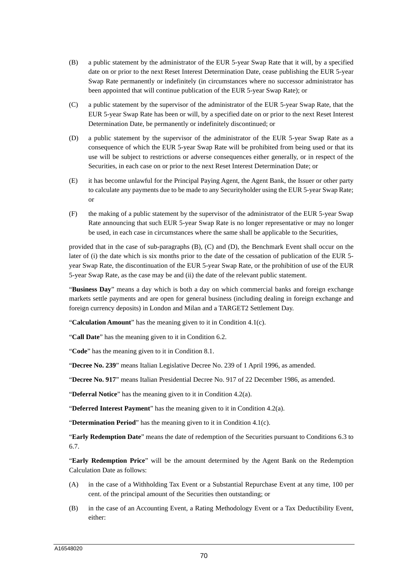- (B) a public statement by the administrator of the EUR 5-year Swap Rate that it will, by a specified date on or prior to the next Reset Interest Determination Date, cease publishing the EUR 5-year Swap Rate permanently or indefinitely (in circumstances where no successor administrator has been appointed that will continue publication of the EUR 5-year Swap Rate); or
- (C) a public statement by the supervisor of the administrator of the EUR 5-year Swap Rate, that the EUR 5-year Swap Rate has been or will, by a specified date on or prior to the next Reset Interest Determination Date, be permanently or indefinitely discontinued; or
- (D) a public statement by the supervisor of the administrator of the EUR 5-year Swap Rate as a consequence of which the EUR 5-year Swap Rate will be prohibited from being used or that its use will be subject to restrictions or adverse consequences either generally, or in respect of the Securities, in each case on or prior to the next Reset Interest Determination Date; or
- (E) it has become unlawful for the Principal Paying Agent, the Agent Bank, the Issuer or other party to calculate any payments due to be made to any Securityholder using the EUR 5-year Swap Rate; or
- (F) the making of a public statement by the supervisor of the administrator of the EUR 5-year Swap Rate announcing that such EUR 5-year Swap Rate is no longer representative or may no longer be used, in each case in circumstances where the same shall be applicable to the Securities,

provided that in the case of sub-paragraphs (B), (C) and (D), the Benchmark Event shall occur on the later of (i) the date which is six months prior to the date of the cessation of publication of the EUR 5year Swap Rate, the discontinuation of the EUR 5-year Swap Rate, or the prohibition of use of the EUR 5-year Swap Rate, as the case may be and (ii) the date of the relevant public statement.

"**Business Day**" means a day which is both a day on which commercial banks and foreign exchange markets settle payments and are open for general business (including dealing in foreign exchange and foreign currency deposits) in London and Milan and a TARGET2 Settlement Day.

"**Calculation Amount**" has the meaning given to it in Condition 4.1(c).

"**Call Date**" has the meaning given to it in Condition 6.2.

"**Code**" has the meaning given to it in Condition 8.1.

"**Decree No. 239**" means Italian Legislative Decree No. 239 of 1 April 1996, as amended.

"**Decree No. 917**" means Italian Presidential Decree No. 917 of 22 December 1986, as amended.

"**Deferral Notice**" has the meaning given to it in Condition 4.2(a).

"**Deferred Interest Payment**" has the meaning given to it in Condition 4.2(a).

"**Determination Period**" has the meaning given to it in Condition 4.1(c).

"**Early Redemption Date**" means the date of redemption of the Securities pursuant to Conditions 6.3 to 6.7.

"**Early Redemption Price**" will be the amount determined by the Agent Bank on the Redemption Calculation Date as follows:

- (A) in the case of a Withholding Tax Event or a Substantial Repurchase Event at any time, 100 per cent. of the principal amount of the Securities then outstanding; or
- (B) in the case of an Accounting Event, a Rating Methodology Event or a Tax Deductibility Event, either: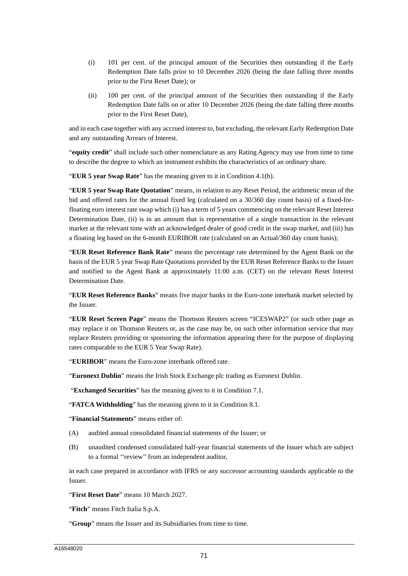- (i) 101 per cent. of the principal amount of the Securities then outstanding if the Early Redemption Date falls prior to 10 December 2026 (being the date falling three months prior to the First Reset Date); or
- (ii) 100 per cent. of the principal amount of the Securities then outstanding if the Early Redemption Date falls on or after 10 December 2026 (being the date falling three months prior to the First Reset Date),

and in each case together with any accrued interest to, but excluding, the relevant Early Redemption Date and any outstanding Arrears of Interest.

"**equity credit**" shall include such other nomenclature as any Rating Agency may use from time to time to describe the degree to which an instrument exhibits the characteristics of an ordinary share.

"**EUR 5 year Swap Rate**" has the meaning given to it in Condition 4.1(b).

"**EUR 5 year Swap Rate Quotation**" means, in relation to any Reset Period, the arithmetic mean of the bid and offered rates for the annual fixed leg (calculated on a 30/360 day count basis) of a fixed-forfloating euro interest rate swap which (i) has a term of 5 years commencing on the relevant Reset Interest Determination Date, (ii) is in an amount that is representative of a single transaction in the relevant market at the relevant time with an acknowledged dealer of good credit in the swap market, and (iii) has a floating leg based on the 6-month EURIBOR rate (calculated on an Actual/360 day count basis);

"**EUR Reset Reference Bank Rate**" means the percentage rate determined by the Agent Bank on the basis of the EUR 5 year Swap Rate Quotations provided by the EUR Reset Reference Banks to the Issuer and notified to the Agent Bank at approximately 11:00 a.m. (CET) on the relevant Reset Interest Determination Date.

"**EUR Reset Reference Banks**" means five major banks in the Euro-zone interbank market selected by the Issuer.

"**EUR Reset Screen Page**" means the Thomson Reuters screen "ICESWAP2" (or such other page as may replace it on Thomson Reuters or, as the case may be, on such other information service that may replace Reuters providing or sponsoring the information appearing there for the purpose of displaying rates comparable to the EUR 5 Year Swap Rate).

"**EURIBOR**" means the Euro-zone interbank offered rate.

"**Euronext Dublin**" means the Irish Stock Exchange plc trading as Euronext Dublin.

"**Exchanged Securities**" has the meaning given to it in Condition 7.1.

"**FATCA Withholding**" has the meaning given to it in Condition 8.1.

"**Financial Statements**" means either of:

- (A) audited annual consolidated financial statements of the Issuer; or
- (B) unaudited condensed consolidated half-year financial statements of the Issuer which are subject to a formal ''review'' from an independent auditor,

in each case prepared in accordance with IFRS or any successor accounting standards applicable to the Issuer.

"**First Reset Date**" means 10 March 2027.

"**Fitch**" means Fitch Italia S.p.A.

"**Group**" means the Issuer and its Subsidiaries from time to time.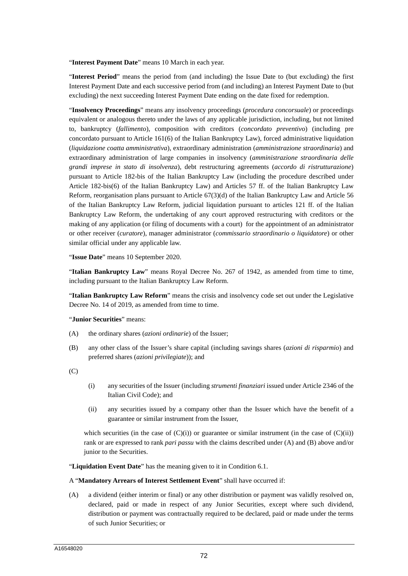"**Interest Payment Date**" means 10 March in each year.

"**Interest Period**" means the period from (and including) the Issue Date to (but excluding) the first Interest Payment Date and each successive period from (and including) an Interest Payment Date to (but excluding) the next succeeding Interest Payment Date ending on the date fixed for redemption.

"**Insolvency Proceedings**" means any insolvency proceedings (*procedura concorsuale*) or proceedings equivalent or analogous thereto under the laws of any applicable jurisdiction, including, but not limited to, bankruptcy (*fallimento*), composition with creditors (*concordato preventivo*) (including pre concordato pursuant to Article 161(6) of the Italian Bankruptcy Law), forced administrative liquidation (*liquidazione coatta amministrativa*), extraordinary administration (*amministrazione straordinaria*) and extraordinary administration of large companies in insolvency (*amministrazione straordinaria delle grandi imprese in stato di insolvenza*), debt restructuring agreements (*accordo di ristrutturazione*) pursuant to Article 182-bis of the Italian Bankruptcy Law (including the procedure described under Article 182-bis(6) of the Italian Bankruptcy Law) and Articles 57 ff. of the Italian Bankruptcy Law Reform, reorganisation plans pursuant to Article 67(3)(d) of the Italian Bankruptcy Law and Article 56 of the Italian Bankruptcy Law Reform, judicial liquidation pursuant to articles 121 ff. of the Italian Bankruptcy Law Reform, the undertaking of any court approved restructuring with creditors or the making of any application (or filing of documents with a court) for the appointment of an administrator or other receiver (*curatore*), manager administrator (*commissario straordinario o liquidatore*) or other similar official under any applicable law.

"**Issue Date**" means 10 September 2020.

"**Italian Bankruptcy Law**" means Royal Decree No. 267 of 1942, as amended from time to time, including pursuant to the Italian Bankruptcy Law Reform.

"**Italian Bankruptcy Law Reform**" means the crisis and insolvency code set out under the Legislative Decree No. 14 of 2019, as amended from time to time.

#### "**Junior Securities**" means:

- (A) the ordinary shares (*azioni ordinarie*) of the Issuer;
- (B) any other class of the Issuer's share capital (including savings shares (*azioni di risparmio*) and preferred shares (*azioni privilegiate*)); and

 $(C)$ 

- (i) any securities of the Issuer (including *strumenti finanziari* issued under Article 2346 of the Italian Civil Code); and
- (ii) any securities issued by a company other than the Issuer which have the benefit of a guarantee or similar instrument from the Issuer,

which securities (in the case of  $(C)(i)$ ) or guarantee or similar instrument (in the case of  $(C)(ii)$ ) rank or are expressed to rank *pari passu* with the claims described under (A) and (B) above and/or junior to the Securities.

"**Liquidation Event Date**" has the meaning given to it in Condition 6.1.

#### A "**Mandatory Arrears of Interest Settlement Event**" shall have occurred if:

(A) a dividend (either interim or final) or any other distribution or payment was validly resolved on, declared, paid or made in respect of any Junior Securities, except where such dividend, distribution or payment was contractually required to be declared, paid or made under the terms of such Junior Securities; or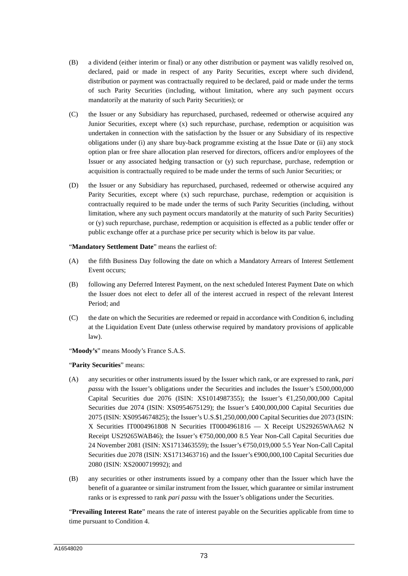- (B) a dividend (either interim or final) or any other distribution or payment was validly resolved on, declared, paid or made in respect of any Parity Securities, except where such dividend, distribution or payment was contractually required to be declared, paid or made under the terms of such Parity Securities (including, without limitation, where any such payment occurs mandatorily at the maturity of such Parity Securities); or
- (C) the Issuer or any Subsidiary has repurchased, purchased, redeemed or otherwise acquired any Junior Securities, except where (x) such repurchase, purchase, redemption or acquisition was undertaken in connection with the satisfaction by the Issuer or any Subsidiary of its respective obligations under (i) any share buy-back programme existing at the Issue Date or (ii) any stock option plan or free share allocation plan reserved for directors, officers and/or employees of the Issuer or any associated hedging transaction or (y) such repurchase, purchase, redemption or acquisition is contractually required to be made under the terms of such Junior Securities; or
- (D) the Issuer or any Subsidiary has repurchased, purchased, redeemed or otherwise acquired any Parity Securities, except where (x) such repurchase, purchase, redemption or acquisition is contractually required to be made under the terms of such Parity Securities (including, without limitation, where any such payment occurs mandatorily at the maturity of such Parity Securities) or (y) such repurchase, purchase, redemption or acquisition is effected as a public tender offer or public exchange offer at a purchase price per security which is below its par value.

"**Mandatory Settlement Date**" means the earliest of:

- (A) the fifth Business Day following the date on which a Mandatory Arrears of Interest Settlement Event occurs;
- (B) following any Deferred Interest Payment, on the next scheduled Interest Payment Date on which the Issuer does not elect to defer all of the interest accrued in respect of the relevant Interest Period; and
- (C) the date on which the Securities are redeemed or repaid in accordance with Condition 6, including at the Liquidation Event Date (unless otherwise required by mandatory provisions of applicable law).

"**Moody's**" means Moody's France S.A.S.

"**Parity Securities**" means:

- (A) any securities or other instruments issued by the Issuer which rank, or are expressed to rank, *pari passu* with the Issuer's obligations under the Securities and includes the Issuer's £500,000,000 Capital Securities due 2076 (ISIN: XS1014987355); the Issuer's  $61,250,000,000$  Capital Securities due 2074 (ISIN: XS0954675129); the Issuer's £400,000,000 Capital Securities due 2075 (ISIN: XS0954674825); the Issuer's U.S.\$1,250,000,000 Capital Securities due 2073 (ISIN: X Securities IT0004961808 N Securities IT0004961816 — X Receipt US29265WAA62 N Receipt US29265WAB46); the Issuer's €750,000,000 8.5 Year Non-Call Capital Securities due 24 November 2081 (ISIN: XS1713463559); the Issuer's €750,019,000 5.5 Year Non-Call Capital Securities due 2078 (ISIN: XS1713463716) and the Issuer's €900,000,100 Capital Securities due 2080 (ISIN: XS2000719992); and
- (B) any securities or other instruments issued by a company other than the Issuer which have the benefit of a guarantee or similar instrument from the Issuer, which guarantee or similar instrument ranks or is expressed to rank *pari passu* with the Issuer's obligations under the Securities.

"**Prevailing Interest Rate**" means the rate of interest payable on the Securities applicable from time to time pursuant to Condition 4.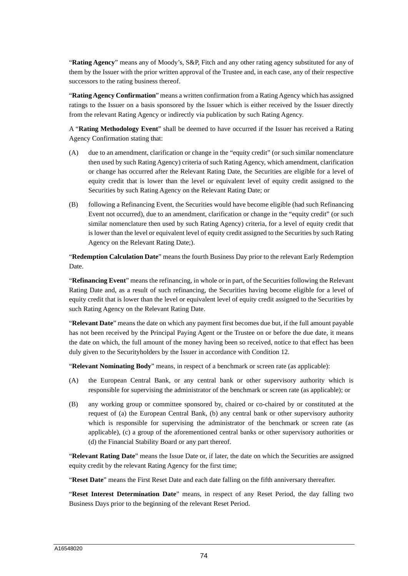"**Rating Agency**" means any of Moody's, S&P, Fitch and any other rating agency substituted for any of them by the Issuer with the prior written approval of the Trustee and, in each case, any of their respective successors to the rating business thereof.

"**Rating Agency Confirmation**" means a written confirmation from a Rating Agency which has assigned ratings to the Issuer on a basis sponsored by the Issuer which is either received by the Issuer directly from the relevant Rating Agency or indirectly via publication by such Rating Agency.

A "**Rating Methodology Event**" shall be deemed to have occurred if the Issuer has received a Rating Agency Confirmation stating that:

- (A) due to an amendment, clarification or change in the "equity credit" (or such similar nomenclature then used by such Rating Agency) criteria of such Rating Agency, which amendment, clarification or change has occurred after the Relevant Rating Date, the Securities are eligible for a level of equity credit that is lower than the level or equivalent level of equity credit assigned to the Securities by such Rating Agency on the Relevant Rating Date; or
- (B) following a Refinancing Event, the Securities would have become eligible (had such Refinancing Event not occurred), due to an amendment, clarification or change in the "equity credit" (or such similar nomenclature then used by such Rating Agency) criteria, for a level of equity credit that is lower than the level or equivalent level of equity credit assigned to the Securities by such Rating Agency on the Relevant Rating Date;).

"**Redemption Calculation Date**" means the fourth Business Day prior to the relevant Early Redemption Date.

"**Refinancing Event**" means the refinancing, in whole or in part, of the Securities following the Relevant Rating Date and, as a result of such refinancing, the Securities having become eligible for a level of equity credit that is lower than the level or equivalent level of equity credit assigned to the Securities by such Rating Agency on the Relevant Rating Date.

"**Relevant Date**" means the date on which any payment first becomes due but, if the full amount payable has not been received by the Principal Paying Agent or the Trustee on or before the due date, it means the date on which, the full amount of the money having been so received, notice to that effect has been duly given to the Securityholders by the Issuer in accordance with Condition 12.

"**Relevant Nominating Body**" means, in respect of a benchmark or screen rate (as applicable):

- (A) the European Central Bank, or any central bank or other supervisory authority which is responsible for supervising the administrator of the benchmark or screen rate (as applicable); or
- (B) any working group or committee sponsored by, chaired or co-chaired by or constituted at the request of (a) the European Central Bank, (b) any central bank or other supervisory authority which is responsible for supervising the administrator of the benchmark or screen rate (as applicable), (c) a group of the aforementioned central banks or other supervisory authorities or (d) the Financial Stability Board or any part thereof.

"**Relevant Rating Date**" means the Issue Date or, if later, the date on which the Securities are assigned equity credit by the relevant Rating Agency for the first time;

"**Reset Date**" means the First Reset Date and each date falling on the fifth anniversary thereafter.

"**Reset Interest Determination Date**" means, in respect of any Reset Period, the day falling two Business Days prior to the beginning of the relevant Reset Period.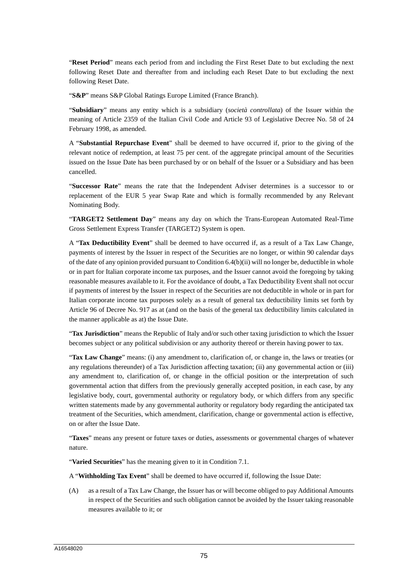"**Reset Period**" means each period from and including the First Reset Date to but excluding the next following Reset Date and thereafter from and including each Reset Date to but excluding the next following Reset Date.

"**S&P**" means S&P Global Ratings Europe Limited (France Branch).

"**Subsidiary**" means any entity which is a subsidiary (*società controllata*) of the Issuer within the meaning of Article 2359 of the Italian Civil Code and Article 93 of Legislative Decree No. 58 of 24 February 1998, as amended.

A "**Substantial Repurchase Event**" shall be deemed to have occurred if, prior to the giving of the relevant notice of redemption, at least 75 per cent. of the aggregate principal amount of the Securities issued on the Issue Date has been purchased by or on behalf of the Issuer or a Subsidiary and has been cancelled.

"**Successor Rate**" means the rate that the Independent Adviser determines is a successor to or replacement of the EUR 5 year Swap Rate and which is formally recommended by any Relevant Nominating Body.

"**TARGET2 Settlement Day**" means any day on which the Trans-European Automated Real-Time Gross Settlement Express Transfer (TARGET2) System is open.

A "**Tax Deductibility Event**" shall be deemed to have occurred if, as a result of a Tax Law Change, payments of interest by the Issuer in respect of the Securities are no longer, or within 90 calendar days of the date of any opinion provided pursuant to Condition 6.4(b)(ii) will no longer be, deductible in whole or in part for Italian corporate income tax purposes, and the Issuer cannot avoid the foregoing by taking reasonable measures available to it. For the avoidance of doubt, a Tax Deductibility Event shall not occur if payments of interest by the Issuer in respect of the Securities are not deductible in whole or in part for Italian corporate income tax purposes solely as a result of general tax deductibility limits set forth by Article 96 of Decree No. 917 as at (and on the basis of the general tax deductibility limits calculated in the manner applicable as at) the Issue Date.

"**Tax Jurisdiction**" means the Republic of Italy and/or such other taxing jurisdiction to which the Issuer becomes subject or any political subdivision or any authority thereof or therein having power to tax.

"**Tax Law Change**" means: (i) any amendment to, clarification of, or change in, the laws or treaties (or any regulations thereunder) of a Tax Jurisdiction affecting taxation; (ii) any governmental action or (iii) any amendment to, clarification of, or change in the official position or the interpretation of such governmental action that differs from the previously generally accepted position, in each case, by any legislative body, court, governmental authority or regulatory body, or which differs from any specific written statements made by any governmental authority or regulatory body regarding the anticipated tax treatment of the Securities, which amendment, clarification, change or governmental action is effective, on or after the Issue Date.

"**Taxes**" means any present or future taxes or duties, assessments or governmental charges of whatever nature.

"**Varied Securities**" has the meaning given to it in Condition 7.1.

A "**Withholding Tax Event**" shall be deemed to have occurred if, following the Issue Date:

(A) as a result of a Tax Law Change, the Issuer has or will become obliged to pay Additional Amounts in respect of the Securities and such obligation cannot be avoided by the Issuer taking reasonable measures available to it; or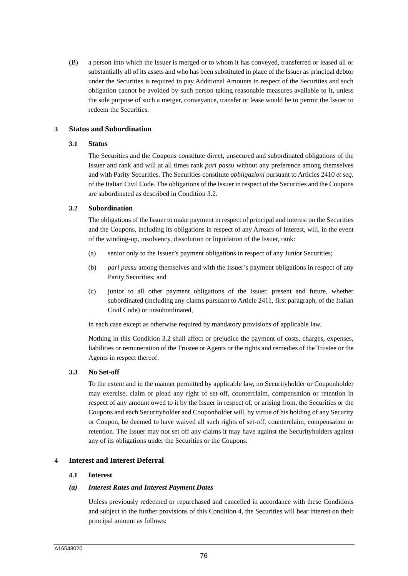(B) a person into which the Issuer is merged or to whom it has conveyed, transferred or leased all or substantially all of its assets and who has been substituted in place of the Issuer as principal debtor under the Securities is required to pay Additional Amounts in respect of the Securities and such obligation cannot be avoided by such person taking reasonable measures available to it, unless the sole purpose of such a merger, conveyance, transfer or lease would be to permit the Issuer to redeem the Securities.

## **3 Status and Subordination**

## **3.1 Status**

The Securities and the Coupons constitute direct, unsecured and subordinated obligations of the Issuer and rank and will at all times rank *pari passu* without any preference among themselves and with Parity Securities. The Securities constitute *obbligazioni* pursuant to Articles 2410 *et seq*. of the Italian Civil Code. The obligations of the Issuer in respect of the Securities and the Coupons are subordinated as described in Condition 3.2.

## **3.2 Subordination**

The obligations of the Issuer to make payment in respect of principal and interest on the Securities and the Coupons, including its obligations in respect of any Arrears of Interest, will, in the event of the winding-up, insolvency, dissolution or liquidation of the Issuer, rank:

- (a) senior only to the Issuer's payment obligations in respect of any Junior Securities;
- (b) *pari passu* among themselves and with the Issuer's payment obligations in respect of any Parity Securities; and
- (c) junior to all other payment obligations of the Issuer, present and future, whether subordinated (including any claims pursuant to Article 2411, first paragraph, of the Italian Civil Code) or unsubordinated,

in each case except as otherwise required by mandatory provisions of applicable law.

Nothing in this Condition 3.2 shall affect or prejudice the payment of costs, charges, expenses, liabilities or remuneration of the Trustee or Agents or the rights and remedies of the Trustee or the Agents in respect thereof.

## **3.3 No Set-off**

To the extent and in the manner permitted by applicable law, no Securityholder or Couponholder may exercise, claim or plead any right of set-off, counterclaim, compensation or retention in respect of any amount owed to it by the Issuer in respect of, or arising from, the Securities or the Coupons and each Securityholder and Couponholder will, by virtue of his holding of any Security or Coupon, be deemed to have waived all such rights of set-off, counterclaim, compensation or retention. The Issuer may not set off any claims it may have against the Securityholders against any of its obligations under the Securities or the Coupons.

## **4 Interest and Interest Deferral**

## **4.1 Interest**

## *(a) Interest Rates and Interest Payment Dates*

Unless previously redeemed or repurchased and cancelled in accordance with these Conditions and subject to the further provisions of this Condition 4, the Securities will bear interest on their principal amount as follows: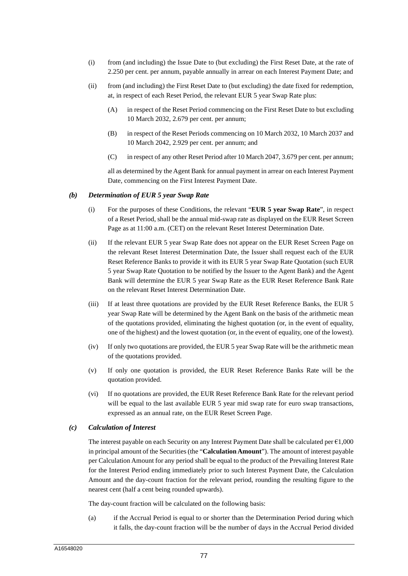- (i) from (and including) the Issue Date to (but excluding) the First Reset Date, at the rate of 2.250 per cent. per annum, payable annually in arrear on each Interest Payment Date; and
- (ii) from (and including) the First Reset Date to (but excluding) the date fixed for redemption, at, in respect of each Reset Period, the relevant EUR 5 year Swap Rate plus:
	- (A) in respect of the Reset Period commencing on the First Reset Date to but excluding 10 March 2032, 2.679 per cent. per annum;
	- (B) in respect of the Reset Periods commencing on 10 March 2032, 10 March 2037 and 10 March 2042, 2.929 per cent. per annum; and
	- (C) in respect of any other Reset Period after 10 March 2047, 3.679 per cent. per annum;

all as determined by the Agent Bank for annual payment in arrear on each Interest Payment Date, commencing on the First Interest Payment Date.

#### *(b) Determination of EUR 5 year Swap Rate*

- (i) For the purposes of these Conditions, the relevant "**EUR 5 year Swap Rate**", in respect of a Reset Period, shall be the annual mid-swap rate as displayed on the EUR Reset Screen Page as at 11:00 a.m. (CET) on the relevant Reset Interest Determination Date.
- (ii) If the relevant EUR 5 year Swap Rate does not appear on the EUR Reset Screen Page on the relevant Reset Interest Determination Date, the Issuer shall request each of the EUR Reset Reference Banks to provide it with its EUR 5 year Swap Rate Quotation (such EUR 5 year Swap Rate Quotation to be notified by the Issuer to the Agent Bank) and the Agent Bank will determine the EUR 5 year Swap Rate as the EUR Reset Reference Bank Rate on the relevant Reset Interest Determination Date.
- (iii) If at least three quotations are provided by the EUR Reset Reference Banks, the EUR 5 year Swap Rate will be determined by the Agent Bank on the basis of the arithmetic mean of the quotations provided, eliminating the highest quotation (or, in the event of equality, one of the highest) and the lowest quotation (or, in the event of equality, one of the lowest).
- (iv) If only two quotations are provided, the EUR 5 year Swap Rate will be the arithmetic mean of the quotations provided.
- (v) If only one quotation is provided, the EUR Reset Reference Banks Rate will be the quotation provided.
- (vi) If no quotations are provided, the EUR Reset Reference Bank Rate for the relevant period will be equal to the last available EUR 5 year mid swap rate for euro swap transactions, expressed as an annual rate, on the EUR Reset Screen Page.

## *(c) Calculation of Interest*

The interest payable on each Security on any Interest Payment Date shall be calculated per  $\epsilon$ 1,000 in principal amount of the Securities (the "**Calculation Amount**"). The amount of interest payable per Calculation Amount for any period shall be equal to the product of the Prevailing Interest Rate for the Interest Period ending immediately prior to such Interest Payment Date, the Calculation Amount and the day-count fraction for the relevant period, rounding the resulting figure to the nearest cent (half a cent being rounded upwards).

The day-count fraction will be calculated on the following basis:

(a) if the Accrual Period is equal to or shorter than the Determination Period during which it falls, the day-count fraction will be the number of days in the Accrual Period divided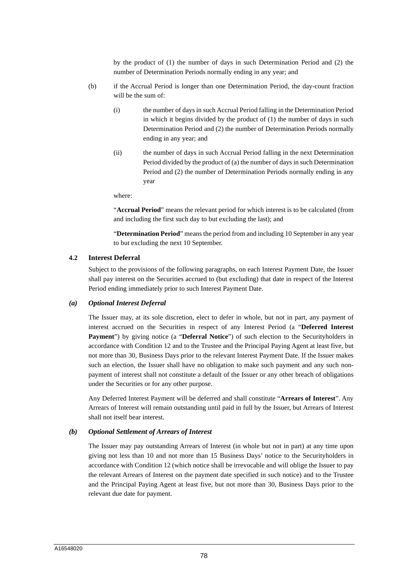by the product of (1) the number of days in such Determination Period and (2) the number of Determination Periods normally ending in any year; and

- (b) if the Accrual Period is longer than one Determination Period, the day-count fraction will be the sum of:
	- (i) the number of days in such Accrual Period falling in the Determination Period in which it begins divided by the product of (1) the number of days in such Determination Period and (2) the number of Determination Periods normally ending in any year; and
	- (ii) the number of days in such Accrual Period falling in the next Determination Period divided by the product of (a) the number of days in such Determination Period and (2) the number of Determination Periods normally ending in any year

where:

"**Accrual Period**" means the relevant period for which interest is to be calculated (from and including the first such day to but excluding the last); and

"**Determination Period**" means the period from and including 10 September in any year to but excluding the next 10 September.

#### **4.2 Interest Deferral**

Subject to the provisions of the following paragraphs, on each Interest Payment Date, the Issuer shall pay interest on the Securities accrued to (but excluding) that date in respect of the Interest Period ending immediately prior to such Interest Payment Date.

#### *(a) Optional Interest Deferral*

The Issuer may, at its sole discretion, elect to defer in whole, but not in part, any payment of interest accrued on the Securities in respect of any Interest Period (a "**Deferred Interest Payment**") by giving notice (a "**Deferral Notice**") of such election to the Securityholders in accordance with Condition 12 and to the Trustee and the Principal Paying Agent at least five, but not more than 30, Business Days prior to the relevant Interest Payment Date. If the Issuer makes such an election, the Issuer shall have no obligation to make such payment and any such nonpayment of interest shall not constitute a default of the Issuer or any other breach of obligations under the Securities or for any other purpose.

Any Deferred Interest Payment will be deferred and shall constitute "**Arrears of Interest**". Any Arrears of Interest will remain outstanding until paid in full by the Issuer, but Arrears of Interest shall not itself bear interest.

#### *(b) Optional Settlement of Arrears of Interest*

The Issuer may pay outstanding Arrears of Interest (in whole but not in part) at any time upon giving not less than 10 and not more than 15 Business Days' notice to the Securityholders in accordance with Condition 12 (which notice shall be irrevocable and will oblige the Issuer to pay the relevant Arrears of Interest on the payment date specified in such notice) and to the Trustee and the Principal Paying Agent at least five, but not more than 30, Business Days prior to the relevant due date for payment.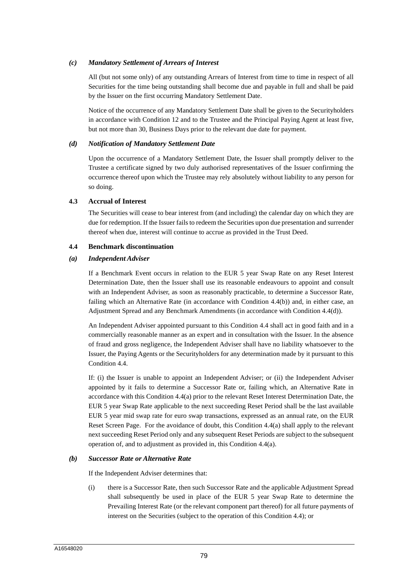## *(c) Mandatory Settlement of Arrears of Interest*

All (but not some only) of any outstanding Arrears of Interest from time to time in respect of all Securities for the time being outstanding shall become due and payable in full and shall be paid by the Issuer on the first occurring Mandatory Settlement Date.

Notice of the occurrence of any Mandatory Settlement Date shall be given to the Securityholders in accordance with Condition 12 and to the Trustee and the Principal Paying Agent at least five, but not more than 30, Business Days prior to the relevant due date for payment.

#### *(d) Notification of Mandatory Settlement Date*

Upon the occurrence of a Mandatory Settlement Date, the Issuer shall promptly deliver to the Trustee a certificate signed by two duly authorised representatives of the Issuer confirming the occurrence thereof upon which the Trustee may rely absolutely without liability to any person for so doing.

#### **4.3 Accrual of Interest**

The Securities will cease to bear interest from (and including) the calendar day on which they are due for redemption. If the Issuer fails to redeem the Securities upon due presentation and surrender thereof when due, interest will continue to accrue as provided in the Trust Deed.

#### **4.4 Benchmark discontinuation**

#### *(a) Independent Adviser*

If a Benchmark Event occurs in relation to the EUR 5 year Swap Rate on any Reset Interest Determination Date, then the Issuer shall use its reasonable endeavours to appoint and consult with an Independent Adviser, as soon as reasonably practicable, to determine a Successor Rate, failing which an Alternative Rate (in accordance with Condition 4.4(b)) and, in either case, an Adjustment Spread and any Benchmark Amendments (in accordance with Condition 4.4(d)).

An Independent Adviser appointed pursuant to this Condition 4.4 shall act in good faith and in a commercially reasonable manner as an expert and in consultation with the Issuer. In the absence of fraud and gross negligence, the Independent Adviser shall have no liability whatsoever to the Issuer, the Paying Agents or the Securityholders for any determination made by it pursuant to this Condition 4.4.

If: (i) the Issuer is unable to appoint an Independent Adviser; or (ii) the Independent Adviser appointed by it fails to determine a Successor Rate or, failing which, an Alternative Rate in accordance with this Condition 4.4(a) prior to the relevant Reset Interest Determination Date, the EUR 5 year Swap Rate applicable to the next succeeding Reset Period shall be the last available EUR 5 year mid swap rate for euro swap transactions, expressed as an annual rate, on the EUR Reset Screen Page. For the avoidance of doubt, this Condition 4.4(a) shall apply to the relevant next succeeding Reset Period only and any subsequent Reset Periods are subject to the subsequent operation of, and to adjustment as provided in, this Condition 4.4(a).

#### *(b) Successor Rate or Alternative Rate*

If the Independent Adviser determines that:

(i) there is a Successor Rate, then such Successor Rate and the applicable Adjustment Spread shall subsequently be used in place of the EUR 5 year Swap Rate to determine the Prevailing Interest Rate (or the relevant component part thereof) for all future payments of interest on the Securities (subject to the operation of this Condition 4.4); or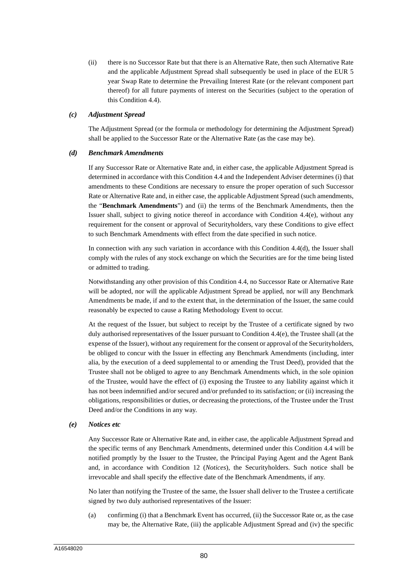(ii) there is no Successor Rate but that there is an Alternative Rate, then such Alternative Rate and the applicable Adjustment Spread shall subsequently be used in place of the EUR 5 year Swap Rate to determine the Prevailing Interest Rate (or the relevant component part thereof) for all future payments of interest on the Securities (subject to the operation of this Condition 4.4).

#### *(c) Adjustment Spread*

The Adjustment Spread (or the formula or methodology for determining the Adjustment Spread) shall be applied to the Successor Rate or the Alternative Rate (as the case may be).

#### *(d) Benchmark Amendments*

If any Successor Rate or Alternative Rate and, in either case, the applicable Adjustment Spread is determined in accordance with this Condition 4.4 and the Independent Adviser determines (i) that amendments to these Conditions are necessary to ensure the proper operation of such Successor Rate or Alternative Rate and, in either case, the applicable Adjustment Spread (such amendments, the "**Benchmark Amendments**") and (ii) the terms of the Benchmark Amendments, then the Issuer shall, subject to giving notice thereof in accordance with Condition 4.4(e), without any requirement for the consent or approval of Securityholders, vary these Conditions to give effect to such Benchmark Amendments with effect from the date specified in such notice.

In connection with any such variation in accordance with this Condition 4.4(d), the Issuer shall comply with the rules of any stock exchange on which the Securities are for the time being listed or admitted to trading.

Notwithstanding any other provision of this Condition 4.4, no Successor Rate or Alternative Rate will be adopted, nor will the applicable Adjustment Spread be applied, nor will any Benchmark Amendments be made, if and to the extent that, in the determination of the Issuer, the same could reasonably be expected to cause a Rating Methodology Event to occur.

At the request of the Issuer, but subject to receipt by the Trustee of a certificate signed by two duly authorised representatives of the Issuer pursuant to Condition 4.4(e), the Trustee shall (at the expense of the Issuer), without any requirement for the consent or approval of the Securityholders, be obliged to concur with the Issuer in effecting any Benchmark Amendments (including, inter alia, by the execution of a deed supplemental to or amending the Trust Deed), provided that the Trustee shall not be obliged to agree to any Benchmark Amendments which, in the sole opinion of the Trustee, would have the effect of (i) exposing the Trustee to any liability against which it has not been indemnified and/or secured and/or prefunded to its satisfaction; or (ii) increasing the obligations, responsibilities or duties, or decreasing the protections, of the Trustee under the Trust Deed and/or the Conditions in any way.

#### *(e) Notices etc*

Any Successor Rate or Alternative Rate and, in either case, the applicable Adjustment Spread and the specific terms of any Benchmark Amendments, determined under this Condition 4.4 will be notified promptly by the Issuer to the Trustee, the Principal Paying Agent and the Agent Bank and, in accordance with Condition 12 (*Notices*), the Securityholders. Such notice shall be irrevocable and shall specify the effective date of the Benchmark Amendments, if any.

No later than notifying the Trustee of the same, the Issuer shall deliver to the Trustee a certificate signed by two duly authorised representatives of the Issuer:

(a) confirming (i) that a Benchmark Event has occurred, (ii) the Successor Rate or, as the case may be, the Alternative Rate, (iii) the applicable Adjustment Spread and (iv) the specific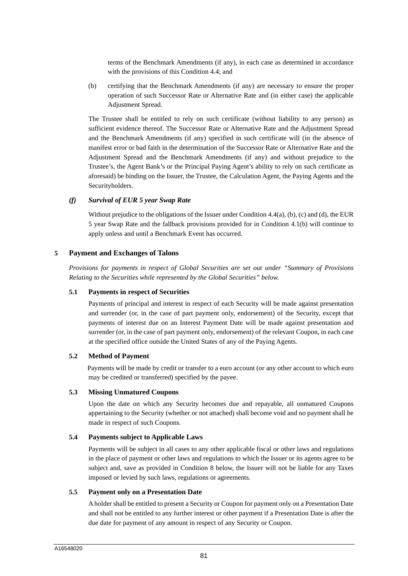terms of the Benchmark Amendments (if any), in each case as determined in accordance with the provisions of this Condition 4.4; and

(b) certifying that the Benchmark Amendments (if any) are necessary to ensure the proper operation of such Successor Rate or Alternative Rate and (in either case) the applicable Adjustment Spread.

The Trustee shall be entitled to rely on such certificate (without liability to any person) as sufficient evidence thereof. The Successor Rate or Alternative Rate and the Adjustment Spread and the Benchmark Amendments (if any) specified in such certificate will (in the absence of manifest error or bad faith in the determination of the Successor Rate or Alternative Rate and the Adjustment Spread and the Benchmark Amendments (if any) and without prejudice to the Trustee's, the Agent Bank's or the Principal Paying Agent's ability to rely on such certificate as aforesaid) be binding on the Issuer, the Trustee, the Calculation Agent, the Paying Agents and the Securityholders.

#### *(f) Survival of EUR 5 year Swap Rate*

Without prejudice to the obligations of the Issuer under Condition 4.4(a), (b), (c) and (d), the EUR 5 year Swap Rate and the fallback provisions provided for in Condition 4.1(b) will continue to apply unless and until a Benchmark Event has occurred.

#### **5 Payment and Exchanges of Talons**

*Provisions for payments in respect of Global Securities are set out under "Summary of Provisions Relating to the Securities while represented by the Global Securities" below.* 

## **5.1 Payments in respect of Securities**

Payments of principal and interest in respect of each Security will be made against presentation and surrender (or, in the case of part payment only, endorsement) of the Security, except that payments of interest due on an Interest Payment Date will be made against presentation and surrender (or, in the case of part payment only, endorsement) of the relevant Coupon, in each case at the specified office outside the United States of any of the Paying Agents.

#### **5.2 Method of Payment**

Payments will be made by credit or transfer to a euro account (or any other account to which euro may be credited or transferred) specified by the payee.

#### **5.3 Missing Unmatured Coupons**

Upon the date on which any Security becomes due and repayable, all unmatured Coupons appertaining to the Security (whether or not attached) shall become void and no payment shall be made in respect of such Coupons.

#### **5.4 Payments subject to Applicable Laws**

Payments will be subject in all cases to any other applicable fiscal or other laws and regulations in the place of payment or other laws and regulations to which the Issuer or its agents agree to be subject and, save as provided in Condition 8 below, the Issuer will not be liable for any Taxes imposed or levied by such laws, regulations or agreements.

#### **5.5 Payment only on a Presentation Date**

A holder shall be entitled to present a Security or Coupon for payment only on a Presentation Date and shall not be entitled to any further interest or other payment if a Presentation Date is after the due date for payment of any amount in respect of any Security or Coupon.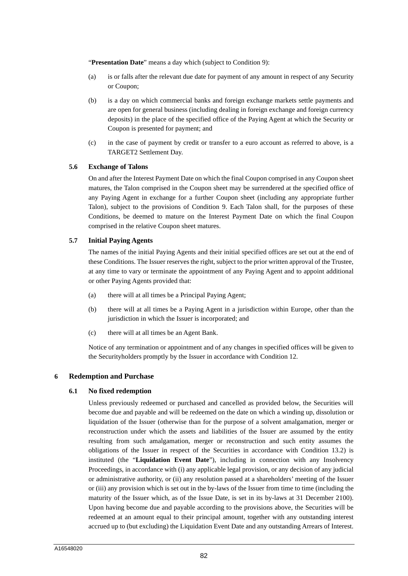"**Presentation Date**" means a day which (subject to Condition 9):

- (a) is or falls after the relevant due date for payment of any amount in respect of any Security or Coupon;
- (b) is a day on which commercial banks and foreign exchange markets settle payments and are open for general business (including dealing in foreign exchange and foreign currency deposits) in the place of the specified office of the Paying Agent at which the Security or Coupon is presented for payment; and
- (c) in the case of payment by credit or transfer to a euro account as referred to above, is a TARGET2 Settlement Day.

#### **5.6 Exchange of Talons**

On and after the Interest Payment Date on which the final Coupon comprised in any Coupon sheet matures, the Talon comprised in the Coupon sheet may be surrendered at the specified office of any Paying Agent in exchange for a further Coupon sheet (including any appropriate further Talon), subject to the provisions of Condition 9. Each Talon shall, for the purposes of these Conditions, be deemed to mature on the Interest Payment Date on which the final Coupon comprised in the relative Coupon sheet matures.

#### **5.7 Initial Paying Agents**

The names of the initial Paying Agents and their initial specified offices are set out at the end of these Conditions. The Issuer reserves the right, subject to the prior written approval of the Trustee, at any time to vary or terminate the appointment of any Paying Agent and to appoint additional or other Paying Agents provided that:

- (a) there will at all times be a Principal Paying Agent;
- (b) there will at all times be a Paying Agent in a jurisdiction within Europe, other than the jurisdiction in which the Issuer is incorporated; and
- (c) there will at all times be an Agent Bank.

Notice of any termination or appointment and of any changes in specified offices will be given to the Securityholders promptly by the Issuer in accordance with Condition 12.

## **6 Redemption and Purchase**

#### **6.1 No fixed redemption**

Unless previously redeemed or purchased and cancelled as provided below, the Securities will become due and payable and will be redeemed on the date on which a winding up, dissolution or liquidation of the Issuer (otherwise than for the purpose of a solvent amalgamation, merger or reconstruction under which the assets and liabilities of the Issuer are assumed by the entity resulting from such amalgamation, merger or reconstruction and such entity assumes the obligations of the Issuer in respect of the Securities in accordance with Condition 13.2) is instituted (the "**Liquidation Event Date**"), including in connection with any Insolvency Proceedings, in accordance with (i) any applicable legal provision, or any decision of any judicial or administrative authority, or (ii) any resolution passed at a shareholders' meeting of the Issuer or (iii) any provision which is set out in the by-laws of the Issuer from time to time (including the maturity of the Issuer which, as of the Issue Date, is set in its by-laws at 31 December 2100). Upon having become due and payable according to the provisions above, the Securities will be redeemed at an amount equal to their principal amount, together with any outstanding interest accrued up to (but excluding) the Liquidation Event Date and any outstanding Arrears of Interest.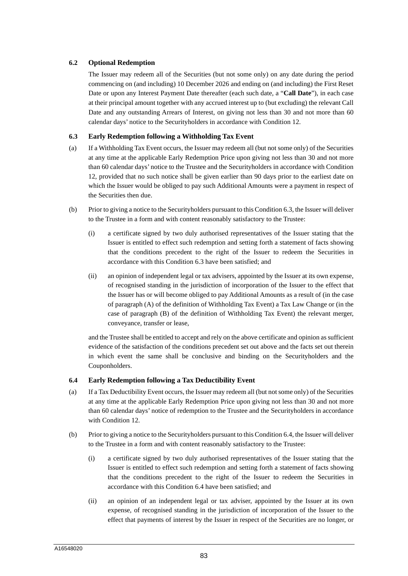## **6.2 Optional Redemption**

The Issuer may redeem all of the Securities (but not some only) on any date during the period commencing on (and including) 10 December 2026 and ending on (and including) the First Reset Date or upon any Interest Payment Date thereafter (each such date, a "**Call Date**"), in each case at their principal amount together with any accrued interest up to (but excluding) the relevant Call Date and any outstanding Arrears of Interest, on giving not less than 30 and not more than 60 calendar days' notice to the Securityholders in accordance with Condition 12.

## **6.3 Early Redemption following a Withholding Tax Event**

- (a) If a Withholding Tax Event occurs, the Issuer may redeem all (but not some only) of the Securities at any time at the applicable Early Redemption Price upon giving not less than 30 and not more than 60 calendar days' notice to the Trustee and the Securityholders in accordance with Condition 12, provided that no such notice shall be given earlier than 90 days prior to the earliest date on which the Issuer would be obliged to pay such Additional Amounts were a payment in respect of the Securities then due.
- (b) Prior to giving a notice to the Securityholders pursuant to this Condition 6.3, the Issuer will deliver to the Trustee in a form and with content reasonably satisfactory to the Trustee:
	- (i) a certificate signed by two duly authorised representatives of the Issuer stating that the Issuer is entitled to effect such redemption and setting forth a statement of facts showing that the conditions precedent to the right of the Issuer to redeem the Securities in accordance with this Condition 6.3 have been satisfied; and
	- (ii) an opinion of independent legal or tax advisers, appointed by the Issuer at its own expense, of recognised standing in the jurisdiction of incorporation of the Issuer to the effect that the Issuer has or will become obliged to pay Additional Amounts as a result of (in the case of paragraph (A) of the definition of Withholding Tax Event) a Tax Law Change or (in the case of paragraph (B) of the definition of Withholding Tax Event) the relevant merger, conveyance, transfer or lease,

and the Trustee shall be entitled to accept and rely on the above certificate and opinion as sufficient evidence of the satisfaction of the conditions precedent set out above and the facts set out therein in which event the same shall be conclusive and binding on the Securityholders and the Couponholders.

## **6.4 Early Redemption following a Tax Deductibility Event**

- (a) If a Tax Deductibility Event occurs, the Issuer may redeem all (but not some only) of the Securities at any time at the applicable Early Redemption Price upon giving not less than 30 and not more than 60 calendar days' notice of redemption to the Trustee and the Securityholders in accordance with Condition 12.
- (b) Prior to giving a notice to the Securityholders pursuant to this Condition 6.4, the Issuer will deliver to the Trustee in a form and with content reasonably satisfactory to the Trustee:
	- (i) a certificate signed by two duly authorised representatives of the Issuer stating that the Issuer is entitled to effect such redemption and setting forth a statement of facts showing that the conditions precedent to the right of the Issuer to redeem the Securities in accordance with this Condition 6.4 have been satisfied; and
	- (ii) an opinion of an independent legal or tax adviser, appointed by the Issuer at its own expense, of recognised standing in the jurisdiction of incorporation of the Issuer to the effect that payments of interest by the Issuer in respect of the Securities are no longer, or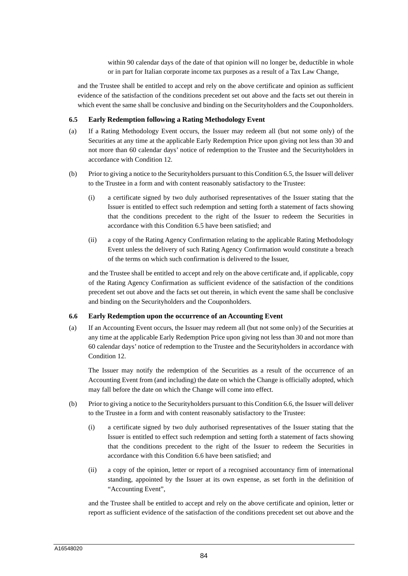within 90 calendar days of the date of that opinion will no longer be, deductible in whole or in part for Italian corporate income tax purposes as a result of a Tax Law Change,

and the Trustee shall be entitled to accept and rely on the above certificate and opinion as sufficient evidence of the satisfaction of the conditions precedent set out above and the facts set out therein in which event the same shall be conclusive and binding on the Securityholders and the Couponholders.

## **6.5 Early Redemption following a Rating Methodology Event**

- (a) If a Rating Methodology Event occurs, the Issuer may redeem all (but not some only) of the Securities at any time at the applicable Early Redemption Price upon giving not less than 30 and not more than 60 calendar days' notice of redemption to the Trustee and the Securityholders in accordance with Condition 12.
- (b) Prior to giving a notice to the Securityholders pursuant to this Condition 6.5, the Issuer will deliver to the Trustee in a form and with content reasonably satisfactory to the Trustee:
	- (i) a certificate signed by two duly authorised representatives of the Issuer stating that the Issuer is entitled to effect such redemption and setting forth a statement of facts showing that the conditions precedent to the right of the Issuer to redeem the Securities in accordance with this Condition 6.5 have been satisfied; and
	- (ii) a copy of the Rating Agency Confirmation relating to the applicable Rating Methodology Event unless the delivery of such Rating Agency Confirmation would constitute a breach of the terms on which such confirmation is delivered to the Issuer,

and the Trustee shall be entitled to accept and rely on the above certificate and, if applicable, copy of the Rating Agency Confirmation as sufficient evidence of the satisfaction of the conditions precedent set out above and the facts set out therein, in which event the same shall be conclusive and binding on the Securityholders and the Couponholders.

## **6.6 Early Redemption upon the occurrence of an Accounting Event**

(a) If an Accounting Event occurs, the Issuer may redeem all (but not some only) of the Securities at any time at the applicable Early Redemption Price upon giving not less than 30 and not more than 60 calendar days' notice of redemption to the Trustee and the Securityholders in accordance with Condition 12.

The Issuer may notify the redemption of the Securities as a result of the occurrence of an Accounting Event from (and including) the date on which the Change is officially adopted, which may fall before the date on which the Change will come into effect.

- (b) Prior to giving a notice to the Securityholders pursuant to this Condition 6.6, the Issuer will deliver to the Trustee in a form and with content reasonably satisfactory to the Trustee:
	- (i) a certificate signed by two duly authorised representatives of the Issuer stating that the Issuer is entitled to effect such redemption and setting forth a statement of facts showing that the conditions precedent to the right of the Issuer to redeem the Securities in accordance with this Condition 6.6 have been satisfied; and
	- (ii) a copy of the opinion, letter or report of a recognised accountancy firm of international standing, appointed by the Issuer at its own expense, as set forth in the definition of "Accounting Event",

and the Trustee shall be entitled to accept and rely on the above certificate and opinion, letter or report as sufficient evidence of the satisfaction of the conditions precedent set out above and the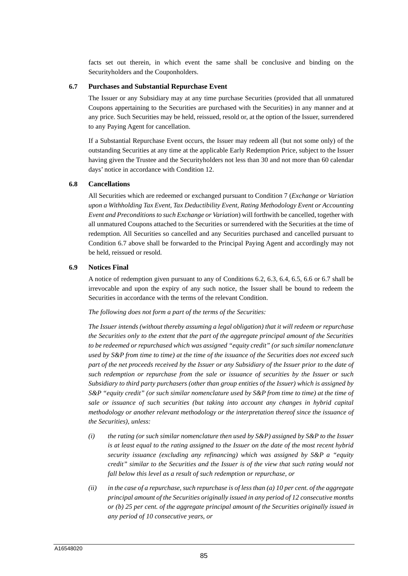facts set out therein, in which event the same shall be conclusive and binding on the Securityholders and the Couponholders.

#### **6.7 Purchases and Substantial Repurchase Event**

The Issuer or any Subsidiary may at any time purchase Securities (provided that all unmatured Coupons appertaining to the Securities are purchased with the Securities) in any manner and at any price. Such Securities may be held, reissued, resold or, at the option of the Issuer, surrendered to any Paying Agent for cancellation.

If a Substantial Repurchase Event occurs, the Issuer may redeem all (but not some only) of the outstanding Securities at any time at the applicable Early Redemption Price, subject to the Issuer having given the Trustee and the Securityholders not less than 30 and not more than 60 calendar days' notice in accordance with Condition 12.

#### **6.8 Cancellations**

All Securities which are redeemed or exchanged pursuant to Condition 7 (*Exchange or Variation upon a Withholding Tax Event, Tax Deductibility Event, Rating Methodology Event or Accounting Event and Preconditions to such Exchange or Variation*) will forthwith be cancelled, together with all unmatured Coupons attached to the Securities or surrendered with the Securities at the time of redemption. All Securities so cancelled and any Securities purchased and cancelled pursuant to Condition 6.7 above shall be forwarded to the Principal Paying Agent and accordingly may not be held, reissued or resold.

## **6.9 Notices Final**

A notice of redemption given pursuant to any of Conditions 6.2, 6.3, 6.4, 6.5, 6.6 or 6.7 shall be irrevocable and upon the expiry of any such notice, the Issuer shall be bound to redeem the Securities in accordance with the terms of the relevant Condition.

#### *The following does not form a part of the terms of the Securities:*

*The Issuer intends (without thereby assuming a legal obligation) that it will redeem or repurchase the Securities only to the extent that the part of the aggregate principal amount of the Securities to be redeemed or repurchased which was assigned "equity credit" (or such similar nomenclature used by S&P from time to time) at the time of the issuance of the Securities does not exceed such part of the net proceeds received by the Issuer or any Subsidiary of the Issuer prior to the date of such redemption or repurchase from the sale or issuance of securities by the Issuer or such Subsidiary to third party purchasers (other than group entities of the Issuer) which is assigned by S&P "equity credit" (or such similar nomenclature used by S&P from time to time) at the time of sale or issuance of such securities (but taking into account any changes in hybrid capital methodology or another relevant methodology or the interpretation thereof since the issuance of the Securities), unless:* 

- *(i) the rating (or such similar nomenclature then used by S&P) assigned by S&P to the Issuer is at least equal to the rating assigned to the Issuer on the date of the most recent hybrid security issuance (excluding any refinancing) which was assigned by S&P a "equity credit" similar to the Securities and the Issuer is of the view that such rating would not fall below this level as a result of such redemption or repurchase, or*
- *(ii) in the case of a repurchase, such repurchase is of less than (a) 10 per cent. of the aggregate principal amount of the Securities originally issued in any period of 12 consecutive months or (b) 25 per cent. of the aggregate principal amount of the Securities originally issued in any period of 10 consecutive years, or*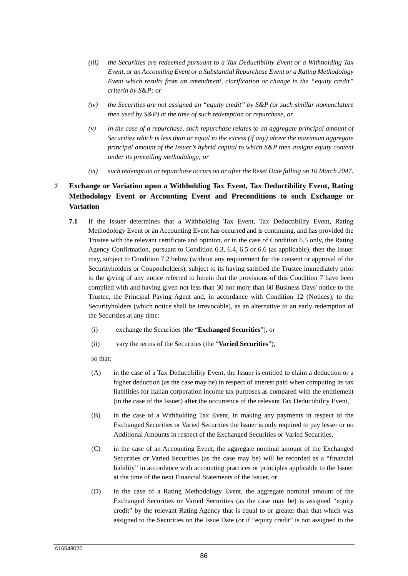- *(iii) the Securities are redeemed pursuant to a Tax Deductibility Event or a Withholding Tax Event, or an Accounting Event or a Substantial Repurchase Event or a Rating Methodology Event which results from an amendment, clarification or change in the "equity credit" criteria by S&P; or*
- *(iv) the Securities are not assigned an "equity credit" by S&P (or such similar nomenclature then used by S&P) at the time of such redemption or repurchase, or*
- *(v) in the case of a repurchase, such repurchase relates to an aggregate principal amount of Securities which is less than or equal to the excess (if any) above the maximum aggregate principal amount of the Issuer's hybrid capital to which S&P then assigns equity content under its prevailing methodology; or*
- *(vi) such redemption or repurchase occurs on or after the Reset Date falling on 10 March 2047.*

## **7 Exchange or Variation upon a Withholding Tax Event, Tax Deductibility Event, Rating Methodology Event or Accounting Event and Preconditions to such Exchange or Variation**

- **7.1** If the Issuer determines that a Withholding Tax Event, Tax Deductibility Event, Rating Methodology Event or an Accounting Event has occurred and is continuing, and has provided the Trustee with the relevant certificate and opinion, or in the case of Condition 6.5 only, the Rating Agency Confirmation, pursuant to Condition 6.3, 6.4, 6.5 or 6.6 (as applicable), then the Issuer may, subject to Condition 7.2 below (without any requirement for the consent or approval of the Securityholders or Couponholders), subject to its having satisfied the Trustee immediately prior to the giving of any notice referred to herein that the provisions of this Condition 7 have been complied with and having given not less than 30 nor more than 60 Business Days' notice to the Trustee, the Principal Paying Agent and, in accordance with Condition 12 (Notices), to the Securityholders (which notice shall be irrevocable), as an alternative to an early redemption of the Securities at any time:
	- (i) exchange the Securities (the "**Exchanged Securities**"), or
	- (ii) vary the terms of the Securities (the "**Varied Securities**"),

so that:

- (A) in the case of a Tax Deductibility Event, the Issuer is entitled to claim a deduction or a higher deduction (as the case may be) in respect of interest paid when computing its tax liabilities for Italian corporation income tax purposes as compared with the entitlement (in the case of the Issuer) after the occurrence of the relevant Tax Deductibility Event,
- (B) in the case of a Withholding Tax Event, in making any payments in respect of the Exchanged Securities or Varied Securities the Issuer is only required to pay lesser or no Additional Amounts in respect of the Exchanged Securities or Varied Securities,
- (C) in the case of an Accounting Event, the aggregate nominal amount of the Exchanged Securities or Varied Securities (as the case may be) will be recorded as a "financial liability" in accordance with accounting practices or principles applicable to the Issuer at the time of the next Financial Statements of the Issuer, or
- (D) in the case of a Rating Methodology Event, the aggregate nominal amount of the Exchanged Securities or Varied Securities (as the case may be) is assigned "equity credit" by the relevant Rating Agency that is equal to or greater than that which was assigned to the Securities on the Issue Date (or if "equity credit" is not assigned to the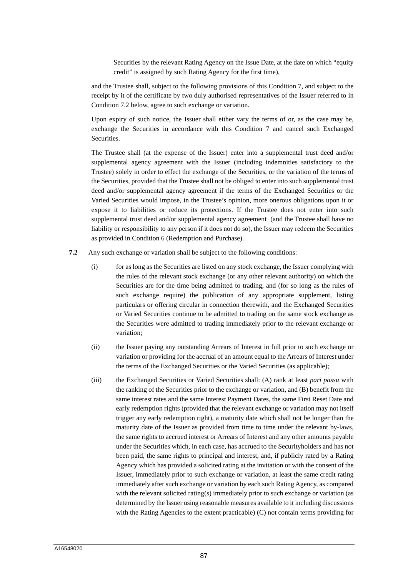Securities by the relevant Rating Agency on the Issue Date, at the date on which "equity credit" is assigned by such Rating Agency for the first time),

and the Trustee shall, subject to the following provisions of this Condition 7, and subject to the receipt by it of the certificate by two duly authorised representatives of the Issuer referred to in Condition 7.2 below, agree to such exchange or variation.

Upon expiry of such notice, the Issuer shall either vary the terms of or, as the case may be, exchange the Securities in accordance with this Condition 7 and cancel such Exchanged Securities.

The Trustee shall (at the expense of the Issuer) enter into a supplemental trust deed and/or supplemental agency agreement with the Issuer (including indemnities satisfactory to the Trustee) solely in order to effect the exchange of the Securities, or the variation of the terms of the Securities, provided that the Trustee shall not be obliged to enter into such supplemental trust deed and/or supplemental agency agreement if the terms of the Exchanged Securities or the Varied Securities would impose, in the Trustee's opinion, more onerous obligations upon it or expose it to liabilities or reduce its protections. If the Trustee does not enter into such supplemental trust deed and/or supplemental agency agreement (and the Trustee shall have no liability or responsibility to any person if it does not do so), the Issuer may redeem the Securities as provided in Condition 6 (Redemption and Purchase).

- **7.2** Any such exchange or variation shall be subject to the following conditions:
	- (i) for as long as the Securities are listed on any stock exchange, the Issuer complying with the rules of the relevant stock exchange (or any other relevant authority) on which the Securities are for the time being admitted to trading, and (for so long as the rules of such exchange require) the publication of any appropriate supplement, listing particulars or offering circular in connection therewith, and the Exchanged Securities or Varied Securities continue to be admitted to trading on the same stock exchange as the Securities were admitted to trading immediately prior to the relevant exchange or variation;
	- (ii) the Issuer paying any outstanding Arrears of Interest in full prior to such exchange or variation or providing for the accrual of an amount equal to the Arrears of Interest under the terms of the Exchanged Securities or the Varied Securities (as applicable);
	- (iii) the Exchanged Securities or Varied Securities shall: (A) rank at least *pari passu* with the ranking of the Securities prior to the exchange or variation, and (B) benefit from the same interest rates and the same Interest Payment Dates, the same First Reset Date and early redemption rights (provided that the relevant exchange or variation may not itself trigger any early redemption right), a maturity date which shall not be longer than the maturity date of the Issuer as provided from time to time under the relevant by-laws, the same rights to accrued interest or Arrears of Interest and any other amounts payable under the Securities which, in each case, has accrued to the Securityholders and has not been paid, the same rights to principal and interest, and, if publicly rated by a Rating Agency which has provided a solicited rating at the invitation or with the consent of the Issuer, immediately prior to such exchange or variation, at least the same credit rating immediately after such exchange or variation by each such Rating Agency, as compared with the relevant solicited rating(s) immediately prior to such exchange or variation (as determined by the Issuer using reasonable measures available to it including discussions with the Rating Agencies to the extent practicable) (C) not contain terms providing for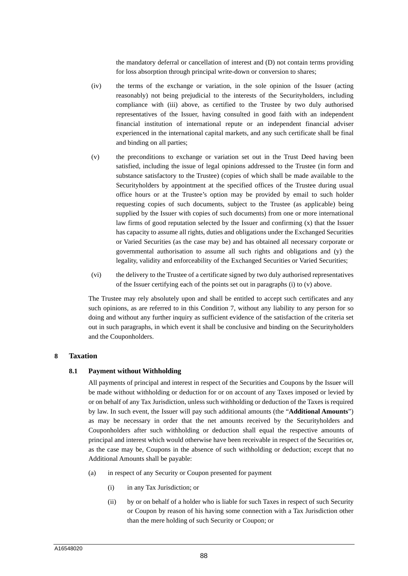the mandatory deferral or cancellation of interest and (D) not contain terms providing for loss absorption through principal write-down or conversion to shares;

- (iv) the terms of the exchange or variation, in the sole opinion of the Issuer (acting reasonably) not being prejudicial to the interests of the Securityholders, including compliance with (iii) above, as certified to the Trustee by two duly authorised representatives of the Issuer, having consulted in good faith with an independent financial institution of international repute or an independent financial adviser experienced in the international capital markets, and any such certificate shall be final and binding on all parties;
- (v) the preconditions to exchange or variation set out in the Trust Deed having been satisfied, including the issue of legal opinions addressed to the Trustee (in form and substance satisfactory to the Trustee) (copies of which shall be made available to the Securityholders by appointment at the specified offices of the Trustee during usual office hours or at the Trustee's option may be provided by email to such holder requesting copies of such documents, subject to the Trustee (as applicable) being supplied by the Issuer with copies of such documents) from one or more international law firms of good reputation selected by the Issuer and confirming (x) that the Issuer has capacity to assume all rights, duties and obligations under the Exchanged Securities or Varied Securities (as the case may be) and has obtained all necessary corporate or governmental authorisation to assume all such rights and obligations and (y) the legality, validity and enforceability of the Exchanged Securities or Varied Securities;
- (vi) the delivery to the Trustee of a certificate signed by two duly authorised representatives of the Issuer certifying each of the points set out in paragraphs (i) to (v) above.

The Trustee may rely absolutely upon and shall be entitled to accept such certificates and any such opinions, as are referred to in this Condition 7, without any liability to any person for so doing and without any further inquiry as sufficient evidence of the satisfaction of the criteria set out in such paragraphs, in which event it shall be conclusive and binding on the Securityholders and the Couponholders.

## **8 Taxation**

## **8.1 Payment without Withholding**

All payments of principal and interest in respect of the Securities and Coupons by the Issuer will be made without withholding or deduction for or on account of any Taxes imposed or levied by or on behalf of any Tax Jurisdiction, unless such withholding or deduction of the Taxes is required by law. In such event, the Issuer will pay such additional amounts (the "**Additional Amounts**") as may be necessary in order that the net amounts received by the Securityholders and Couponholders after such withholding or deduction shall equal the respective amounts of principal and interest which would otherwise have been receivable in respect of the Securities or, as the case may be, Coupons in the absence of such withholding or deduction; except that no Additional Amounts shall be payable:

- (a) in respect of any Security or Coupon presented for payment
	- (i) in any Tax Jurisdiction; or
	- (ii) by or on behalf of a holder who is liable for such Taxes in respect of such Security or Coupon by reason of his having some connection with a Tax Jurisdiction other than the mere holding of such Security or Coupon; or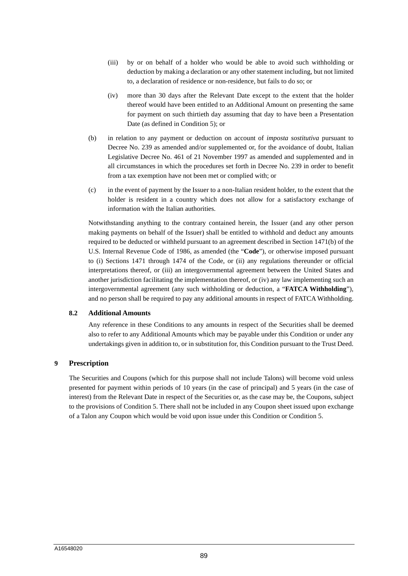- (iii) by or on behalf of a holder who would be able to avoid such withholding or deduction by making a declaration or any other statement including, but not limited to, a declaration of residence or non-residence, but fails to do so; or
- (iv) more than 30 days after the Relevant Date except to the extent that the holder thereof would have been entitled to an Additional Amount on presenting the same for payment on such thirtieth day assuming that day to have been a Presentation Date (as defined in Condition 5); or
- (b) in relation to any payment or deduction on account of *imposta sostitutiva* pursuant to Decree No. 239 as amended and/or supplemented or, for the avoidance of doubt, Italian Legislative Decree No. 461 of 21 November 1997 as amended and supplemented and in all circumstances in which the procedures set forth in Decree No. 239 in order to benefit from a tax exemption have not been met or complied with; or
- (c) in the event of payment by the Issuer to a non-Italian resident holder, to the extent that the holder is resident in a country which does not allow for a satisfactory exchange of information with the Italian authorities.

Notwithstanding anything to the contrary contained herein, the Issuer (and any other person making payments on behalf of the Issuer) shall be entitled to withhold and deduct any amounts required to be deducted or withheld pursuant to an agreement described in Section 1471(b) of the U.S. Internal Revenue Code of 1986, as amended (the "**Code**"), or otherwise imposed pursuant to (i) Sections 1471 through 1474 of the Code, or (ii) any regulations thereunder or official interpretations thereof, or (iii) an intergovernmental agreement between the United States and another jurisdiction facilitating the implementation thereof, or (iv) any law implementing such an intergovernmental agreement (any such withholding or deduction, a "**FATCA Withholding**"), and no person shall be required to pay any additional amounts in respect of FATCA Withholding.

#### **8.2 Additional Amounts**

Any reference in these Conditions to any amounts in respect of the Securities shall be deemed also to refer to any Additional Amounts which may be payable under this Condition or under any undertakings given in addition to, or in substitution for, this Condition pursuant to the Trust Deed.

## **9 Prescription**

The Securities and Coupons (which for this purpose shall not include Talons) will become void unless presented for payment within periods of 10 years (in the case of principal) and 5 years (in the case of interest) from the Relevant Date in respect of the Securities or, as the case may be, the Coupons, subject to the provisions of Condition 5. There shall not be included in any Coupon sheet issued upon exchange of a Talon any Coupon which would be void upon issue under this Condition or Condition 5.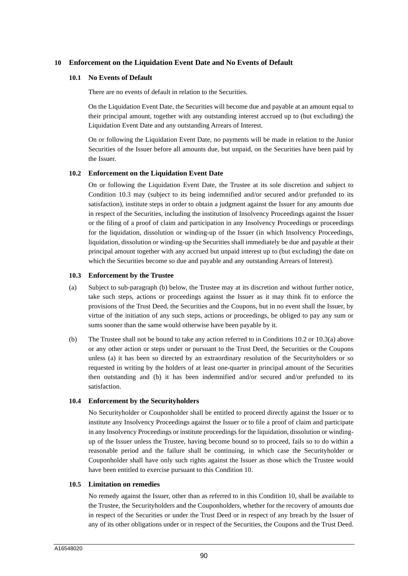## **10 Enforcement on the Liquidation Event Date and No Events of Default**

#### **10.1 No Events of Default**

There are no events of default in relation to the Securities.

On the Liquidation Event Date, the Securities will become due and payable at an amount equal to their principal amount, together with any outstanding interest accrued up to (but excluding) the Liquidation Event Date and any outstanding Arrears of Interest.

On or following the Liquidation Event Date, no payments will be made in relation to the Junior Securities of the Issuer before all amounts due, but unpaid, on the Securities have been paid by the Issuer.

#### **10.2 Enforcement on the Liquidation Event Date**

On or following the Liquidation Event Date, the Trustee at its sole discretion and subject to Condition 10.3 may (subject to its being indemnified and/or secured and/or prefunded to its satisfaction), institute steps in order to obtain a judgment against the Issuer for any amounts due in respect of the Securities, including the institution of Insolvency Proceedings against the Issuer or the filing of a proof of claim and participation in any Insolvency Proceedings or proceedings for the liquidation, dissolution or winding-up of the Issuer (in which Insolvency Proceedings, liquidation, dissolution or winding-up the Securities shall immediately be due and payable at their principal amount together with any accrued but unpaid interest up to (but excluding) the date on which the Securities become so due and payable and any outstanding Arrears of Interest).

#### **10.3 Enforcement by the Trustee**

- (a) Subject to sub-paragraph (b) below, the Trustee may at its discretion and without further notice, take such steps, actions or proceedings against the Issuer as it may think fit to enforce the provisions of the Trust Deed, the Securities and the Coupons, but in no event shall the Issuer, by virtue of the initiation of any such steps, actions or proceedings, be obliged to pay any sum or sums sooner than the same would otherwise have been payable by it.
- (b) The Trustee shall not be bound to take any action referred to in Conditions 10.2 or 10.3(a) above or any other action or steps under or pursuant to the Trust Deed, the Securities or the Coupons unless (a) it has been so directed by an extraordinary resolution of the Securityholders or so requested in writing by the holders of at least one-quarter in principal amount of the Securities then outstanding and (b) it has been indemnified and/or secured and/or prefunded to its satisfaction.

#### **10.4 Enforcement by the Securityholders**

No Securityholder or Couponholder shall be entitled to proceed directly against the Issuer or to institute any Insolvency Proceedings against the Issuer or to file a proof of claim and participate in any Insolvency Proceedings or institute proceedings for the liquidation, dissolution or windingup of the Issuer unless the Trustee, having become bound so to proceed, fails so to do within a reasonable period and the failure shall be continuing, in which case the Securityholder or Couponholder shall have only such rights against the Issuer as those which the Trustee would have been entitled to exercise pursuant to this Condition 10.

## **10.5 Limitation on remedies**

No remedy against the Issuer, other than as referred to in this Condition 10, shall be available to the Trustee, the Securityholders and the Couponholders, whether for the recovery of amounts due in respect of the Securities or under the Trust Deed or in respect of any breach by the Issuer of any of its other obligations under or in respect of the Securities, the Coupons and the Trust Deed.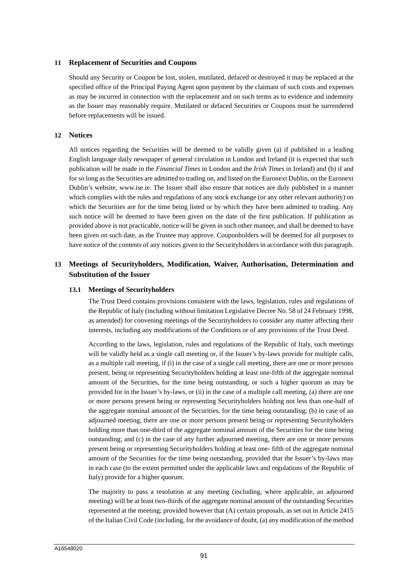## **11 Replacement of Securities and Coupons**

Should any Security or Coupon be lost, stolen, mutilated, defaced or destroyed it may be replaced at the specified office of the Principal Paying Agent upon payment by the claimant of such costs and expenses as may be incurred in connection with the replacement and on such terms as to evidence and indemnity as the Issuer may reasonably require. Mutilated or defaced Securities or Coupons must be surrendered before replacements will be issued.

## **12 Notices**

All notices regarding the Securities will be deemed to be validly given (a) if published in a leading English language daily newspaper of general circulation in London and Ireland (it is expected that such publication will be made in the *Financial Times* in London and the *Irish Times* in Ireland) and (b) if and for so long as the Securities are admitted to trading on, and listed on the Euronext Dublin, on the Euronext Dublin's website, www.ise.ie. The Issuer shall also ensure that notices are duly published in a manner which complies with the rules and regulations of any stock exchange (or any other relevant authority) on which the Securities are for the time being listed or by which they have been admitted to trading. Any such notice will be deemed to have been given on the date of the first publication. If publication as provided above is not practicable, notice will be given in such other manner, and shall be deemed to have been given on such date, as the Trustee may approve. Couponholders will be deemed for all purposes to have notice of the contents of any notices given to the Securityholders in accordance with this paragraph.

## **13 Meetings of Securityholders, Modification, Waiver, Authorisation, Determination and Substitution of the Issuer**

#### **13.1 Meetings of Securityholders**

The Trust Deed contains provisions consistent with the laws, legislation, rules and regulations of the Republic of Italy (including without limitation Legislative Decree No. 58 of 24 February 1998, as amended) for convening meetings of the Securityholders to consider any matter affecting their interests, including any modifications of the Conditions or of any provisions of the Trust Deed.

According to the laws, legislation, rules and regulations of the Republic of Italy, such meetings will be validly held as a single call meeting or, if the Issuer's by-laws provide for multiple calls, as a multiple call meeting, if (i) in the case of a single call meeting, there are one or more persons present, being or representing Securityholders holding at least one-fifth of the aggregate nominal amount of the Securities, for the time being outstanding, or such a higher quorum as may be provided for in the Issuer's by-laws, or (ii) in the case of a multiple call meeting, (a) there are one or more persons present being or representing Securityholders holding not less than one-half of the aggregate nominal amount of the Securities, for the time being outstanding; (b) in case of an adjourned meeting, there are one or more persons present being or representing Securityholders holding more than one-third of the aggregate nominal amount of the Securities for the time being outstanding; and (c) in the case of any further adjourned meeting, there are one or more persons present being or representing Securityholders holding at least one- fifth of the aggregate nominal amount of the Securities for the time being outstanding, provided that the Issuer's by-laws may in each case (to the extent permitted under the applicable laws and regulations of the Republic of Italy) provide for a higher quorum.

The majority to pass a resolution at any meeting (including, where applicable, an adjourned meeting) will be at least two-thirds of the aggregate nominal amount of the outstanding Securities represented at the meeting; provided however that (A) certain proposals, as set out in Article 2415 of the Italian Civil Code (including, for the avoidance of doubt, (a) any modification of the method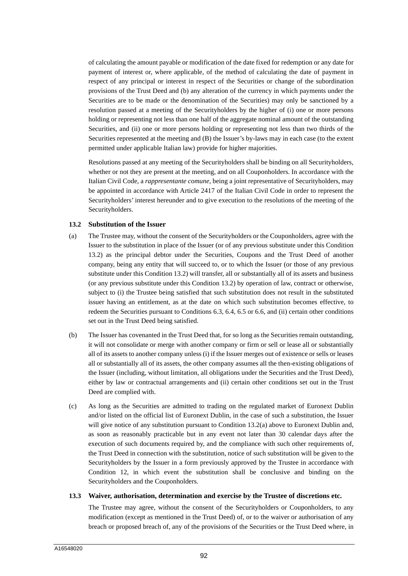of calculating the amount payable or modification of the date fixed for redemption or any date for payment of interest or, where applicable, of the method of calculating the date of payment in respect of any principal or interest in respect of the Securities or change of the subordination provisions of the Trust Deed and (b) any alteration of the currency in which payments under the Securities are to be made or the denomination of the Securities) may only be sanctioned by a resolution passed at a meeting of the Securityholders by the higher of (i) one or more persons holding or representing not less than one half of the aggregate nominal amount of the outstanding Securities, and (ii) one or more persons holding or representing not less than two thirds of the Securities represented at the meeting and (B) the Issuer's by-laws may in each case (to the extent permitted under applicable Italian law) provide for higher majorities.

Resolutions passed at any meeting of the Securityholders shall be binding on all Securityholders, whether or not they are present at the meeting, and on all Couponholders. In accordance with the Italian Civil Code, a *rappresentante comune*, being a joint representative of Securityholders, may be appointed in accordance with Article 2417 of the Italian Civil Code in order to represent the Securityholders' interest hereunder and to give execution to the resolutions of the meeting of the Securityholders.

#### **13.2 Substitution of the Issuer**

- (a) The Trustee may, without the consent of the Securityholders or the Couponholders, agree with the Issuer to the substitution in place of the Issuer (or of any previous substitute under this Condition 13.2) as the principal debtor under the Securities, Coupons and the Trust Deed of another company, being any entity that will succeed to, or to which the Issuer (or those of any previous substitute under this Condition 13.2) will transfer, all or substantially all of its assets and business (or any previous substitute under this Condition 13.2) by operation of law, contract or otherwise, subject to (i) the Trustee being satisfied that such substitution does not result in the substituted issuer having an entitlement, as at the date on which such substitution becomes effective, to redeem the Securities pursuant to Conditions 6.3, 6.4, 6.5 or 6.6, and (ii) certain other conditions set out in the Trust Deed being satisfied.
- (b) The Issuer has covenanted in the Trust Deed that, for so long as the Securities remain outstanding, it will not consolidate or merge with another company or firm or sell or lease all or substantially all of its assets to another company unless (i) if the Issuer merges out of existence or sells or leases all or substantially all of its assets, the other company assumes all the then-existing obligations of the Issuer (including, without limitation, all obligations under the Securities and the Trust Deed), either by law or contractual arrangements and (ii) certain other conditions set out in the Trust Deed are complied with.
- (c) As long as the Securities are admitted to trading on the regulated market of Euronext Dublin and/or listed on the official list of Euronext Dublin, in the case of such a substitution, the Issuer will give notice of any substitution pursuant to Condition 13.2(a) above to Euronext Dublin and, as soon as reasonably practicable but in any event not later than 30 calendar days after the execution of such documents required by, and the compliance with such other requirements of, the Trust Deed in connection with the substitution, notice of such substitution will be given to the Securityholders by the Issuer in a form previously approved by the Trustee in accordance with Condition 12, in which event the substitution shall be conclusive and binding on the Securityholders and the Couponholders.

#### **13.3 Waiver, authorisation, determination and exercise by the Trustee of discretions etc.**

The Trustee may agree, without the consent of the Securityholders or Couponholders, to any modification (except as mentioned in the Trust Deed) of, or to the waiver or authorisation of any breach or proposed breach of, any of the provisions of the Securities or the Trust Deed where, in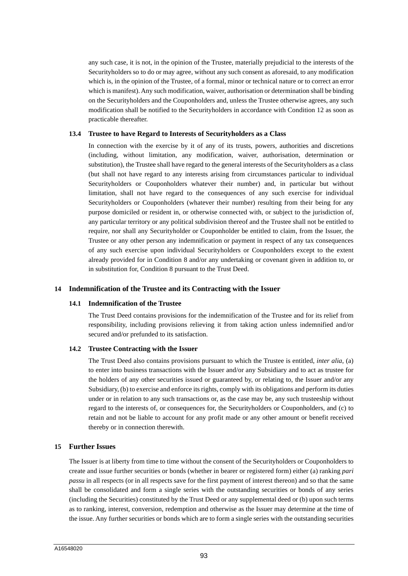any such case, it is not, in the opinion of the Trustee, materially prejudicial to the interests of the Securityholders so to do or may agree, without any such consent as aforesaid, to any modification which is, in the opinion of the Trustee, of a formal, minor or technical nature or to correct an error which is manifest). Any such modification, waiver, authorisation or determination shall be binding on the Securityholders and the Couponholders and, unless the Trustee otherwise agrees, any such modification shall be notified to the Securityholders in accordance with Condition 12 as soon as practicable thereafter.

#### **13.4 Trustee to have Regard to Interests of Securityholders as a Class**

In connection with the exercise by it of any of its trusts, powers, authorities and discretions (including, without limitation, any modification, waiver, authorisation, determination or substitution), the Trustee shall have regard to the general interests of the Securityholders as a class (but shall not have regard to any interests arising from circumstances particular to individual Securityholders or Couponholders whatever their number) and, in particular but without limitation, shall not have regard to the consequences of any such exercise for individual Securityholders or Couponholders (whatever their number) resulting from their being for any purpose domiciled or resident in, or otherwise connected with, or subject to the jurisdiction of, any particular territory or any political subdivision thereof and the Trustee shall not be entitled to require, nor shall any Securityholder or Couponholder be entitled to claim, from the Issuer, the Trustee or any other person any indemnification or payment in respect of any tax consequences of any such exercise upon individual Securityholders or Couponholders except to the extent already provided for in Condition 8 and/or any undertaking or covenant given in addition to, or in substitution for, Condition 8 pursuant to the Trust Deed.

## **14 Indemnification of the Trustee and its Contracting with the Issuer**

#### **14.1 Indemnification of the Trustee**

The Trust Deed contains provisions for the indemnification of the Trustee and for its relief from responsibility, including provisions relieving it from taking action unless indemnified and/or secured and/or prefunded to its satisfaction.

## **14.2 Trustee Contracting with the Issuer**

The Trust Deed also contains provisions pursuant to which the Trustee is entitled, *inter alia*, (a) to enter into business transactions with the Issuer and/or any Subsidiary and to act as trustee for the holders of any other securities issued or guaranteed by, or relating to, the Issuer and/or any Subsidiary, (b) to exercise and enforce its rights, comply with its obligations and perform its duties under or in relation to any such transactions or, as the case may be, any such trusteeship without regard to the interests of, or consequences for, the Securityholders or Couponholders, and (c) to retain and not be liable to account for any profit made or any other amount or benefit received thereby or in connection therewith.

## **15 Further Issues**

The Issuer is at liberty from time to time without the consent of the Securityholders or Couponholders to create and issue further securities or bonds (whether in bearer or registered form) either (a) ranking *pari passu* in all respects (or in all respects save for the first payment of interest thereon) and so that the same shall be consolidated and form a single series with the outstanding securities or bonds of any series (including the Securities) constituted by the Trust Deed or any supplemental deed or (b) upon such terms as to ranking, interest, conversion, redemption and otherwise as the Issuer may determine at the time of the issue. Any further securities or bonds which are to form a single series with the outstanding securities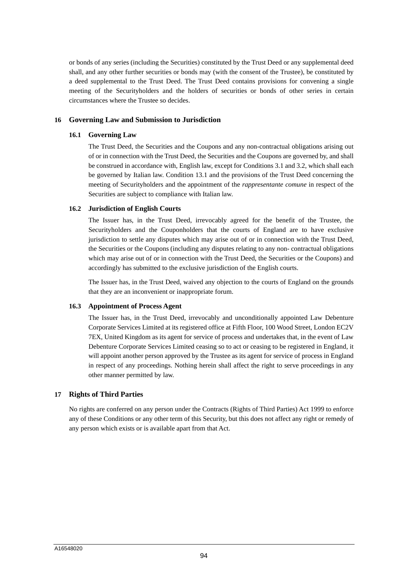or bonds of any series (including the Securities) constituted by the Trust Deed or any supplemental deed shall, and any other further securities or bonds may (with the consent of the Trustee), be constituted by a deed supplemental to the Trust Deed. The Trust Deed contains provisions for convening a single meeting of the Securityholders and the holders of securities or bonds of other series in certain circumstances where the Trustee so decides.

## **16 Governing Law and Submission to Jurisdiction**

#### **16.1 Governing Law**

The Trust Deed, the Securities and the Coupons and any non-contractual obligations arising out of or in connection with the Trust Deed, the Securities and the Coupons are governed by, and shall be construed in accordance with, English law, except for Conditions 3.1 and 3.2, which shall each be governed by Italian law. Condition 13.1 and the provisions of the Trust Deed concerning the meeting of Securityholders and the appointment of the *rappresentante comune* in respect of the Securities are subject to compliance with Italian law.

#### **16.2 Jurisdiction of English Courts**

The Issuer has, in the Trust Deed, irrevocably agreed for the benefit of the Trustee, the Securityholders and the Couponholders that the courts of England are to have exclusive jurisdiction to settle any disputes which may arise out of or in connection with the Trust Deed, the Securities or the Coupons (including any disputes relating to any non- contractual obligations which may arise out of or in connection with the Trust Deed, the Securities or the Coupons) and accordingly has submitted to the exclusive jurisdiction of the English courts.

The Issuer has, in the Trust Deed, waived any objection to the courts of England on the grounds that they are an inconvenient or inappropriate forum.

#### **16.3 Appointment of Process Agent**

The Issuer has, in the Trust Deed, irrevocably and unconditionally appointed Law Debenture Corporate Services Limited at its registered office at Fifth Floor, 100 Wood Street, London EC2V 7EX, United Kingdom as its agent for service of process and undertakes that, in the event of Law Debenture Corporate Services Limited ceasing so to act or ceasing to be registered in England, it will appoint another person approved by the Trustee as its agent for service of process in England in respect of any proceedings. Nothing herein shall affect the right to serve proceedings in any other manner permitted by law.

## **17 Rights of Third Parties**

No rights are conferred on any person under the Contracts (Rights of Third Parties) Act 1999 to enforce any of these Conditions or any other term of this Security, but this does not affect any right or remedy of any person which exists or is available apart from that Act.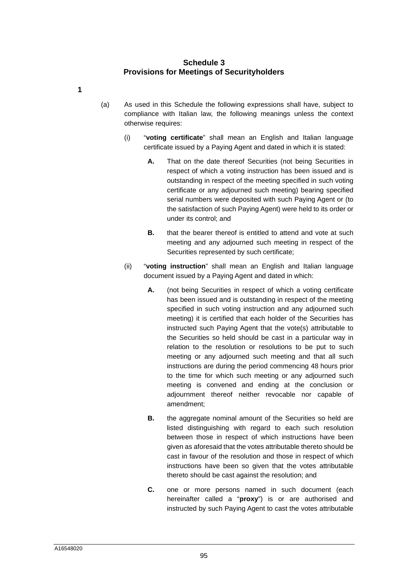## **Schedule 3 Provisions for Meetings of Securityholders**

- <span id="page-95-6"></span><span id="page-95-5"></span><span id="page-95-4"></span><span id="page-95-3"></span><span id="page-95-2"></span><span id="page-95-1"></span><span id="page-95-0"></span>(a) As used in this Schedule the following expressions shall have, subject to compliance with Italian law, the following meanings unless the context otherwise requires:
	- (i) "**voting certificate**" shall mean an English and Italian language certificate issued by a Paying Agent and dated in which it is stated:
		- **A.** That on the date thereof Securities (not being Securities in respect of which a voting instruction has been issued and is outstanding in respect of the meeting specified in such voting certificate or any adjourned such meeting) bearing specified serial numbers were deposited with such Paying Agent or (to the satisfaction of such Paying Agent) were held to its order or under its control; and
		- **B.** that the bearer thereof is entitled to attend and vote at such meeting and any adjourned such meeting in respect of the Securities represented by such certificate;
	- (ii) "**voting instruction**" shall mean an English and Italian language document issued by a Paying Agent and dated in which:
		- **A.** (not being Securities in respect of which a voting certificate has been issued and is outstanding in respect of the meeting specified in such voting instruction and any adjourned such meeting) it is certified that each holder of the Securities has instructed such Paying Agent that the vote(s) attributable to the Securities so held should be cast in a particular way in relation to the resolution or resolutions to be put to such meeting or any adjourned such meeting and that all such instructions are during the period commencing 48 hours prior to the time for which such meeting or any adjourned such meeting is convened and ending at the conclusion or adjournment thereof neither revocable nor capable of amendment;
		- **B.** the aggregate nominal amount of the Securities so held are listed distinguishing with regard to each such resolution between those in respect of which instructions have been given as aforesaid that the votes attributable thereto should be cast in favour of the resolution and those in respect of which instructions have been so given that the votes attributable thereto should be cast against the resolution; and
		- **C.** one or more persons named in such document (each hereinafter called a "**proxy**") is or are authorised and instructed by such Paying Agent to cast the votes attributable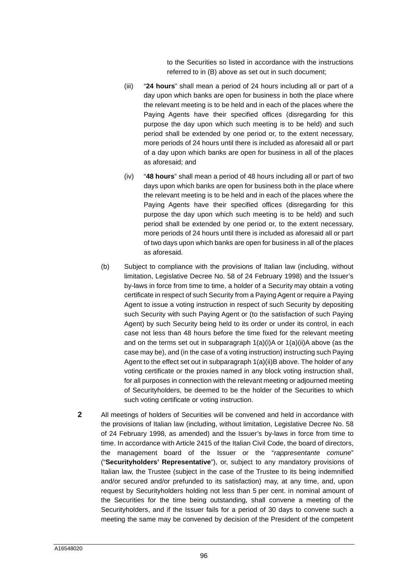to the Securities so listed in accordance with the instructions referred to in (B) above as set out in such document;

- (iii) "**24 hours**" shall mean a period of 24 hours including all or part of a day upon which banks are open for business in both the place where the relevant meeting is to be held and in each of the places where the Paying Agents have their specified offices (disregarding for this purpose the day upon which such meeting is to be held) and such period shall be extended by one period or, to the extent necessary, more periods of 24 hours until there is included as aforesaid all or part of a day upon which banks are open for business in all of the places as aforesaid; and
- (iv) "**48 hours**" shall mean a period of 48 hours including all or part of two days upon which banks are open for business both in the place where the relevant meeting is to be held and in each of the places where the Paying Agents have their specified offices (disregarding for this purpose the day upon which such meeting is to be held) and such period shall be extended by one period or, to the extent necessary, more periods of 24 hours until there is included as aforesaid all or part of two days upon which banks are open for business in all of the places as aforesaid.
- (b) Subject to compliance with the provisions of Italian law (including, without limitation, Legislative Decree No. 58 of 24 February 1998) and the Issuer's by-laws in force from time to time, a holder of a Security may obtain a voting certificate in respect of such Security from a Paying Agent or require a Paying Agent to issue a voting instruction in respect of such Security by depositing such Security with such Paying Agent or (to the satisfaction of such Paying Agent) by such Security being held to its order or under its control, in each case not less than 48 hours before the time fixed for the relevant meeting and on the terms set out in subparagraph [1](#page-95-0)[\(a\)](#page-95-1)[\(i\)](#page-95-2)[A](#page-95-3) or [1](#page-95-0)[\(a\)](#page-95-1)[\(ii\)](#page-95-4)[A](#page-95-5) above (as the case may be), and (in the case of a voting instruction) instructing such Paying Agent to the effect set out in subparagraph [1](#page-95-0)[\(a\)](#page-95-1)[\(ii\)](#page-95-4)[B](#page-95-6) above. The holder of any voting certificate or the proxies named in any block voting instruction shall, for all purposes in connection with the relevant meeting or adjourned meeting of Securityholders, be deemed to be the holder of the Securities to which such voting certificate or voting instruction.
- **2** All meetings of holders of Securities will be convened and held in accordance with the provisions of Italian law (including, without limitation, Legislative Decree No. 58 of 24 February 1998, as amended) and the Issuer's by-laws in force from time to time. In accordance with Article 2415 of the Italian Civil Code, the board of directors, the management board of the Issuer or the "*rappresentante comune*" ("**Securityholders' Representative**"), or, subject to any mandatory provisions of Italian law, the Trustee (subject in the case of the Trustee to its being indemnified and/or secured and/or prefunded to its satisfaction) may, at any time, and, upon request by Securityholders holding not less than 5 per cent. in nominal amount of the Securities for the time being outstanding, shall convene a meeting of the Securityholders, and if the Issuer fails for a period of 30 days to convene such a meeting the same may be convened by decision of the President of the competent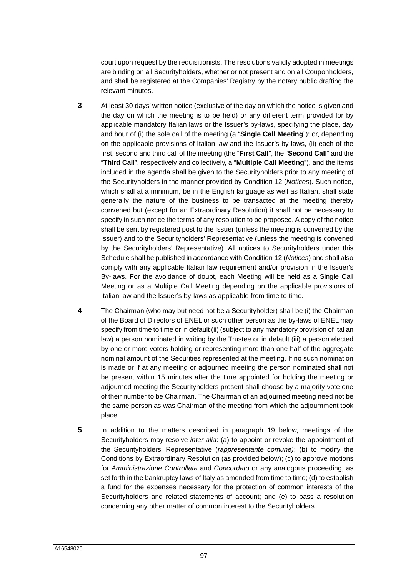court upon request by the requisitionists. The resolutions validly adopted in meetings are binding on all Securityholders, whether or not present and on all Couponholders, and shall be registered at the Companies' Registry by the notary public drafting the relevant minutes.

- **3** At least 30 days' written notice (exclusive of the day on which the notice is given and the day on which the meeting is to be held) or any different term provided for by applicable mandatory Italian laws or the Issuer's by-laws, specifying the place, day and hour of (i) the sole call of the meeting (a "**Single Call Meeting**"); or, depending on the applicable provisions of Italian law and the Issuer's by-laws, (ii) each of the first, second and third call of the meeting (the "**First Call**", the "**Second Call**" and the "**Third Call**", respectively and collectively, a "**Multiple Call Meeting**"), and the items included in the agenda shall be given to the Securityholders prior to any meeting of the Securityholders in the manner provided by Condition 12 (*Notices*). Such notice, which shall at a minimum, be in the English language as well as Italian, shall state generally the nature of the business to be transacted at the meeting thereby convened but (except for an Extraordinary Resolution) it shall not be necessary to specify in such notice the terms of any resolution to be proposed. A copy of the notice shall be sent by registered post to the Issuer (unless the meeting is convened by the Issuer) and to the Securityholders' Representative (unless the meeting is convened by the Securityholders' Representative). All notices to Securityholders under this Schedule shall be published in accordance with Condition 12 (*Notices*) and shall also comply with any applicable Italian law requirement and/or provision in the Issuer's By-laws. For the avoidance of doubt, each Meeting will be held as a Single Call Meeting or as a Multiple Call Meeting depending on the applicable provisions of Italian law and the Issuer's by-laws as applicable from time to time.
- **4** The Chairman (who may but need not be a Securityholder) shall be (i) the Chairman of the Board of Directors of ENEL or such other person as the by-laws of ENEL may specify from time to time or in default (ii) (subject to any mandatory provision of Italian law) a person nominated in writing by the Trustee or in default (iii) a person elected by one or more voters holding or representing more than one half of the aggregate nominal amount of the Securities represented at the meeting. If no such nomination is made or if at any meeting or adjourned meeting the person nominated shall not be present within 15 minutes after the time appointed for holding the meeting or adjourned meeting the Securityholders present shall choose by a majority vote one of their number to be Chairman. The Chairman of an adjourned meeting need not be the same person as was Chairman of the meeting from which the adjournment took place.
- <span id="page-97-0"></span>**5** In addition to the matters described in paragraph [19](#page-101-0) below, meetings of the Securityholders may resolve *inter alia*: (a) to appoint or revoke the appointment of the Securityholders' Representative (*rappresentante comune)*; (b) to modify the Conditions by Extraordinary Resolution (as provided below); (c) to approve motions for *Amministrazione Controllata* and *Concordato* or any analogous proceeding, as set forth in the bankruptcy laws of Italy as amended from time to time; (d) to establish a fund for the expenses necessary for the protection of common interests of the Securityholders and related statements of account; and (e) to pass a resolution concerning any other matter of common interest to the Securityholders.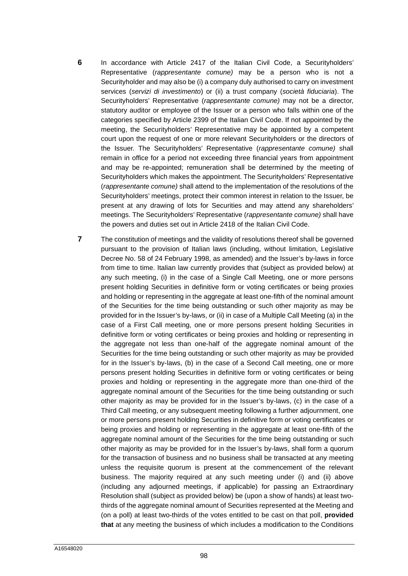- **6** In accordance with Article 2417 of the Italian Civil Code, a Securityholders' Representative (*rappresentante comune)* may be a person who is not a Securityholder and may also be (i) a company duly authorised to carry on investment services (*servizi di investimento*) or (ii) a trust company (*società fiduciaria*). The Securityholders' Representative (*rappresentante comune)* may not be a director, statutory auditor or employee of the Issuer or a person who falls within one of the categories specified by Article 2399 of the Italian Civil Code. If not appointed by the meeting, the Securityholders' Representative may be appointed by a competent court upon the request of one or more relevant Securityholders or the directors of the Issuer. The Securityholders' Representative (*rappresentante comune)* shall remain in office for a period not exceeding three financial years from appointment and may be re-appointed; remuneration shall be determined by the meeting of Securityholders which makes the appointment. The Securityholders' Representative (*rappresentante comune)* shall attend to the implementation of the resolutions of the Securityholders' meetings, protect their common interest in relation to the Issuer, be present at any drawing of lots for Securities and may attend any shareholders' meetings. The Securityholders' Representative (*rappresentante comune)* shall have the powers and duties set out in Article 2418 of the Italian Civil Code.
- **7** The constitution of meetings and the validity of resolutions thereof shall be governed pursuant to the provision of Italian laws (including, without limitation, Legislative Decree No. 58 of 24 February 1998, as amended) and the Issuer's by-laws in force from time to time. Italian law currently provides that (subject as provided below) at any such meeting, (i) in the case of a Single Call Meeting, one or more persons present holding Securities in definitive form or voting certificates or being proxies and holding or representing in the aggregate at least one-fifth of the nominal amount of the Securities for the time being outstanding or such other majority as may be provided for in the Issuer's by-laws, or (ii) in case of a Multiple Call Meeting (a) in the case of a First Call meeting, one or more persons present holding Securities in definitive form or voting certificates or being proxies and holding or representing in the aggregate not less than one-half of the aggregate nominal amount of the Securities for the time being outstanding or such other majority as may be provided for in the Issuer's by-laws, (b) in the case of a Second Call meeting, one or more persons present holding Securities in definitive form or voting certificates or being proxies and holding or representing in the aggregate more than one-third of the aggregate nominal amount of the Securities for the time being outstanding or such other majority as may be provided for in the Issuer's by-laws, (c) in the case of a Third Call meeting, or any subsequent meeting following a further adjournment, one or more persons present holding Securities in definitive form or voting certificates or being proxies and holding or representing in the aggregate at least one-fifth of the aggregate nominal amount of the Securities for the time being outstanding or such other majority as may be provided for in the Issuer's by-laws, shall form a quorum for the transaction of business and no business shall be transacted at any meeting unless the requisite quorum is present at the commencement of the relevant business. The majority required at any such meeting under (i) and (ii) above (including any adjourned meetings, if applicable) for passing an Extraordinary Resolution shall (subject as provided below) be (upon a show of hands) at least twothirds of the aggregate nominal amount of Securities represented at the Meeting and (on a poll) at least two-thirds of the votes entitled to be cast on that poll, **provided that** at any meeting the business of which includes a modification to the Conditions

98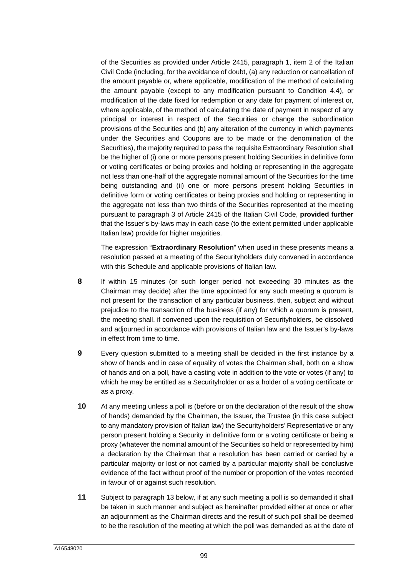of the Securities as provided under Article 2415, paragraph 1, item 2 of the Italian Civil Code (including, for the avoidance of doubt, (a) any reduction or cancellation of the amount payable or, where applicable, modification of the method of calculating the amount payable (except to any modification pursuant to Condition 4.4), or modification of the date fixed for redemption or any date for payment of interest or, where applicable, of the method of calculating the date of payment in respect of any principal or interest in respect of the Securities or change the subordination provisions of the Securities and (b) any alteration of the currency in which payments under the Securities and Coupons are to be made or the denomination of the Securities), the majority required to pass the requisite Extraordinary Resolution shall be the higher of (i) one or more persons present holding Securities in definitive form or voting certificates or being proxies and holding or representing in the aggregate not less than one-half of the aggregate nominal amount of the Securities for the time being outstanding and (ii) one or more persons present holding Securities in definitive form or voting certificates or being proxies and holding or representing in the aggregate not less than two thirds of the Securities represented at the meeting pursuant to paragraph 3 of Article 2415 of the Italian Civil Code, **provided further** that the Issuer's by-laws may in each case (to the extent permitted under applicable Italian law) provide for higher majorities.

The expression "**Extraordinary Resolution**" when used in these presents means a resolution passed at a meeting of the Securityholders duly convened in accordance with this Schedule and applicable provisions of Italian law.

- **8** If within 15 minutes (or such longer period not exceeding 30 minutes as the Chairman may decide) after the time appointed for any such meeting a quorum is not present for the transaction of any particular business, then, subject and without prejudice to the transaction of the business (if any) for which a quorum is present, the meeting shall, if convened upon the requisition of Securityholders, be dissolved and adjourned in accordance with provisions of Italian law and the Issuer's by-laws in effect from time to time.
- **9** Every question submitted to a meeting shall be decided in the first instance by a show of hands and in case of equality of votes the Chairman shall, both on a show of hands and on a poll, have a casting vote in addition to the vote or votes (if any) to which he may be entitled as a Securityholder or as a holder of a voting certificate or as a proxy.
- **10** At any meeting unless a poll is (before or on the declaration of the result of the show of hands) demanded by the Chairman, the Issuer, the Trustee (in this case subject to any mandatory provision of Italian law) the Securityholders' Representative or any person present holding a Security in definitive form or a voting certificate or being a proxy (whatever the nominal amount of the Securities so held or represented by him) a declaration by the Chairman that a resolution has been carried or carried by a particular majority or lost or not carried by a particular majority shall be conclusive evidence of the fact without proof of the number or proportion of the votes recorded in favour of or against such resolution.
- **11** Subject to paragraph [13](#page-100-0) below, if at any such meeting a poll is so demanded it shall be taken in such manner and subject as hereinafter provided either at once or after an adjournment as the Chairman directs and the result of such poll shall be deemed to be the resolution of the meeting at which the poll was demanded as at the date of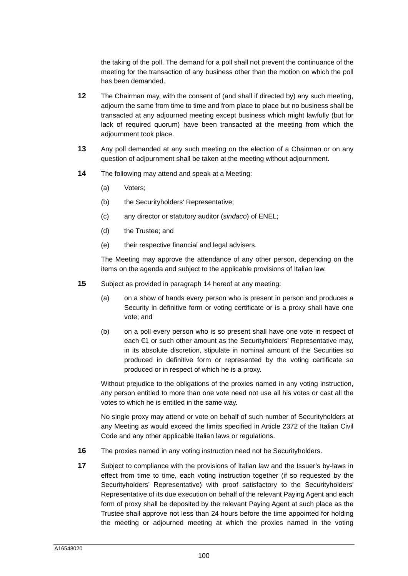the taking of the poll. The demand for a poll shall not prevent the continuance of the meeting for the transaction of any business other than the motion on which the poll has been demanded.

- **12** The Chairman may, with the consent of (and shall if directed by) any such meeting, adjourn the same from time to time and from place to place but no business shall be transacted at any adjourned meeting except business which might lawfully (but for lack of required quorum) have been transacted at the meeting from which the adjournment took place.
- <span id="page-100-0"></span>**13** Any poll demanded at any such meeting on the election of a Chairman or on any question of adjournment shall be taken at the meeting without adjournment.
- <span id="page-100-1"></span>**14** The following may attend and speak at a Meeting:
	- (a) Voters;
	- (b) the Securityholders' Representative;
	- (c) any director or statutory auditor (*sindaco*) of ENEL;
	- (d) the Trustee; and
	- (e) their respective financial and legal advisers.

The Meeting may approve the attendance of any other person, depending on the items on the agenda and subject to the applicable provisions of Italian law.

- **15** Subject as provided in paragraph [14](#page-100-1) hereof at any meeting:
	- (a) on a show of hands every person who is present in person and produces a Security in definitive form or voting certificate or is a proxy shall have one vote; and
	- (b) on a poll every person who is so present shall have one vote in respect of each €1 or such other amount as the Securityholders' Representative may, in its absolute discretion, stipulate in nominal amount of the Securities so produced in definitive form or represented by the voting certificate so produced or in respect of which he is a proxy.

Without prejudice to the obligations of the proxies named in any voting instruction, any person entitled to more than one vote need not use all his votes or cast all the votes to which he is entitled in the same way.

No single proxy may attend or vote on behalf of such number of Securityholders at any Meeting as would exceed the limits specified in Article 2372 of the Italian Civil Code and any other applicable Italian laws or regulations.

- **16** The proxies named in any voting instruction need not be Securityholders.
- **17** Subject to compliance with the provisions of Italian law and the Issuer's by-laws in effect from time to time, each voting instruction together (if so requested by the Securityholders' Representative) with proof satisfactory to the Securityholders' Representative of its due execution on behalf of the relevant Paying Agent and each form of proxy shall be deposited by the relevant Paying Agent at such place as the Trustee shall approve not less than 24 hours before the time appointed for holding the meeting or adjourned meeting at which the proxies named in the voting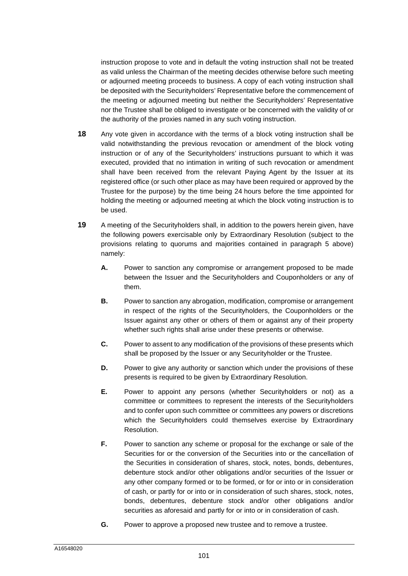instruction propose to vote and in default the voting instruction shall not be treated as valid unless the Chairman of the meeting decides otherwise before such meeting or adjourned meeting proceeds to business. A copy of each voting instruction shall be deposited with the Securityholders' Representative before the commencement of the meeting or adjourned meeting but neither the Securityholders' Representative nor the Trustee shall be obliged to investigate or be concerned with the validity of or the authority of the proxies named in any such voting instruction.

- **18** Any vote given in accordance with the terms of a block voting instruction shall be valid notwithstanding the previous revocation or amendment of the block voting instruction or of any of the Securityholders' instructions pursuant to which it was executed, provided that no intimation in writing of such revocation or amendment shall have been received from the relevant Paying Agent by the Issuer at its registered office (or such other place as may have been required or approved by the Trustee for the purpose) by the time being 24 hours before the time appointed for holding the meeting or adjourned meeting at which the block voting instruction is to be used.
- <span id="page-101-0"></span>**19** A meeting of the Securityholders shall, in addition to the powers herein given, have the following powers exercisable only by Extraordinary Resolution (subject to the provisions relating to quorums and majorities contained in paragraph [5](#page-97-0) above) namely:
	- **A.** Power to sanction any compromise or arrangement proposed to be made between the Issuer and the Securityholders and Couponholders or any of them.
	- **B.** Power to sanction any abrogation, modification, compromise or arrangement in respect of the rights of the Securityholders, the Couponholders or the Issuer against any other or others of them or against any of their property whether such rights shall arise under these presents or otherwise.
	- **C.** Power to assent to any modification of the provisions of these presents which shall be proposed by the Issuer or any Securityholder or the Trustee.
	- **D.** Power to give any authority or sanction which under the provisions of these presents is required to be given by Extraordinary Resolution.
	- **E.** Power to appoint any persons (whether Securityholders or not) as a committee or committees to represent the interests of the Securityholders and to confer upon such committee or committees any powers or discretions which the Securityholders could themselves exercise by Extraordinary Resolution.
	- **F.** Power to sanction any scheme or proposal for the exchange or sale of the Securities for or the conversion of the Securities into or the cancellation of the Securities in consideration of shares, stock, notes, bonds, debentures, debenture stock and/or other obligations and/or securities of the Issuer or any other company formed or to be formed, or for or into or in consideration of cash, or partly for or into or in consideration of such shares, stock, notes, bonds, debentures, debenture stock and/or other obligations and/or securities as aforesaid and partly for or into or in consideration of cash.
	- **G.** Power to approve a proposed new trustee and to remove a trustee.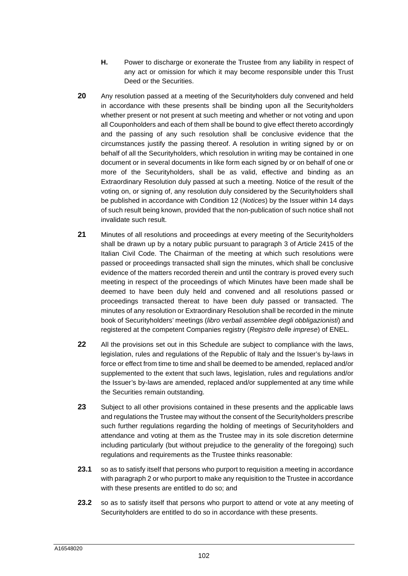- **H.** Power to discharge or exonerate the Trustee from any liability in respect of any act or omission for which it may become responsible under this Trust Deed or the Securities.
- **20** Any resolution passed at a meeting of the Securityholders duly convened and held in accordance with these presents shall be binding upon all the Securityholders whether present or not present at such meeting and whether or not voting and upon all Couponholders and each of them shall be bound to give effect thereto accordingly and the passing of any such resolution shall be conclusive evidence that the circumstances justify the passing thereof. A resolution in writing signed by or on behalf of all the Securityholders, which resolution in writing may be contained in one document or in several documents in like form each signed by or on behalf of one or more of the Securityholders, shall be as valid, effective and binding as an Extraordinary Resolution duly passed at such a meeting. Notice of the result of the voting on, or signing of, any resolution duly considered by the Securityholders shall be published in accordance with Condition 12 (*Notices*) by the Issuer within 14 days of such result being known, provided that the non-publication of such notice shall not invalidate such result.
- **21** Minutes of all resolutions and proceedings at every meeting of the Securityholders shall be drawn up by a notary public pursuant to paragraph 3 of Article 2415 of the Italian Civil Code. The Chairman of the meeting at which such resolutions were passed or proceedings transacted shall sign the minutes, which shall be conclusive evidence of the matters recorded therein and until the contrary is proved every such meeting in respect of the proceedings of which Minutes have been made shall be deemed to have been duly held and convened and all resolutions passed or proceedings transacted thereat to have been duly passed or transacted. The minutes of any resolution or Extraordinary Resolution shall be recorded in the minute book of Securityholders' meetings (*libro verbali assemblee degli obbligazionisti*) and registered at the competent Companies registry (*Registro delle imprese*) of ENEL.
- **22** All the provisions set out in this Schedule are subject to compliance with the laws, legislation, rules and regulations of the Republic of Italy and the Issuer's by-laws in force or effect from time to time and shall be deemed to be amended, replaced and/or supplemented to the extent that such laws, legislation, rules and regulations and/or the Issuer's by-laws are amended, replaced and/or supplemented at any time while the Securities remain outstanding.
- **23** Subject to all other provisions contained in these presents and the applicable laws and regulations the Trustee may without the consent of the Securityholders prescribe such further regulations regarding the holding of meetings of Securityholders and attendance and voting at them as the Trustee may in its sole discretion determine including particularly (but without prejudice to the generality of the foregoing) such regulations and requirements as the Trustee thinks reasonable:
- **23.1** so as to satisfy itself that persons who purport to requisition a meeting in accordance with paragraph 2 or who purport to make any requisition to the Trustee in accordance with these presents are entitled to do so; and
- **23.2** so as to satisfy itself that persons who purport to attend or vote at any meeting of Securityholders are entitled to do so in accordance with these presents.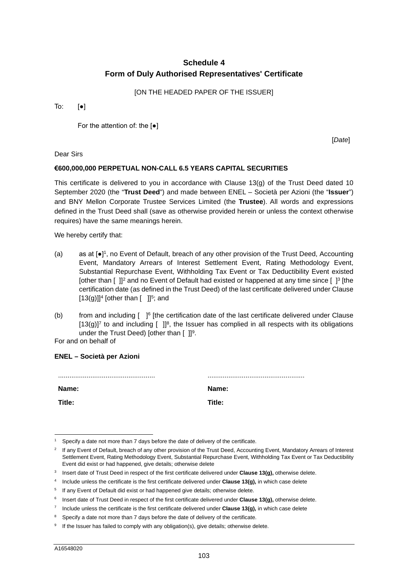## **Schedule 4 Form of Duly Authorised Representatives' Certificate**

[ON THE HEADED PAPER OF THE ISSUER]

To:  $[e]$ 

For the attention of: the [●]

[*Date*]

Dear Sirs

## **€600,000,000 PERPETUAL NON-CALL 6.5 YEARS CAPITAL SECURITIES**

This certificate is delivered to you in accordance with Clause [13](#page-16-0)[\(g\)](#page-17-0) of the Trust Deed dated 10 September 2020 (the "**Trust Deed**") and made between ENEL – Società per Azioni (the "**Issuer**") and BNY Mellon Corporate Trustee Services Limited (the **Trustee**). All words and expressions defined in the Trust Deed shall (save as otherwise provided herein or unless the context otherwise requires) have the same meanings herein.

We hereby certify that:

- (a) as at [●]<sup>[1](#page-103-0)</sup>, no Event of Default, breach of any other provision of the Trust Deed, Accounting Event, Mandatory Arrears of Interest Settlement Event, Rating Methodology Event, [Substantial Repurchase Event, Withholding Tax Event or Tax Deductibility Event existed](#page-103-1)  [other than  $\left[\right]$ ]<sup>2</sup> and no Event of Default had existed or happened at any time since  $\left[\right]$ <sup>3</sup> [the certific[ati](#page-103-3)on date (as def[in](#page-103-4)ed in the Trust Deed) of the last certificate delivered under Clause  $[13(g)]$  $[13(g)]$  $[13(g)]$ <sup>4</sup> [other than  $[$  ]<sup>5</sup>; and
- (b) from and including  $\left[\right]$  fie certification date of the last certificate delivered under Clause  $[13(g)]<sup>7</sup>$  to and including  $[ ]<sup>8</sup>$ , the Issuer has complied in all respects with its obligations under the Trust Deed) [other than  $[ ]$ ]<sup>9</sup>.

For and on behalf of

| Name:  | Name:  |
|--------|--------|
| Title: | Title: |

**ENEL – Società per Azioni** 

<span id="page-103-0"></span><sup>1</sup> Specify a date not more than 7 days before the date of delivery of the certificate.

<span id="page-103-1"></span><sup>&</sup>lt;sup>2</sup> If any Event of Default, breach of any other provision of the Trust Deed, Accounting Event, Mandatory Arrears of Interest Settlement Event, Rating Methodology Event, Substantial Repurchase Event, Withholding Tax Event or Tax Deductibility Event did exist or had happened, give details; otherwise delete

<span id="page-103-2"></span><sup>3</sup> Insert date of Trust Deed in respect of the first certificate delivered under **Clause 13(g),** otherwise delete.

<span id="page-103-3"></span><sup>4</sup> Include unless the certificate is the first certificate delivered under **Clause 13(g),** in which case delete

<span id="page-103-4"></span><sup>&</sup>lt;sup>5</sup> If any Event of Default did exist or had happened give details; otherwise delete.

<span id="page-103-5"></span><sup>6</sup> Insert date of Trust Deed in respect of the first certificate delivered under **Clause 13(g),** otherwise delete.

<span id="page-103-6"></span><sup>7</sup> Include unless the certificate is the first certificate delivered under **Clause 13(g),** in which case delete

<span id="page-103-7"></span><sup>8</sup> Specify a date not more than 7 days before the date of delivery of the certificate.

<span id="page-103-8"></span><sup>&</sup>lt;sup>9</sup> If the Issuer has failed to comply with any obligation(s), give details; otherwise delete.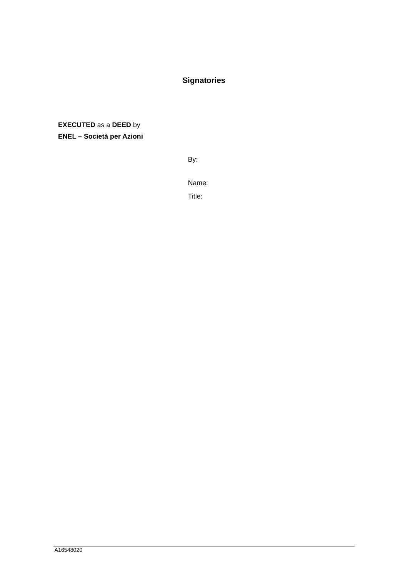# **Signatories**

**EXECUTED** as a **DEED** by **ENEL – Società per Azioni**

By:

Name:

Title: